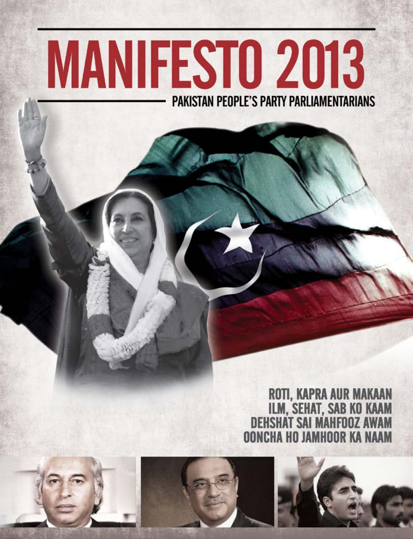# **MANIFESTO 2013 PAKISTAN PEOPLE'S PARTY PARLIAMENTARIANS**

# ROTI, KAPRA AUR MAKAAN<br>ILM, SEHAT, SAB KO KAAM<br>DEHSHAT SAI MAHFOOZ AWAM **OONCHA HO JAMHOOR KA NAAM**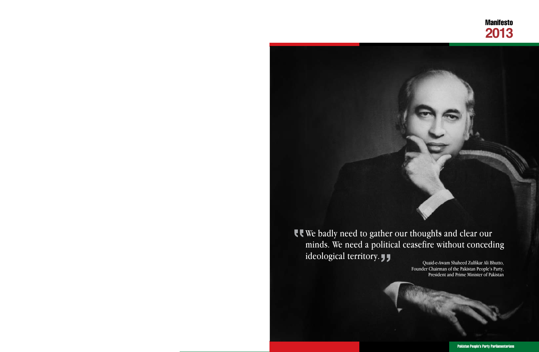ideological territory.  $\int$ 



Pakistan People's Party Parliamentarians

## We badly need to gather our thoughts and clear our minds. We need a political ceasefire without conceding

*Founder Chairman of the Pakistan People's Party, President and Prime Minister of Pakistan*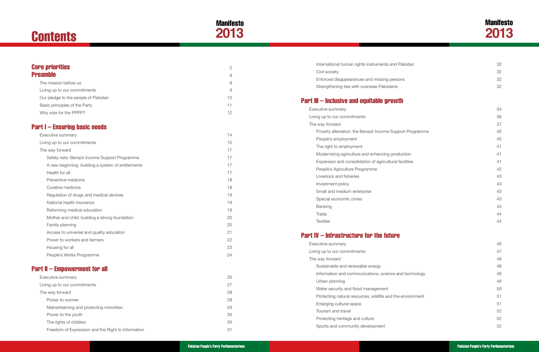# **Contents**





| International human rights instruments and Pakistan        | 32 |
|------------------------------------------------------------|----|
| Civil society                                              | 32 |
| Enforced disappearances and missing persons                | 32 |
| Strengthening ties with overseas Pakistanis                | 32 |
| Part III – Inclusive and equitable growth                  |    |
| Executive summary                                          | 34 |
| Living up to our commitments                               | 36 |
| The way forward                                            | 37 |
| Poverty alleviation: the Benazir Income Support Programme  | 40 |
| People's employment                                        | 40 |
| The right to employment                                    | 41 |
| Modernizing agriculture and enhancing production           | 41 |
| Expansion and consolidation of agricultural facilities     | 41 |
| People's Agriculture Programme                             | 42 |
| Livestock and fisheries                                    | 43 |
| Investment policy                                          | 43 |
| Small and medium enterprise                                | 43 |
| Special economic zones                                     | 43 |
| <b>Banking</b>                                             | 43 |
| Trade                                                      | 44 |
| <b>Textiles</b>                                            | 44 |
| <b>Part IV – Infrastructure for the future</b>             |    |
| Executive summary                                          | 46 |
| Living up to our commitments                               | 47 |
| The way forward                                            | 48 |
| Sustainable and renewable energy                           | 48 |
| Information and communications, science and technology     | 49 |
| Urban planning                                             | 49 |
| Water security and flood management                        | 50 |
| Protecting natural resources, wildlife and the environment | 51 |
| Enlarging cultural space                                   | 51 |
| Tourism and travel                                         | 52 |
| Protecting heritage and culture                            | 52 |
| Sports and community development                           | 52 |

| <b>Core priorities</b>                             |                     |
|----------------------------------------------------|---------------------|
| <b>Preamble</b>                                    | $\overline{2}$<br>8 |
| The mission before us                              | 8                   |
| Living up to our commitments                       | 9                   |
| Our pledge to the people of Pakistan               | 10                  |
| Basic principles of the Party                      | 11                  |
| Why vote for the PPPP?                             | 12                  |
| <b>Part I – Ensuring basic needs</b>               |                     |
| Executive summary                                  | 14                  |
| Living up to our commitments                       | 15                  |
| The way forward                                    | 17                  |
| Safety nets: Benazir Income Support Programme      | 17                  |
| A new beginning: building a system of entitlements | 17                  |
| Health for all                                     | 17                  |
| Preventive medicine                                | 18                  |
| Curative medicine                                  | 18                  |
| Regulation of drugs and medical devices            | 19                  |
| National health insurance                          | 19                  |
| Reforming medical education                        | 19                  |
| Mother and child: building a strong foundation     | 20                  |
| Family planning                                    | 20                  |
| Access to universal and quality education          | 21                  |
| Power to workers and farmers                       | 22                  |
| Housing for all                                    | 23                  |
| People's Works Programme                           | 24                  |
| <b>Part II – Empowerment for all</b>               |                     |
| Executive summary                                  | 26                  |
| Living up to our commitments                       | 27                  |
| The way forward                                    | 28                  |
| Power to women                                     | 28                  |
| Mainstreaming and protecting minorities            | 29                  |

- [Power to the youth](#page-18-0) 30
- [The rights of children](#page-18-0) 30
- Freedom of Expression and the Right to Information **31** and 31

| International human rights instruments an |
|-------------------------------------------|
| Civil society                             |
| Enforced disappearances and missing pe    |
| Strengthening ties with overseas Pakistan |

## [Part III](#page-20-0) – Inclusive and equitable grow

| ecutive summary                           |  |  |  |  |
|-------------------------------------------|--|--|--|--|
| ing up to our commitments                 |  |  |  |  |
| e way forward                             |  |  |  |  |
| Poverty alleviation: the Benazir Income S |  |  |  |  |
| People's employment                       |  |  |  |  |
| The right to employment                   |  |  |  |  |
| Modernizing agriculture and enhancing p   |  |  |  |  |
| Expansion and consolidation of agricultu  |  |  |  |  |
| People's Agriculture Programme            |  |  |  |  |
| Livestock and fisheries                   |  |  |  |  |
| Investment policy                         |  |  |  |  |
| Small and medium enterprise               |  |  |  |  |
| Special economic zones                    |  |  |  |  |
| <b>Banking</b>                            |  |  |  |  |
| Trade                                     |  |  |  |  |
| <b>Textiles</b>                           |  |  |  |  |

## [Part IV](#page-26-0) – [Infrastructure for the future](#page-26-0)

| Executive summary                                          | 46 |
|------------------------------------------------------------|----|
| Living up to our commitments                               | 47 |
| The way forward                                            | 48 |
| Sustainable and renewable energy                           | 48 |
| Information and communications, science and technology     | 49 |
| Urban planning                                             | 49 |
| Water security and flood management                        | 50 |
| Protecting natural resources, wildlife and the environment | 51 |
| Enlarging cultural space                                   | 51 |
| Tourism and travel                                         | 52 |
| Protecting heritage and culture                            | 52 |
| Sports and community development                           | 52 |
|                                                            |    |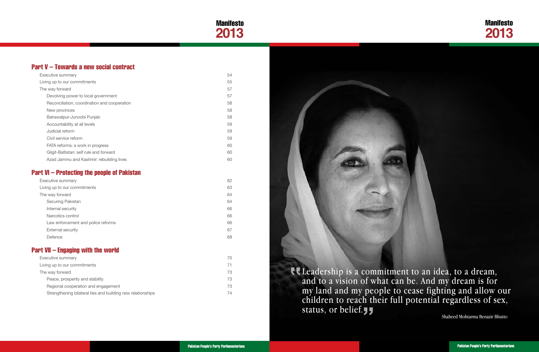

Leadership is a commitment to an idea, to a dream, and to a vision of what can be. And my dream is for my land and my people to cease fighting and allow our children to reach their full potential regardless of sex, status, or belief.

## Manifesto **2013**

*Shaheed Mohtarma Benazir Bhutto*

### [Part V](#page-30-0) – [Towards a new social contract](#page-30-0)

| Executive summary                  | 62 |
|------------------------------------|----|
| Living up to our commitments       | 63 |
| The way forward                    | 64 |
| Securing Pakistan                  | 64 |
| Internal security                  | 66 |
| Narcotics control                  | 66 |
| Law enforcement and police reforms | 66 |
| <b>External security</b>           | 67 |
| Defence                            | 68 |

| Executive summary                            | 54 |
|----------------------------------------------|----|
| Living up to our commitments                 | 55 |
| The way forward                              | 57 |
| Devolving power to local government          | 57 |
| Reconciliation, coordination and cooperation | 58 |
| New provinces                                | 58 |
| Bahawalpur-Junoobi Punjab                    | 58 |
| Accountability at all levels                 | 59 |
| Judicial reform                              | 59 |
| Civil service reform                         | 59 |
| FATA reforms: a work in progress             | 60 |
| Gilgit-Baltistan: self rule and forward      | 60 |
| Azad Jammu and Kashmir: rebuilding lives     | 60 |

### [Part VI](#page-34-0) – [Protecting the people of Pakistan](#page-34-0)

### [Part VII](#page-38-0) – [Engaging with the world](#page-38-0)

| Executive summary                                           | 70 |
|-------------------------------------------------------------|----|
| Living up to our commitments                                | 71 |
| The way forward                                             | 73 |
| Peace, prosperity and stability                             | 73 |
| Regional cooperation and engagement                         | 73 |
| Strengthening bilateral ties and building new relationships | 74 |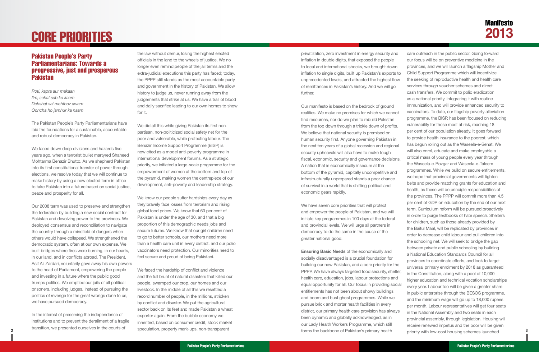# <span id="page-4-0"></span>CORE PRIORITIES

#### Pakistan People's Party Parliamentarians: Towards a progressive, just and prosperous Pakistan

*Roti, kapra aur makaan Ilm, sehat sab ko kaam Dehshat sai mehfooz awam Ooncha ho jamhur ka naam*

The Pakistan People's Party Parliamentarians have laid the foundations for a sustainable, accountable and robust democracy in Pakistan.

We faced down deep divisions and hazards five years ago, when a terrorist bullet martyred Shaheed Mohtarma Benazir Bhutto. As we shepherd Pakistan into its first constitutional transfer of power through elections, we resolve today that we will continue to make history by using a new elected term in office to take Pakistan into a future based on social justice, peace and prosperity for all.

Our 2008 term was used to preserve and strengthen the federation by building a new social contract for Pakistan and devolving power to the provinces. We deployed consensus and reconciliation to navigate the country through a minefield of dangers when others would have collapsed. We strengthened the democratic system, often at our own expense. We built bridges where fires were burning, in our hearts, in our land, and in conflicts abroad. The President, Asif Ali Zardari, voluntarily gave away his own powers to the head of Parliament, empowering the people and investing in a future where the public good trumps politics. We emptied our jails of all political prisoners, including judges. Instead of pursuing the politics of revenge for the great wrongs done to us, we have pursued democracy.

We know our people suffer hardships every day as they bravely face losses from terrorism and rising global food prices. We know that 60 per cent of Pakistan is under the age of 30, and that a big proportion of this demographic needs jobs and secure futures. We know that our girl children need to go to better schools, our mothers need more than a health care unit in every district, and our polio vaccinators need protection. Our minorities need to feel secure and proud of being Pakistani.

In the interest of preserving the independence of institutions and to prevent the derailment of a fragile transition, we presented ourselves in the courts of

the law without demur, losing the highest elected officials in the land to the wheels of justice. We no longer even remind people of the jail terms and the extra-judicial executions this party has faced; today, the PPPP still stands as the most accountable party and government in the history of Pakistan. We allow history to judge us, never running away from the judgements that strike at us. We have a trail of blood and daily sacrifice leading to our own homes to show for it.

We did all this while giving Pakistan its first nonpartisan, non-politicized social safety net for the poor and vulnerable, while protecting labour. The Benazir Income Support Programme (BISP) is now cited as a model anti-poverty programme in international development forums. As a strategic priority, we initiated a large-scale programme for the empowerment of women at the bottom and top of the pyramid, making women the centrepiece of our development, anti-poverty and leadership strategy.

We faced the hardship of conflict and violence and the full brunt of natural disasters that killed our people, swamped our crop, our homes and our livestock. In the middle of all this we resettled a record number of people, in the millions, stricken by conflict and disaster. We put the agricultural sector back on its feet and made Pakistan a wheat exporter again. From the bubble economy we inherited, based on consumer credit, stock market speculation, property mark-ups, non-transparent

privatization, zero investment in energy security and inflation in double digits, that exposed the people to local and international shocks, we brought down inflation to single digits, built up Pakistan's exports to unprecedented levels, and attracted the highest flow of remittances in Pakistan's history. And we will go further. Our manifesto is based on the bedrock of ground realities. We make no promises for which we cannot find resources, nor do we plan to rebuild Pakistan from the top down through a trickle down of profits. We believe that national security is premised on human security first. Anyone governing Pakistan in the next ten years of a global recession and regional security upheavals will also have to make tough fiscal, economic, security and governance decisions. A nation that is economically insecure at the bottom of the pyramid, capitally uncompetitive and infrastructurally unprepared stands a poor chance of survival in a world that is shifting political and economic gears rapidly. We have seven core priorities that will protect and empower the people of Pakistan, and we will initiate key programmes in 100 days at the federal and provincial levels. We will urge all partners in democracy to do the same in the cause of the greater national good. **Ensuring Basic Needs** of the economically and socially disadvantaged is a crucial foundation for building our new Pakistan, and a core priority for the PPPP. We have always targeted food security, shelter, health care, education, jobs, labour protections and equal opportunity for all. Our focus in providing social entitlements has not been about showy buildings and boom and bust ghost programmes. While we pursue brick and mortar health facilities in every district, our primary health care provision has always been dynamic and globally acknowledged, as in our Lady Health Workers Programme, which still care outreach in the public sector. Going forward our focus will be on preventive medicine in the provinces, and we will launch a flagship Mother and Child Support Programme which will incentivize the seeking of reproductive health and health care services through voucher schemes and direct cash transfers. We commit to polio eradication as a national priority, integrating it with routine immunization, and will provide enhanced security to vaccinators. To date, our flagship poverty alleviation programme, the BISP, has been focused on reducing vulnerability for those most at risk, reaching 18 per cent of our population already. It goes forward to provide health insurance to the poorest, which has begun rolling out as the Waseela-e-Sehat. We will also enrol, educate and make employable a critical mass of young people every year through the Waseela-e-Rozgar and Waseela-e-Taleem programmes. While we build on secure entitlements, we hope that provincial governments will tighten belts and provide matching grants for education and health, as these will be principle responsibilities of the provinces. The PPPP will commit more than 4.5 per cent of GDP on education by the end of our next term. Curriculum reform will be pursued proactively in order to purge textbooks of hate speech. Shelters for children, such as those already provided by the Baitul Maal, will be replicated by provinces in order to decrease child labour and pull children into the schooling net. We will seek to bridge the gap between private and public schooling by building a National Education Standards Council for all provinces to coordinate efforts, and look to target universal primary enrolment by 2018 as guaranteed in the Constitution, along with a pool of 10,000 higher education and technical vocation scholarships every year. Labour too will be given a greater share in public enterprise through the BESOS programme, and the minimum wage will go up to 18,000 rupees per month. Labour representatives will get four seats in the National Assembly and two seats in each provincial assembly, through legislation. Housing will receive renewed impetus and the poor will be given

forms the backbone of Pakistan's primary health priority with low-cost housing schemes launched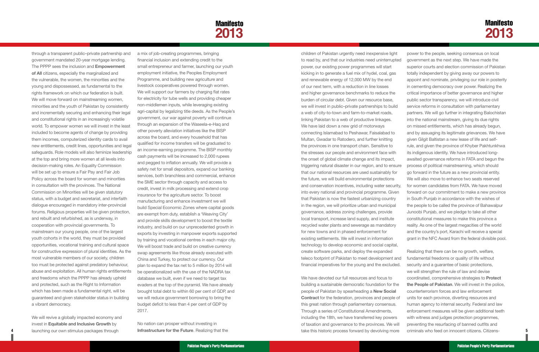**4**

**5**

## Manifesto **2013**

## **Manifesto 2013**

through a transparent public–private partnership and government mandated 20-year mortgage lending. The PPPP sees the inclusion and **Empowerment of All** citizens, especially the marginalized and the vulnerable, the women, the minorities and the young and dispossessed, as fundamental to the rights framework on which our federation is built. We will move forward on mainstreaming women, minorities and the youth of Pakistan by consistently and incrementally securing and enhancing their legal and constitutional rights in an increasingly volatile world. To empower women we will invest in the least included to become agents of change by providing them incomes, computerized identity cards to avail new entitlements, credit lines, opportunities and legal safeguards. Role models will also feminize leadership at the top and bring more women at all levels into decision-making roles. An Equality Commission will be set up to ensure a Fair Pay and Fair Job Policy across the board for women and minorities in consultation with the provinces. The National Commission on Minorities will be given statutory status, with a budget and secretariat, and interfaith dialogue encouraged in mandatory inter-provincial forums. Religious properties will be given protection, and rebuilt and refurbished, as is underway, in cooperation with provincial governments. To mainstream our young people, one of the largest youth cohorts in the world, they must be provided opportunities, vocational training and cultural space for constructive expression of plural identities. As the most vulnerable members of our society, children too must be protected against predatory behaviour, abuse and exploitation. All human rights entitlements and freedoms which the PPPP has already upheld and protected, such as the Right to Information which has been made a fundamental right, will be guaranteed and given stakeholder status in building a vibrant democracy.

We will revive a globally impacted economy and invest in **Equitable and Inclusive Growth** by launching our own stimulus packages through

a mix of job-creating programmes, bringing financial inclusion and extending credit to the small entrepreneur and farmer, launching our youth employment initiative, the Peoples Employment Programme, and building new agriculture and livestock cooperatives powered through women. We will support our farmers by charging flat rates for electricity for tube wells and providing cheaper non-middlemen inputs, while leveraging existing agri-capital by legalizing title deeds. As the People's government, our war against poverty will continue through an expansion of the Waseela-e-Haq and other poverty alleviation initiatives like the BISP across the board, and every household that has qualified for income transfers will be graduated to an income-earning programme. The BISP monthly cash payments will be increased to 2,000 rupees and pegged to inflation annually. We will provide a safety net for small depositors, expand our banking services, both branchless and commercial, enhance the SME sector through capacity and access to credit, invest in milk processing and extend crop insurance for the agriculture sector. To boost manufacturing and enhance investment we will build Special Economic Zones where capital goods are exempt from duty, establish a 'Weaving City' and provide skills development to boost the textile industry, and build on our unprecedented growth in exports by investing in manpower exports supported by training and vocational centres in each major city. We will boost trade and build on creative currency swap agreements like those already executed with China and Turkey, to protect our currency. Our plan to expand the tax net to 5 million by 2014 will be operationalized with the use of the NADRA tax database we built, even if we need to target tax evaders at the top of the pyramid. We have already brought total debt to within 60 per cent of GDP, and we will reduce government borrowing to bring the budget deficit to less than 4 per cent of GDP by 2017.

No nation can prosper without investing in **Infrastructure for the Future**. Realizing that the

children of Pakistan urgently need inexpensive light to read by, and that our industries need uninterrupted power, our existing power programmes will start kicking in to generate a fuel mix of hydel, coal, gas and renewable energy of 12,000 MW by the end of our next term, with a reduction in line losses and higher governance benchmarks to reduce the burden of circular debt. Given our resource base, we will invest in public–private partnerships to build a web of city-to-town and farm-to-market roads, linking Pakistan to a web of productive linkages. We have laid down a new grid of motorways connecting Islamabad to Peshawar, Faisalabad to Multan, Gwadar to Ratodero, and further knitting the provinces in one transport chain. Sensitive to the stresses our people and environment face with the onset of global climate change and its impact, triggering natural disaster in our region, and to ensure that our national resources are used sustainably for the future, we will build environmental protections and conservation incentives, including water security, into every national and provincial programme. Given that Pakistan is now the fastest urbanizing country in the region, we will prioritize urban and municipal governance, address zoning challenges, provide local transport, increase land supply, and institute recycled water plants and sewerage as mandatory for new towns and in phased enforcement for existing settlements. We will invest in information technology to develop economic and social capital, create software parks, and deploy the expanded teleco footprint of Pakistan to meet development and financial imperatives for the young and the excluded. We have devoted our full resources and focus to building a sustainable democratic foundation for the people of Pakistan by spearheading a **New Social Contract** for the federation, provinces and people of power to the people, seeking consensus on local government as the next step. We have made the superior courts and election commission of Pakistan totally independent by giving away our powers to appoint and nominate, privileging our role in posterity in cementing democracy over power. Realizing the critical importance of better governance and higher public sector transparency, we will introduce civil service reforms in consultation with parliamentary partners. We will go further in integrating Balochistan into the national mainstream, giving its due rights on missed entitlements, which has already begun, and by assuaging its legitimate grievances. We have given Gilgit Baltistan a new lease of life and selfrule, and given the province of Khyber Pakhtunkhwa its indigenous identity. We have introduced longawaited governance reforms in FATA and begun the process of political mainstreaming, which should go forward in the future as a new provincial entity. We will also move to enhance two seats reserved for women candidates from FATA. We have moved forward on our commitment to make a new province in South Punjab in accordance with the wishes of the people to be called the province of Bahawalpur Junoobi Punjab, and we pledge to take all other constitutional measures to make this province a reality. As one of the largest megacities of the world and the country's port, Karachi will receive a special grant in the NFC Award from the federal divisible pool. Realizing that there can be no growth, welfare, fundamental freedoms or quality of life without security and a guarantee of basic protections, we will strengthen the rule of law and devise coordinated, comprehensive strategies to **Protect the People of Pakistan**. We will invest in the police, counterterrorism forces and law enforcement units for each province, diverting resources and

this great nation through parliamentary consensus. Through a series of Constitutional Amendments, including the 18th, we have transferred key powers of taxation and governance to the provinces. We will take this historic process forward by devolving more human agency to internal security. Federal and law enforcement measures will be given additional teeth with witness and judges protection programmes, preventing the resurfacing of banned outfits and criminals who feed on innocent citizens. Citizens-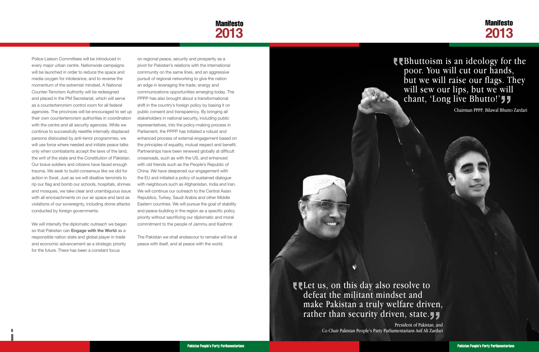

## **CE** Bhuttoism is an ideology for the poor. You will cut our hands, but we will raise our flags. They will sew our lips, but we will chant, 'Long live Bhutto!'

Police Liaison Committees will be introduced in every major urban centre. Nationwide campaigns will be launched in order to reduce the space and media oxygen for intolerance, and to reverse the momentum of the extremist mindset. A National Counter-Terrorism Authority will be redesigned and placed in the PM Secretariat, which will serve as a counterterrorism control room for all federal agencies. The provinces will be encouraged to set up their own counterterrorism authorities in coordination with the centre and all security agencies. While we continue to successfully resettle internally displaced persons dislocated by anti-terror programmes, we will use force where needed and initiate peace talks only when combatants accept the laws of the land, the writ of the state and the Constitution of Pakistan. Our brave soldiers and citizens have faced enough trauma. We seek to build consensus like we did for action in Swat. Just as we will disallow terrorists to rip our flag and bomb our schools, hospitals, shrines and mosques, we take clear and unambiguous issue with all encroachments on our air space and land as violations of our sovereignty, including drone attacks conducted by foreign governments.

We will intensify the diplomatic outreach we began so that Pakistan can **Engage with the World** as a responsible nation state and global player in trade and economic advancement as a strategic priority for the future. There has been a constant focus

**6 7** *Co Chair Pakistan People's Party Parliamentarians Asif Ali ZardariPresident of Pakistan, and*

on regional peace, security and prosperity as a pivot for Pakistan's relations with the international community on the same lines, and an aggressive pursuit of regional networking to give the nation an edge in leveraging the trade, energy and communications opportunities emerging today. The PPPP has also brought about a transformational shift in the country's foreign policy by basing it on public consent and transparency. By bringing all stakeholders in national security, including public representatives, into the policy-making process in Parliament, the PPPP has initiated a robust and enhanced process of external engagement based on the principles of equality, mutual respect and benefit. Partnerships have been renewed globally at difficult crossroads, such as with the US, and enhanced with old friends such as the People's Republic of China. We have deepened our engagement with the EU and initiated a policy of sustained dialogue with neighbours such as Afghanistan, India and Iran. We will continue our outreach to the Central Asian Republics, Turkey, Saudi Arabia and other Middle Eastern countries. We will pursue the goal of stability and peace-building in the region as a specific policy priority without sacrificing our diplomatic and moral commitment to the people of Jammu and Kashmir.

The Pakistan we shall endeavour to remake will be at peace with itself, and at peace with the world.

> **Let us, on this day also resolve to** defeat the militant mindset and make Pakistan a truly welfare driven, rather than security driven, state.

*Chairman PPPP, Bilawal Bhutto Zardari*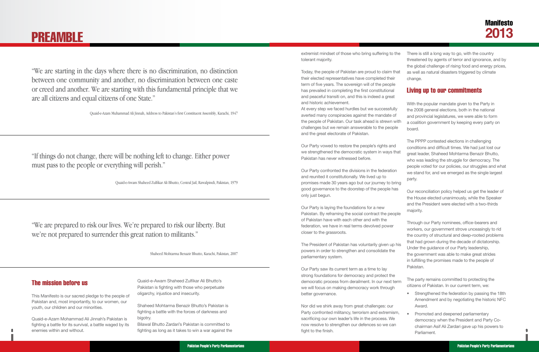**8**

## Manifesto **2013**

#### The mission before us

This Manifesto is our sacred pledge to the people of Pakistan and, most importantly, to our women, our youth, our children and our minorities.

Quaid-e-Azam Mohammad Ali Jinnah's Pakistan is fighting a battle for its survival, a battle waged by its enemies within and without.

Quaid-e-Awam Shaheed Zulfikar Ali Bhutto's Pakistan is fighting with those who perpetuate oligarchy, injustice and insecurity.

Shaheed Mohtarma Benazir Bhutto's Pakistan is fighting a battle with the forces of darkness and bigotry.

Bilawal Bhutto Zardari's Pakistan is committed to fighting as long as it takes to win a war against the extremist mindset of those who bring suffering to the tolerant majority.

Today, the people of Pakistan are proud to claim that their elected representatives have completed their term of five years. The sovereign will of the people has prevailed in completing the first constitutional and peaceful transiti on, and this is indeed a great and historic achievement.

At every step we faced hurdles but we successfully averted many conspiracies against the mandate of the people of Pakistan. Our task ahead is strewn with challenges but we remain answerable to the people and the great electorate of Pakistan.

Our Party vowed to restore the people's rights and we strengthened the democratic system in ways that Pakistan has never witnessed before.

Our Party confronted the divisions in the federation and reunited it constitutionally. We lived up to promises made 30 years ago but our journey to bring good governance to the doorstep of the people has only just begun.

Our Party is laying the foundations for a new Pakistan. By reframing the social contract the peop of Pakistan have with each other and with the federation, we have in real terms devolved power closer to the grassroots.

The President of Pakistan has voluntarily given up his powers in order to strengthen and consolidate the parliamentary system.

Our Party saw its current term as a time to lay strong foundations for democracy and protect the democratic process from derailment. In our next term we will focus on making democracy work through better governance.

Nor did we shirk away from great challenges: our Party confronted militancy, terrorism and extremism, sacrificing our own leader's life in the process. We now resolve to strengthen our defences so we can fight to the finish.

There is still a long way to go, with the country threatened by agents of terror and ignorance, and by the global challenge of rising food and energy prices, as well as natural disasters triggered by climate change.

### Living up to our commitments

| ľ<br>ith<br>Э | With the popular mandate given to the Party in<br>the 2008 general elections, both in the national<br>and provincial legislatures, we were able to form<br>a coalition government by keeping every party on<br>board.                                                                                                             |
|---------------|-----------------------------------------------------------------------------------------------------------------------------------------------------------------------------------------------------------------------------------------------------------------------------------------------------------------------------------|
| ıat<br>ng     | The PPPP contested elections in challenging<br>conditions and difficult times. We had just lost our<br>great leader, Shaheed Mohtarma Benazir Bhutto,<br>who was leading the struggle for democracy. The<br>people voted for our policies, our struggles and what<br>we stand for, and we emerged as the single largest<br>party. |
| S<br>λlе      | Our reconciliation policy helped us get the leader of<br>the House elected unanimously, while the Speaker<br>and the President were elected with a two-thirds<br>majority.                                                                                                                                                        |
|               | Through our Party nominees, office-bearers and<br>workers, our government strove unceasingly to rid<br>the country of structural and deep-rooted problems                                                                                                                                                                         |

- that had grown during the decade of dictatorship. Under the guidance of our Party leadership, the government was able to make great strides in fulfilling the promises made to the people of Pakistan.
- The party remains committed to protecting the citizens of Pakistan. In our current term, we:
	- Strengthened the federation by passing the 18th Amendment and by negotiating the historic NFC Award.
- Promoted and deepened parliamentary democracy when the President and Party Cochairman Asif Ali Zardari gave up his powers to Parliament.

# <span id="page-7-0"></span>PREAMBLE

*"We are starting in the days where there is no discrimination, no distinction between one community and another, no discrimination between one caste or creed and another. We are starting with this fundamental principle that we are all citizens and equal citizens of one State."*

*Quaid-e-Azam Muhammad Ali Jinnah, Address to Pakistan's first Constituent Assembly, Karachi, 1947*

*"If things do not change, there will be nothing left to change. Either power must pass to the people or everything will perish."* 

*Quaid-e-Awam Shaheed Zulfikar Ali Bhutto, Central Jail, Rawalpindi, Pakistan, 1979* 

*"We are prepared to risk our lives. We're prepared to risk our liberty. But we're not prepared to surrender this great nation to militants."* 

*Shaheed Mohtarma Benazir Bhutto, Karachi, Pakistan, 2007*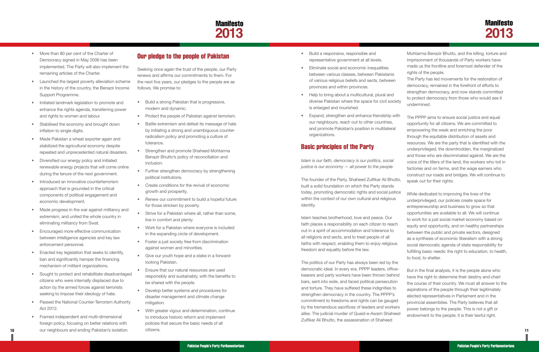## **Manifesto 2013**

- <span id="page-8-0"></span>• More than 80 per cent of the Charter of Democracy signed in May 2006 has been implemented. The Party will also implement the remaining articles of the Charter.
- Launched the largest poverty alleviation scheme in the history of the country, the Benazir Income Support Programme.
- Initiated landmark legislation to promote and enhance the rights agenda, transferring power and rights to women and labour.
- Stabilised the economy and brought down inflation to single digits.
- Made Pakistan a wheat exporter again and stabilized the agricultural economy despite repeated and unprecedented natural disasters.
- Diversified our energy policy and initiated renewable energy projects that will come online during the tenure of the next government.
- Introduced an innovative counterterrorism approach that is grounded in the critical components of political engagement and economic development.
- Made progress in the war against militancy and extremism, and united the whole country in eliminating militancy from Swat.
- **Encouraged more effective communication** between intelligence agencies and key law enforcement personnel.
- Enacted key legislation that seeks to identify. ban and significantly hamper the financing mechanism of militant organizations.
- Sought to protect and rehabilitate disadvantaged citizens who were internally displaced due to action by the armed forces against terrorists seeking to impose their ideology of hate.
- Passed the National Counter-Terrorism Authority Act 2012.
- **10 11** our neighbours and ending Pakistan's isolation. • Framed independent and multi-dimensional foreign policy, focusing on better relations with
- Build a strong Pakistan that is progressive, modern and dynamic.
- • Protect the people of Pakistan against terrorism.
- Battle extremism and defeat its message of hate by initiating a strong and unambiguous counterradicalism policy and promoting a culture of tolerance.
- **Strengthen and promote Shaheed Mohtarma** Benazir Bhutto's policy of reconciliation and inclusion.
- Further strengthen democracy by strengthening political institutions.
- Create conditions for the revival of economic growth and prosperity.
- Renew our commitment to build a hopeful future for those stricken by poverty.
- **•** Strive for a Pakistan where all, rather than some, live in comfort and plenty.
- Work for a Pakistan where everyone is included in the expanding circle of development.
- Foster a just society free from discrimination against women and minorities.
- Give our youth hope and a stake in a forwardlooking Pakistan.
- • Ensure that our natural resources are used responsibly and sustainably, with the benefits to be shared with the people.
- **Develop better systems and procedures for** disaster management and climate change mitigation.
- With greater vigour and determination, continue to introduce historic reform and implement policies that secure the basic needs of all citizens.

### Our pledge to the people of Pakistan

Seeking once again the trust of the people, our Party renews and affirms our commitments to them. For the next five years, our pledges to the people are as follows. We promise to:

#### Basic principles of the Party

*justice is our economy — all power to the people*

The founder of the Party, Shaheed Zulfikar Ali Bhutto, built a solid foundation on which the Party stands today, promoting democratic rights and social justice within the context of our own cultural and religious identity.

Islam teaches brotherhood, love and peace. Our faith places a responsibility on each citizen to reach out in a spirit of accommodation and tolerance to all religions and sects, and to treat people of all faiths with respect, enabling them to enjoy religious freedom and equality before the law.

- • Build a responsive, responsible and representative government at all levels.
- • Eliminate social and economic inequalities between various classes, between Pakistanis of various religious beliefs and sects, between provinces and within provinces.
- Help to bring about a multicultural, plural and diverse Pakistan where the space for civil society is enlarged and nourished.
- • Expand, strengthen and enhance friendship with our neighbours, reach out to other countries, and promote Pakistan's position in multilateral organizations. *Islam is our faith, democracy is our politics, social*  The PPPP aims to ensure social justice and equal opportunity for all citizens. We are committed to empowering the weak and enriching the poor through the equitable distribution of assets and resources. We are the party that is identified with the underprivileged, the downtrodden, the marginalized and those who are discriminated against. We are the voice of the tillers of the land, the workers who toil in factories and on farms, and the wage earners who construct our roads and bridges. We will continue to speak out for their rights.

Mohtarma Benazir Bhutto, and the killing, torture and imprisonment of thousands of Party workers have made us the frontline and foremost defender of the rights of the people.

The Party has led movements for the restoration of democracy, remained in the forefront of efforts to strengthen democracy, and now stands committed to protect democracy from those who would see it undermined.

The politics of our Party has always been led by the democratic ideal. In every era, PPPP leaders, officebearers and party workers have been thrown behind bars, sent into exile, and faced political persecution and torture. They have suffered these indignities to strengthen democracy in the country. The PPPP's commitment to freedoms and rights can be gauged by the tremendous sacrifices of leaders and workers alike. The judicial murder of Quaid-e-Awam Shaheed Zulfikar Ali Bhutto, the assassination of Shaheed But in the final analysis, it is the people alone who have the right to determine their destiny and chart the course of their country. We must all answer to the aspirations of the people through their legitimately elected representatives in Parliament and in the provincial assemblies. The Party believes that all power belongs to the people. This is not a gift or endowment to the people; it is their lawful right.

While dedicated to improving the lives of the underprivileged, our policies create space for entrepreneurship and business to grow so that opportunities are available to all. We will continue to work for a just social market economy based on equity and opportunity, and on healthy partnerships between the public and private sectors, designed as a synthesis of economic liberalism with a strong social democratic agenda of state responsibility for fulfilling basic needs: the right to education, to health, to food, to shelter.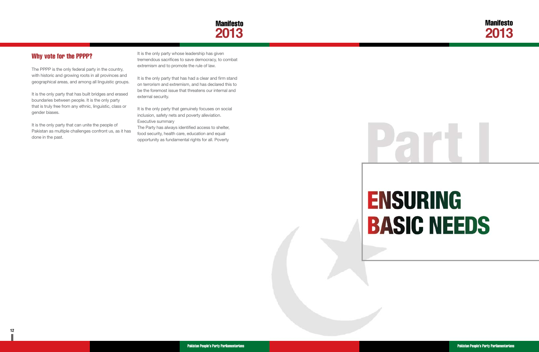

Pakistan People's Party Parliamentarians Pakistan People's Party Parliamentarians

## Why vote for the PPPP?

The PPPP is the only federal party in the country, with historic and growing roots in all provinces and geographical areas, and among all linguistic groups.

It is the only party that has built bridges and erased boundaries between people. It is the only party that is truly free from any ethnic, linguistic, class or gender biases.

It is the only party that can unite the people of Pakistan as multiple challenges confront us, as it has done in the past.

It is the only party whose leadership has given tremendous sacrifices to save democracy, to combat extremism and to promote the rule of law.

It is the only party that has had a clear and firm stand on terrorism and extremism, and has declared this to be the foremost issue that threatens our internal and external security.

It is the only party that genuinely focuses on social inclusion, safety nets and poverty alleviation. Executive summary

> (BISP) addresses the vulnerability and needs of the vulnerability and needs of the vulnerability and needs of those most at risk, and is designed to service and empower the poor by reaching out to those who are doubly disadvantaged—the key 51 per cent of our

The scale and nature of the current development challenge are not insignificant. The children of 9 and 10 million million BISP beneficiaries are una ble to attend the unable to attend the unable to attend the unable to attend

The Party has always identified access to shelter, food security, health care, education and equal opportunity as fundamental rights for all. Poverty

The BISP seeks to address this disability and has  $\mathbf{S}$ across the provincial and partisan political board, initiated a primary education programme for the enrolment of children agents of children agents of from BISP beneficiary families. In compliance with the Party's pledges, the BISP strives to reach the

security programmes address a wide spectrum

## the basic welfare of the people. Our flagship social many families families families families families families families families families families families families of the family can throw the entire household into years of struggle and debt. To that end, we have in preventive medicine, making improvements in

sector to partner creatively in our endeavours. We

#### primary school largely owing to financial constraints. Child Support Programme, a multi-sector initiative that addresses this vital relationship in the homes that it reaches. we believe that education is the fundamental right of the fundamental right of the fundamental right of the fundamental right of the fundamental right of the fundamental right of the fundamental right of the fundamental ri every citizen, and a pathway to opportunity, mobility and the realization of an individual's full potential. Every child deserves equal access to education,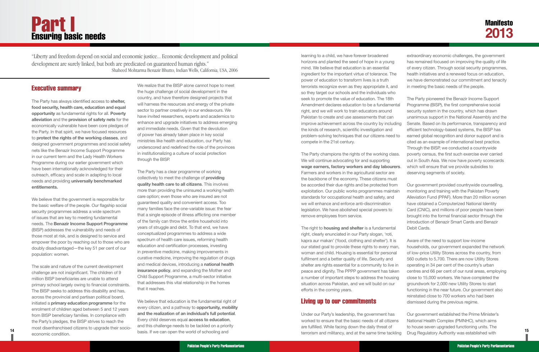### Executive summary

The Party has always identified access to **shelter, food security, health care, education and equal opportunity** as fundamental rights for all. **Poverty alleviation** and the **provision of safety nets** for the economically vulnerable have been core pledges of the Party. In that spirit, we have focused resources to **protect the rights of the working classes**, and designed government programmes and social safety nets like the Benazir Income Support Programme in our current term and the Lady Health Workers Programme during our earlier government which have been internationally acknowledged for their outreach, efficacy and scale in adapting to local needs and providing **universally benchmarked entitlements.**

We believe that the government is responsible for the basic welfare of the people. Our flagship social security programmes address a wide spectrum of issues that are key to meeting fundamental needs. The **Benazir Income Support Programme** (BISP) addresses the vulnerability and needs of those most at risk, and is designed to service and empower the poor by reaching out to those who are doubly disadvantaged—the key 51 per cent of our population: women.

The scale and nature of the current development challenge are not insignificant. The children of 9 million BISP beneficiaries are unable to attend primary school largely owing to financial constraints. The BISP seeks to address this disability and has, across the provincial and partisan political board, initiated a **primary education programme** for the enrolment of children aged between 5 and 12 years from BISP beneficiary families. In compliance with the Party's pledges, the BISP strives to reach the most disenfranchised citizens to upgrade their socioeconomic condition.

We realize that the BISP alone cannot hope to meet the huge challenge of social development in the country, and have therefore designed projects that will harness the resources and energy of the private sector to partner creatively in our endeavours. We have invited researchers, experts and academics to enhance and upgrade initiatives to address emerging and immediate needs. Given that the devolution of power has already taken place in key social ministries like health and education, our Party has underscored and redefined the role of the provinces in institutionalizing a culture of social protection through the BISP.

The Party has a clear programme of working collectively to meet the challenge of **providing quality health care to all citizens**. This involves more than providing the uninsured a working health care option; even those who are insured are not guaranteed quality and convenient access. Too many families face the one-variable issue: the fear that a single episode of illness afflicting one member of the family can throw the entire household into years of struggle and debt. To that end, we have conceptualized programmes to address a wide spectrum of health care issues, reforming health education and certification processes, investing in preventive medicine, making improvements in curative medicine, improving the regulation of drugs and medical devices, introducing a **national health insurance policy**, and expanding the Mother and Child Support Programme, a multi-sector initiative that addresses this vital relationship in the homes that it reaches.

We believe that education is the fundamental right of every citizen, and a pathway to **opportunity, mobility and the realization of an individual's full potential**. Every child deserves equal **access to education**, and this challenge needs to be tackled on a priority

## <span id="page-10-0"></span>Part I Ensuring basic needs

*"Liberty and freedom depend on social and economic justice... Economic development and political development are surely linked, but both are predicated on guaranteed human rights." Shaheed Mohtarma Benazir Bhutto, Indian Wells, California, USA, 2006*

**14 15** basis. If we can open the world of schooling and Under our Party's leadership, the government has worked to ensure that the basic needs of all citizens are fulfilled. While facing down the daily threat of terrorism and militancy, and at the same time tackling Our government established the Prime Minister's National Health Complex (PMNHC), which aims to house seven upgraded functioning units. The Drug Regulatory Authority was established with

learning to a child, we have forever broadened horizons and planted the seed of hope in a young mind. We believe that education is an essential ingredient for the important virtue of tolerance. The power of education to transform lives is a truth terrorists recognize even as they appropriate it, and so they target our schools and the individuals who seek to promote the value of education. The 18th Amendment declares education to be a fundament right, and we will work to train educators around Pakistan to create and use assessments that can improve achievement across the country by includi the kinds of research, scientific investigation and problem-solving techniques that our citizens need compete in the 21st century.

The Party champions the rights of the working class. We will continue advocating for and supporting wage earners, factory workers and day labourer Farmers and workers in the agricultural sector are the backbone of the economy. These citizens must be accorded their due rights and be protected from exploitation. Our public works programmes maintai standards for occupational health and safety, and we will enhance and enforce anti-discrimination legislation. We have abolished special powers to remove employees from service.

The right to **housing and shelter** is a fundamental right, clearly enunciated in our Party slogan, 'roti, kapra aur makan' ('food, clothing and shelter'). It is our stated goal to provide these rights to every mar woman and child. Housing is essential for personal fulfilment and a better quality of life. Security and shelter are rights essential for a community to live in peace and dignity. The PPPP government has take a number of important steps to address the housing situation across Pakistan, and we will build on our efforts in the coming years.

#### Living up to our commitments

| l       | extraordinary economic challenges, the government<br>has remained focused on improving the quality of life<br>of every citizen. Through social security programmes,<br>health initiatives and a renewed focus on education,<br>we have demonstrated our commitment and tenacity<br>in meeting the basic needs of the people.                                                                    |
|---------|-------------------------------------------------------------------------------------------------------------------------------------------------------------------------------------------------------------------------------------------------------------------------------------------------------------------------------------------------------------------------------------------------|
| :al     | The Party pioneered the Benazir Income Support<br>Programme (BISP), the first comprehensive social<br>security system in the country, which has drawn<br>unanimous support in the National Assembly and the                                                                                                                                                                                     |
| ng      | Senate. Based on its performance, transparency and<br>efficient technology-based systems, the BISP has                                                                                                                                                                                                                                                                                          |
| to      | earned global recognition and donor support and is<br>cited as an example of international best practice.<br>Through the BISP, we conducted a countrywide                                                                                                                                                                                                                                       |
| S.      | poverty census, the first such exercise ever carried<br>out in South Asia. We now have poverty scorecards                                                                                                                                                                                                                                                                                       |
| rs.     | which will ensure that we provide subsidies to<br>deserving segments of society.                                                                                                                                                                                                                                                                                                                |
| j<br>in | Our government provided countrywide counselling,<br>monitoring and training with the Pakistan Poverty<br>Alleviation Fund (PPAF). More than 20 million women<br>have obtained a Computerized National Identity<br>Card (CNIC), and millions of poor people have been<br>brought into the formal financial sector through the<br>introduction of Benazir Smart Cards and Benazir<br>Debit Cards. |
| η,<br>n | Aware of the need to support low-income<br>households, our government expanded the network<br>of low-price Utility Stores across the country, from<br>560 outlets to 5,700. There are now Utility Stores<br>operating in 34 per cent of the country's urban                                                                                                                                     |
| 'n<br>g | centres and 66 per cent of our rural areas, employing<br>close to 15,000 workers. We have completed the<br>groundwork for 2,000 new Utility Stores to start                                                                                                                                                                                                                                     |

functioning in the near future. Our government also reinstated close to 700 workers who had been dismissed during the previous regime.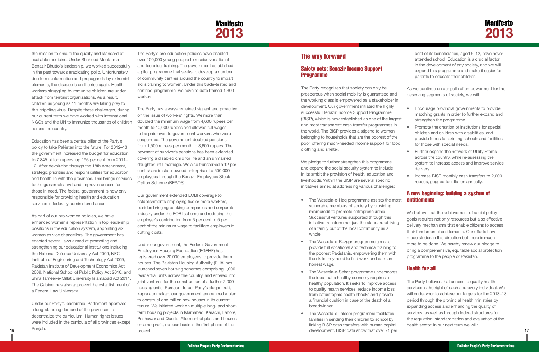## **Manifesto 2013**

<span id="page-11-0"></span>the mission to ensure the quality and standard of available medicine. Under Shaheed Mohtarma Benazir Bhutto's leadership, we worked successfully in the past towards eradicating polio. Unfortunately, due to misinformation and propaganda by extremist elements, the disease is on the rise again. Health workers struggling to immunize children are under attack from terrorist organizations. As a result, children as young as 11 months are falling prey to this crippling virus. Despite these challenges, during our current term we have worked with international NGOs and the UN to immunize thousands of children across the country.

Education has been a central pillar of the Party's policy to take Pakistan into the future. For 2012–13, the government increased the budget for education to 7.845 billion rupees, up 196 per cent from 2011– 12. After devolution through the 18th Amendment, strategic priorities and responsibilities for education and health lie with the provinces. This brings services to the grassroots level and improves access for those in need. The federal government is now only responsible for providing health and education services in federally administered areas.

As part of our pro-women policies, we have enhanced women's representation in top leadership positions in the education system, appointing six women as vice chancellors. The government has enacted several laws aimed at promoting and strengthening our educational institutions including the National Defence University Act 2009, NFC Institute of Engineering and Technology Act 2009, Pakistan Institute of Development Economics Act 2009, National School of Public Policy Act 2010, and Shifa Tameer-e-Millat University Islamabad Act 2011. The Cabinet has also approved the establishment of a Federal Law University.

Under our Party's leadership, Parliament approved a long-standing demand of the provinces to decentralize the curriculum. Human rights issues were included in the curricula of all provinces except Punjab.

**16 17** development. BISP data show that over 71 per Under our government, the Federal Government Employees Housing Foundation (FGEHF) has registered over 20,000 employees to provide them houses. The Pakistan Housing Authority (PHA) has launched seven housing schemes comprising 1,000 residential units across the country, and entered into joint ventures for the construction of a further 2,000 housing units. Pursuant to our Party's slogan, roti, kapra aur makan, our government announced a plan to construct one million new houses in its current tenure. We initiated work on multiple long- and shortterm housing projects in Islamabad, Karachi, Lahore, Peshawar and Quetta. Allotment of plots and houses on a no-profit, no-loss basis is the first phase of the project.

The Party's pro-education policies have enabled over 100,000 young people to receive vocational and technical training. The government established a pilot programme that seeks to develop a number of community centres around the country to impart skills training to women. Under this trade-tested and certified programme, we have to date trained 1,300 workers.

The Party has always remained vigilant and proactive on the issue of workers' rights. We more than doubled the minimum wage from 4,600 rupees per month to 10,000 rupees and allowed full wages to be paid even to government workers who were suspended. The government doubled pensions from 1,500 rupees per month to 3,600 rupees. The payment of survivor's pensions has been extended, covering a disabled child for life and an unmarried daughter until marriage. We also transferred a 12 per cent share in state-owned enterprises to 500,000 employees through the Benazir Employees Stock Option Scheme (BESOS).

- The Waseela-e-Haq programme assists the most vulnerable members of society by providing microcredit to promote entrepreneurship. Successful ventures supported through this initiative transform not just the standard of living of a family but of the local community as a whole.
- The Waseela-e-Rozgar programme aims to provide full vocational and technical training to the poorest Pakistanis, empowering them with the skills they need to find work and earn an honest wage.
- The Waseela-e-Sehat programme underscores the idea that a healthy economy requires a healthy population. It seeks to improve access to quality health services, reduce income loss from catastrophic health shocks and provide a financial cushion in case of the death of a breadwinner.
- The Waseela-e-Taleem programme facilitates families in sending their children to school by linking BISP cash transfers with human capital

Our government extended EOBI coverage to establishments employing five or more workers, besides bringing banking companies and corporate industry under the EOBI scheme and reducing the employer's contribution from 6 per cent to 5 per cent of the minimum wage to facilitate employers in cutting costs.

### The way forward

#### Safety nets: Benazir Income Support Programme

We pledge to further strengthen this programme and expand the social security system to include in its ambit the provision of health, education and livelihoods. Within the BISP are several specific initiatives aimed at addressing various challenges:

The Party recognizes that society can only be prosperous when social mobility is guaranteed and the working class is empowered as a stakeholder in development. Our government initiated the highly successful Benazir Income Support Programme (BISP), which is now established as one of the largest and most transparent cash transfer programmes in the world. The BISP provides a stipend to women belonging to households that are the poorest of the poor, offering much-needed income support for food, clothing and shelter. As we continue on our path of empowerment for the deserving segments of society, we will: Encourage provincial governments to provide matching grants in order to further expand and strengthen the programme. Promote the creation of institutions for special children and children with disabilities, and provide funds for existing schools and facilities for those with special needs.

cent of its beneficiaries, aged 5–12, have never attended school. Education is a crucial factor in the development of any society, and we will expand this programme and make it easier for parents to educate their children.

- 
- 
- 
- 
- 
- 
- • Further expand the network of Utility Stores across the country, while re-assessing the system to increase access and improve service delivery.
- Increase BISP monthly cash transfers to 2,000 rupees, pegged to inflation annually.

#### A new beginning: building a system of entitlements

We believe that the achievement of social policy goals requires not only resources but also effective delivery mechanisms that enable citizens to access their fundamental entitlements. Our efforts have made strides in this direction but there is much more to be done. We hereby renew our pledge to bring a comprehensive, equitable social protection programme to the people of Pakistan.

#### Health for all

The Party believes that access to quality health services is the right of each and every individual. We will endeavour to achieve our targets for the 2013–18 period through the provincial health ministries by expanding access and enhancing the quality of services, as well as through federal structures for the regulation, standardization and evaluation of the health sector. In our next term we will: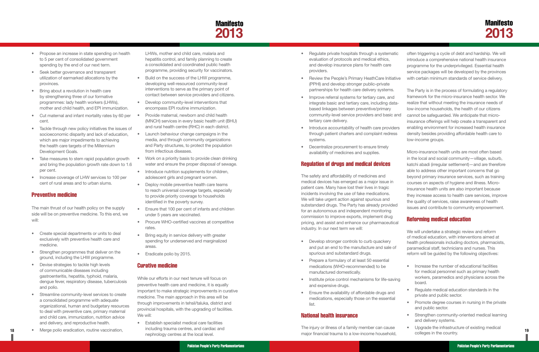## **Manifesto 2013**

- <span id="page-12-0"></span>• Propose an increase in state spending on health to 5 per cent of consolidated government spending by the end of our next term.
- Seek better governance and transparent utilization of earmarked allocations by the provinces.
- Bring about a revolution in health care by strengthening three of our formative programmes: lady health workers (LHWs), mother and child health, and EPI immunization.
- Cut maternal and infant mortality rates by 60 per cent.
- Tackle through new policy initiatives the issues of socioeconomic disparity and lack of education, which are major impediments to achieving the health care targets of the Millennium Development Goals.
- Take measures to stem rapid population growth and bring the population growth rate down to 1.6 per cent.
- Increase coverage of LHW services to 100 per cent of rural areas and to urban slums.

#### Preventive medicine

The main thrust of our health policy on the supply side will be on preventive medicine. To this end, we will:

- • Create special departments or units to deal exclusively with preventive health care and medicine.
- Strengthen programmes that deliver on the ground, including the LHW programme.
- Devise strategies to tackle high levels of communicable diseases including gastroenteritis, hepatitis, typhoid, malaria, dengue fever, respiratory disease, tuberculosis and polio.
- Streamline community-level services to create a consolidated programme with adequate organizational, human and budgetary resources to deal with preventive care, primary maternal and child care, immunization, nutrition advice and delivery, and reproductive health.
- 

LHWs, mother and child care, malaria and hepatitis control, and family planning to create a consolidated and coordinated public health programme, providing security for vaccinators.

- Build on the success of the LHW programme, developing well-resourced community-level interventions to serve as the primary point of contact between service providers and citizens.
- • Develop community-level interventions that encompass EPI routine immunization.
- Provide maternal, newborn and child health (MNCH) services in every basic health unit (BHU) and rural health centre (RHC) in each district.
- Launch behaviour change campaigns in the media, and through community organizations and Party structures, to protect the population from infectious diseases.
- Work on a priority basis to provide clean drinking water and ensure the proper disposal of sewage.
- Introduce nutrition supplements for children, adolescent girls and pregnant women.
- Deploy mobile preventive health care teams to reach universal coverage targets, especially to provide priority coverage to households identified in the poverty survey.
- Ensure that 100 per cent of infants and children under 5 years are vaccinated.
- Procure WHO-certified vaccines at competitive rates.
- Bring equity in service delivery with greater spending for underserved and marginalized areas.
- Eradicate polio by 2015.
- Develop stronger controls to curb quackery and put an end to the manufacture and sale of spurious and substandard drugs.
- Prepare a formulary of at least 50 essential medications (WHO-recommended) to be manufactured domestically.
- Institute price control mechanisms for life-saving and expensive drugs.
- Ensure the availability of affordable drugs and medications, especially those on the essential list.

**18 19** • Merge polio eradication, routine vaccination, The injury or illness of a family member can cause major financial trauma to a low-income household,

#### Curative medicine

While our efforts in our next tenure will focus on preventive health care and medicine, it is equally important to make strategic improvements in curative medicine. The main approach in this area will be through improvements in tehsil/taluka, district and provincial hospitals, with the upgrading of facilities. We will:

• Establish specialist medical care facilities including trauma centres, and cardiac and nephrology centres at the local level.

- Increase the number of educational facilities for medical personnel such as primary health workers, paramedics and physicians across the board.
- Regulate medical education standards in the private and public sector.
- Promote degree courses in nursing in the private and public sector.
- Strengthen community-oriented medical learning and delivery systems.
- • Upgrade the infrastructure of existing medical colleges in the country.
- Regulate private hospitals through a systematic evaluation of protocols and medical ethics, and develop insurance plans for health care providers. • Review the People's Primary HeathCare Initiative often triggering a cycle of debt and hardship. We will introduce a comprehensive national health insurance programme for the underprivileged. Essential health service packages will be developed by the provinces with certain minimum standards of service delivery.
- (PPHI) and develop stronger public–private partnerships for health care delivery systems.
- Improve referral systems for tertiary care, and integrate basic and tertiary care, including databased linkages between preventive/primary community-level service providers and basic and tertiary care delivery.
- Introduce accountability of health care providers through patient charters and complaint redress systems.
- Decentralize procurement to ensure timely availability of medicines and supplies.

#### Regulation of drugs and medical devices

The safety and affordability of medicines and medical devices has emerged as a major issue in patient care. Many have lost their lives in tragic incidents involving the use of fake medications. We will take urgent action against spurious and substandard drugs. The Party has already provided for an autonomous and independent monitoring commission to improve exports, implement drug pricing, and assist and enhance our pharmaceutical industry. In our next term we will:

#### National health insurance

The Party is in the process of formulating a regulatory framework for the micro-insurance health sector. We realize that without meeting the insurance needs of low-income households, the health of our citizens cannot be safeguarded. We anticipate that microinsurance offerings will help create a transparent and enabling environment for increased health insurance density besides providing affordable health care to low-income groups.

Micro-insurance health units are most often based in the local and social community—village, suburb, katchi abadi (irregular settlement)—and are therefore able to address other important concerns that go beyond primary insurance services, such as training courses on aspects of hygiene and illness. Microinsurance health units are also important because they increase access to health care services, improve the quality of services, raise awareness of health issues and contribute to community empowerment.

#### Reforming medical education

We will undertake a strategic review and reform of medical education, with interventions aimed at health professionals including doctors, pharmacists, paramedical staff, technicians and nurses. This reform will be guided by the following objectives: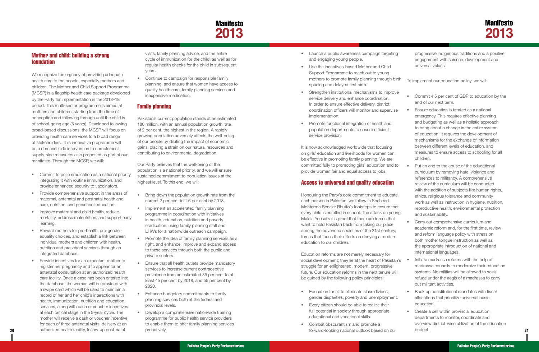

#### Mother and child: building a strong foundation

- Commit to polio eradication as a national priority, integrating it with routine immunization, and provide enhanced security to vaccinators.
- Provide comprehensive support in the areas of maternal, antenatal and postnatal health and care, nutrition, and preschool education.
- Improve maternal and child health, reduce mortality, address malnutrition, and support early learning.
- Reward mothers for pro-health, pro-genderequality choices, and establish a link between individual mothers and children with health, nutrition and preschool services through an integrated database.
- Provide incentives for an expectant mother to register her pregnancy and to appear for an antenatal consultation at an authorized health care facility. Once a case has been entered into the database, the woman will be provided with a swipe card which will be used to maintain a record of her and her child's interactions with health, immunization, nutrition and education services, along with cash or voucher incentives at each critical stage in the 5-year cycle. The mother will receive a cash or voucher incentive for each of three antenatal visits, delivery at an authorized health facility, follow-up post-natal

- Bring down the population growth rate from the current 2 per cent to 1.6 per cent by 2018.
- Implement an accelerated family planning programme in coordination with initiatives in health, education, nutrition and poverty eradication, using family planning staff and LHWs for a nationwide outreach campaign.
- Promote the idea of family planning services as a right, and enhance, improve and expand access to these services through both the public and private sectors.
- Ensure that all health outlets provide mandatory services to increase current contraceptive prevalence from an estimated 35 per cent to at least 45 per cent by 2018, and 55 per cent by 2020.
- Enhance budgetary commitments to family planning services both at the federal and provincial levels.
- Develop a comprehensive nationwide training programme for public health service providers to enable them to offer family planning services proactively.

- Launch a public awareness campaign targeting and engaging young people.
- Use the incentives-based Mother and Child Support Programme to reach out to young mothers to promote family planning through bi spacing and delayed first birth.
- Strengthen institutional mechanisms to improve service delivery and enhance coordination. In order to ensure effective delivery, district coordination officers will monitor and supervis implementation.
- • Promote functional integration of health and population departments to ensure efficient service provision.

#### Family planning

- • Education for all to eliminate class divides, gender disparities, poverty and unemployment
- Every citizen should be able to realize their full potential in society through appropriate educational and vocational skills.
- Combat obscurantism and promote a

<span id="page-13-0"></span>

| <b>Mother and child: building a strong</b><br><b>foundation</b><br>We recognize the urgency of providing adequate<br>health care to the people, especially mothers and<br>children. The Mother and Child Support Programme<br>(MCSP) is a flagship health care package developed<br>by the Party for implementation in the 2013-18                                                                                                                                                                                                                                                                                                                                                                                                         | visits, family planning advice, and the entire<br>cycle of immunization for the child, as well as for<br>regular health checks for the child in subsequent<br>years.<br>Continue to campaign for responsible family<br>$\bullet$<br>planning, and ensure that women have access to<br>quality health care, family planning services and<br>inexpensive medication.                                                                                                                                                                                                                                                                                                                                                                                                   | Launch a public awareness campaign targeting<br>and engaging young people.<br>Use the incentives-based Mother and Child<br>Support Programme to reach out to young<br>mothers to promote family planning through birth<br>spacing and delayed first birth.<br>Strengthen institutional mechanisms to improve<br>service delivery and enhance coordination.                                                                                                                                                                                                                                                                                                                                                                                         | progressive indigenous traditions and a positive<br>engagement with science, development and<br>universal values.<br>To implement our education policy, we will:<br>Commit 4.5 per cent of GDP to education by the                                                                                                                                                                                                                                                                                                                                                                                                                                                                                                          |
|--------------------------------------------------------------------------------------------------------------------------------------------------------------------------------------------------------------------------------------------------------------------------------------------------------------------------------------------------------------------------------------------------------------------------------------------------------------------------------------------------------------------------------------------------------------------------------------------------------------------------------------------------------------------------------------------------------------------------------------------|----------------------------------------------------------------------------------------------------------------------------------------------------------------------------------------------------------------------------------------------------------------------------------------------------------------------------------------------------------------------------------------------------------------------------------------------------------------------------------------------------------------------------------------------------------------------------------------------------------------------------------------------------------------------------------------------------------------------------------------------------------------------|----------------------------------------------------------------------------------------------------------------------------------------------------------------------------------------------------------------------------------------------------------------------------------------------------------------------------------------------------------------------------------------------------------------------------------------------------------------------------------------------------------------------------------------------------------------------------------------------------------------------------------------------------------------------------------------------------------------------------------------------------|-----------------------------------------------------------------------------------------------------------------------------------------------------------------------------------------------------------------------------------------------------------------------------------------------------------------------------------------------------------------------------------------------------------------------------------------------------------------------------------------------------------------------------------------------------------------------------------------------------------------------------------------------------------------------------------------------------------------------------|
| period. This multi-sector programme is aimed at<br>mothers and children, starting from the time of<br>conception and following through until the child is<br>of school-going age (5 years). Developed following<br>broad-based discussions, the MCSP will focus on<br>providing health care services to a broad range<br>of stakeholders. This innovative programme will<br>be a demand-side intervention to complement<br>supply-side measures also proposed as part of our<br>manifesto. Through the MCSP, we will:<br>Commit to polio eradication as a national priority.<br>integrating it with routine immunization, and<br>provide enhanced security to vaccinators.                                                                 | <b>Family planning</b><br>Pakistan's current population stands at an estimated<br>180 million, with an annual population growth rate<br>of 2 per cent, the highest in the region. A rapidly<br>growing population adversely affects the well-being<br>of our people by diluting the impact of economic<br>gains, placing a strain on our natural resources and<br>contributing to environmental degradation.<br>Our Party believes that the well-being of the<br>population is a national priority, and we will ensure<br>sustained commitment to population issues at the<br>highest level. To this end, we will:                                                                                                                                                   | In order to ensure effective delivery, district<br>coordination officers will monitor and supervise<br>implementation.<br>• Promote functional integration of health and<br>population departments to ensure efficient<br>service provision.<br>It is now acknowledged worldwide that focusing<br>on girls' education and livelihoods for women can<br>be effective in promoting family planning. We are<br>committed fully to promoting girls' education and to<br>provide women fair and equal access to jobs.<br><b>Access to universal and quality education</b>                                                                                                                                                                               | end of our next term.<br>Ensure education is treated as a national<br>emergency. This requires effective planning<br>and budgeting as well as a holistic approach<br>to bring about a change in the entire system<br>of education. It requires the development of<br>mechanisms for the exchange of information<br>between different levels of education, and<br>measures to ensure access to schooling for all<br>children.<br>Put an end to the abuse of the educational<br>curriculum by removing hate, violence and<br>references to militancy. A comprehensive<br>review of the curriculum will be conducted                                                                                                           |
| • Provide comprehensive support in the areas of<br>maternal, antenatal and postnatal health and<br>care, nutrition, and preschool education.<br>Improve maternal and child health, reduce<br>mortality, address malnutrition, and support early<br>learning.<br>Reward mothers for pro-health, pro-gender-<br>equality choices, and establish a link between<br>individual mothers and children with health.<br>nutrition and preschool services through an<br>integrated database.<br>Provide incentives for an expectant mother to<br>register her pregnancy and to appear for an<br>antenatal consultation at an authorized health<br>care facility. Once a case has been entered into<br>the database, the woman will be provided with | Bring down the population growth rate from the<br>$\bullet$<br>current 2 per cent to 1.6 per cent by 2018.<br>Implement an accelerated family planning<br>$\bullet$<br>programme in coordination with initiatives<br>in health, education, nutrition and poverty<br>eradication, using family planning staff and<br>LHWs for a nationwide outreach campaign.<br>• Promote the idea of family planning services as a<br>right, and enhance, improve and expand access<br>to these services through both the public and<br>private sectors.<br>Ensure that all health outlets provide mandatory<br>$\bullet$<br>services to increase current contraceptive<br>prevalence from an estimated 35 per cent to at<br>least 45 per cent by 2018, and 55 per cent by<br>2020. | Honouring the Party's core commitment to educate<br>each person in Pakistan, we follow in Shaheed<br>Mohtarma Benazir Bhutto's footsteps to ensure that<br>every child is enrolled in school. The attack on young<br>Malala Yousafzai is proof that there are forces that<br>want to hold Pakistan back from taking our place<br>among the advanced societies of the 21st century,<br>forces that focus their efforts on denying a modern<br>education to our children.<br>Education reforms are not merely necessary for<br>social development; they lie at the heart of Pakistan's<br>struggle for an enlightened, modern, progressive<br>future. Our education reforms in the next tenure will<br>be guided by the following policy principles: | with the addition of subjects like human rights,<br>ethics, religious tolerance and community<br>work as well as instruction in hygiene, nutrition,<br>reproductive health, environmental protection<br>and sustainability.<br>Carry out comprehensive curriculum and<br>academic reform and, for the first time, review<br>and reform language policy with stress on<br>both mother tongue instruction as well as<br>the appropriate introduction of national and<br>international languages.<br>Initiate madrassa reforms with the help of<br>madrassa councils to modernize their education<br>systems. No militias will be allowed to seek<br>refuge under the aegis of a madrassa to carry<br>out militant activities. |
| a swipe card which will be used to maintain a<br>record of her and her child's interactions with<br>health, immunization, nutrition and education<br>services, along with cash or voucher incentives<br>at each critical stage in the 5-year cycle. The<br>mother will receive a cash or voucher incentive<br>for each of three antenatal visits, delivery at an<br>authorized health facility, follow-up post-natal                                                                                                                                                                                                                                                                                                                       | Enhance budgetary commitments to family<br>planning services both at the federal and<br>provincial levels.<br>Develop a comprehensive nationwide training<br>programme for public health service providers<br>to enable them to offer family planning services<br>proactively.                                                                                                                                                                                                                                                                                                                                                                                                                                                                                       | Education for all to eliminate class divides,<br>gender disparities, poverty and unemployment.<br>• Every citizen should be able to realize their<br>full potential in society through appropriate<br>educational and vocational skills.<br>Combat obscurantism and promote a<br>forward-looking national outlook based on our                                                                                                                                                                                                                                                                                                                                                                                                                     | Back up constitutional mandates with fiscal<br>allocations that prioritize universal basic<br>education.<br>Create a cell within provincial education<br>departments to monitor, coordinate and<br>overview district-wise utilization of the education<br>budget.                                                                                                                                                                                                                                                                                                                                                                                                                                                           |

#### Access to universal and quality education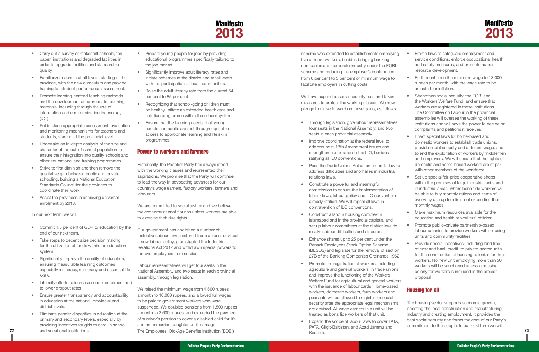## **Manifesto 2013**

- <span id="page-14-0"></span>• Carry out a survey of makeshift schools, 'onpaper' institutions and degraded facilities in order to upgrade facilities and standardize quality.
- Familiarize teachers at all levels, starting at the province, with the new curriculum and provide training for student performance assessment.
- Promote learning-centred teaching methods and the development of appropriate teaching materials, including through the use of information and communication technology (ICT).
- Put in place appropriate assessment, evaluation and monitoring mechanisms for teachers and students, starting at the provincial level.
- Undertake an in-depth analysis of the size and character of the out-of-school population to ensure their integration into quality schools and other educational and training programmes.
- Strive to first diminish and then remove the qualitative gap between public and private schooling, building a National Education Standards Council for the provinces to coordinate their work.
- Assist the provinces in achieving universal enrolment by 2018.

- Commit 4.5 per cent of GDP to education by the end of our next term.
- Take steps to decentralize decision making for the utilization of funds within the education system.
- Significantly improve the quality of education, ensuring measurable learning outcomes especially in literacy, numeracy and essential life skills.
- Intensify efforts to increase school enrolment and to lower dropout rates.
- Ensure greater transparency and accountability in education at the national, provincial and district levels.
- • Eliminate gender disparities in education at the primary and secondary levels, especially by providing incentives for girls to enrol in school and vocational institutions.

In our next term, we will:

- Prepare young people for jobs by providing educational programmes specifically tailored to the job market.
- Significantly improve adult literacy rates and initiate schemes at the district and tehsil levels with the participation of local communities.
- Raise the adult literacy rate from the current 54 per cent to 85 per cent.
- Recognizing that school-going children must be healthy, initiate an extended health care and nutrition programme within the school system.
- Ensure that the learning needs of all young people and adults are met through equitable access to appropriate learning and life skills programmes.

**22 23** The Employees' Old-Age Benefits Institution (EOBI) We raised the minimum wage from 4,600 rupees a month to 10,000 rupees, and allowed full wages to be paid to government workers who were suspended. We doubled pensions from 1,500 rupees a month to 3,600 rupees, and extended the payment of survivor's pension to cover a disabled child for life and an unmarried daughter until marriage.

#### Power to workers and farmers

Historically, the People's Party has always stood with the working classes and represented their aspirations. We promise that the Party will continue to lead the way in advocating advances for our country's wage earners, factory workers, farmers and labourers.

We are committed to social justice and we believe the economy cannot flourish unless workers are able to exercise their due rights.

Our government has abolished a number of restrictive labour laws, restored trade unions, devised a new labour policy, promulgated the Industrial Relations Act 2012 and withdrawn special powers to remove employees from service.

Labour representatives will get four seats in the National Assembly, and two seats in each provincial assembly, through legislation.

- Frame laws to safeguard employment and service conditions, enforce occupational health and safety measures, and promote human resource development.
	- Further enhance the minimum wage to 18,000 rupees per month, with the wage rate to be adjusted for inflation.
	- Strengthen social security, the EOBI and the Workers Welfare Fund, and ensure that workers are registered in these institutions. The Committee on Labour in the provincial assemblies will oversee the working of these institutions and will have the power to decide on complaints and petitions it receives.
	- • Enact special laws for home-based and domestic workers to establish trade unions, provide social security and a decent wage, and to end the exploitation of workers by middlemen and employers. We will ensure that the rights of domestic and home-based workers are at par with other members of the workforce.
	- Set up special fair-price cooperative shops within the premises of large industrial units and in industrial areas, where bona fide workers will be able to buy monthly rations and items of everyday use up to a limit not exceeding their monthly wages.
	- Make maximum resources available for the education and health of workers' children.
- Promote public–private partnership-based labour colonies to provide workers with housing units and community facilities.
- Provide special incentives, including land free of cost and bank credit, to private-sector units for the construction of housing colonies for their workers. No new unit employing more than 50 workers will be sanctioned unless a housing colony for workers is included in the project proposal.
- 

scheme was extended to establishments employing five or more workers, besides bringing banking companies and corporate industry under the EOBI scheme and reducing the employer's contribution from 6 per cent to 5 per cent of minimum wage to facilitate employers in cutting costs.

We have expanded social security nets and taken measures to protect the working classes. We now pledge to move forward on these gains, as follows:

- • Through legislation, give labour representatives four seats in the National Assembly, and two seats in each provincial assembly.
- Improve coordination at the federal level to address post-18th Amendment issues and strengthen our position in the ILO, besides ratifying all ILO conventions.
- Pass the Trade Unions Act as an umbrella law to address difficulties and anomalies in industrial relations laws.
- • Constitute a powerful and meaningful commission to ensure the implementation of labour laws, labour policy and ILO conventions already ratified. We will repeal all laws in contravention of ILO conventions.
- **•** Construct a labour housing complex in Islamabad and in the provincial capitals, and set up labour committees at the district level to resolve labour difficulties and disputes.
- Enhance shares up to 25 per cent under the Benazir Employees Stock Option Scheme (BESOS) and legislate for the removal of section 27B of the Banking Companies Ordinance 1962.
- **Promote the registration of workers, including** agriculture and general workers, in trade unions and improve the functioning of the Workers Welfare Fund for agricultural and general workers with the issuance of labour cards. Home-based workers, domestic workers, farm workers and peasants will be allowed to register for social security after the appropriate legal mechanisms are devised. All wage earners in a unit will be treated as bona fide workers of that unit.
- Expand the scope of labour laws to cover FATA, PATA, Gilgit-Baltistan, and Azad Jammu and Kashmir.

## Housing for all

The housing sector supports economic growth, boosting the local construction and manufacturing industry and creating employment. It provides the best social security and forms the core of our Party's commitment to the people. In our next term we will: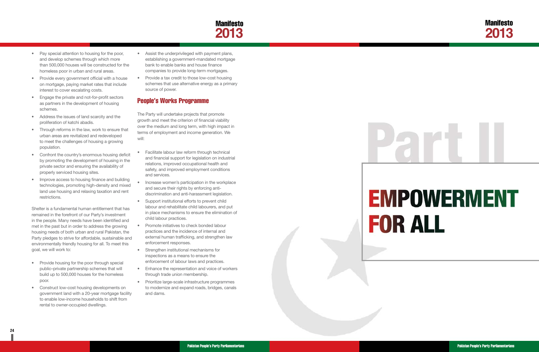

# **EMPOWERMENT FOR ALL**

- <span id="page-15-0"></span>• Pay special attention to housing for the poor, and develop schemes through which more than 500,000 houses will be constructed for the homeless poor in urban and rural areas.
- Provide every government official with a house on mortgage, paying market rates that include interest to cover escalating costs.
- Engage the private and not-for-profit sectors as partners in the development of housing schemes.
- Address the issues of land scarcity and the proliferation of katchi abadis.
- Through reforms in the law, work to ensure that urban areas are revitalized and redeveloped to meet the challenges of housing a growing population.
- • Confront the country's enormous housing deficit by promoting the development of housing in the private sector and ensuring the availability of properly serviced housing sites.
- Improve access to housing finance and building technologies, promoting high-density and mixed land use housing and relaxing taxation and rent restrictions.

- Provide housing for the poor through special public–private partnership schemes that will build up to 500,000 houses for the homeless poor.
- Construct low-cost housing developments on government land with a 20-year mortgage facility to enable low-income households to shift from rental to owner-occupied dwellings.
- Assist the underprivileged with payment plans, establishing a government-mandated mortgage bank to enable banks and house finance companies to provide long-term mortgages.
- Provide a tax credit to those low-cost housing schemes that use alternative energy as a primary source of power.

Shelter is a fundamental human entitlement that has remained in the forefront of our Party's investment in the people. Many needs have been identified and met in the past but in order to address the growing housing needs of both urban and rural Pakistan, the Party pledges to strive for affordable, sustainable and environmentally friendly housing for all. To meet this goal, we will work to:

- Facilitate labour law reform through technical and financial support for legislation on industrial relations, improved occupational health and safety, and improved employment conditions and services.
- Increase women's participation in the workplace and secure their rights by enforcing antidiscrimination and anti-harassment legislation.
- Support institutional efforts to prevent child labour and rehabilitate child labourers, and put in place mechanisms to ensure the elimination of child labour practices.
- **Promote initiatives to check bonded labour** practices and the incidence of internal and external human trafficking, and strengthen law enforcement responses.
- Strengthen institutional mechanisms for inspections as a means to ensure the enforcement of labour laws and practices.
- Enhance the representation and voice of workers through trade union membership.
- • Prioritize large-scale infrastructure programmes to modernize and expand roads, bridges, canals and dams.

### People's Works Programme

The Party will undertake projects that promote growth and meet the criterion of financial viability over the medium and long term, with high impact in terms of employment and income generation. We will: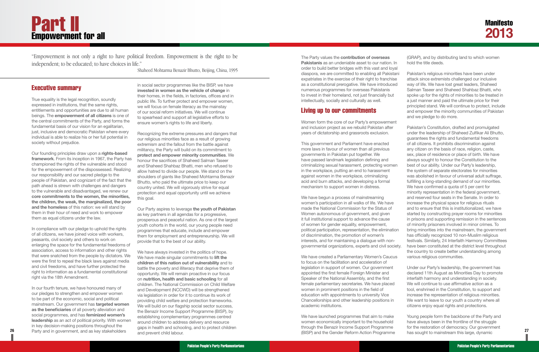Executive summary

True equality is the legal recognition, soundly expressed in institutions, that the same rights, entitlements and opportunities are due to all human beings. The **empowerment of all citizens** is one of the central commitments of the Party, and forms the fundamental basis of our vision for an egalitarian, just, inclusive and democratic Pakistan where every individual is able to realize his or her full potential in society without prejudice.

Our founding principles draw upon a **rights-based framework**. From its inception in 1967, the Party has championed the rights of the vulnerable and stood for the empowerment of the dispossessed. Realizing our responsibility and our sacred pledge to the people of Pakistan, and cognizant of the fact that the path ahead is strewn with challenges and dangers to the vulnerable and disadvantaged, we renew our **core commitments to the women, the minorities, the children, the weak, the marginalized, the poor and the homeless** of this nation: we will stand by them in their hour of need and work to empower them as equal citizens under the law.

**26 27** Party and in government, and as key stakeholders In our fourth tenure, we have honoured many of our pledges to strengthen and empower women to be part of the economic, social and political mainstream. Our government has **targeted women as the beneficiaries** of all poverty alleviation and social programmes, and has **feminized women's leadership** as an act of political priority. With women in key decision-making positions throughout the

In compliance with our pledge to uphold the rights of all citizens, we have joined voice with workers, peasants, civil society and others to work on enlarging the space for the fundamental freedoms of association, access to information and other rights that were snatched from the people by dictators. We were the first to repeal the black laws against media and civil freedoms, and have further protected the right to information as a fundamental constitutional right via the 18th Amendment.

# <span id="page-16-0"></span>**Part II** Empowerment for all

in social sector programmes like the BISP, we have **invested in women as the vehicle of change** in their homes, in the fields, in factories, offices and in public life. To further protect and empower women, we will focus on female literacy as the mainstay of our social reform initiatives. We will continue to spearhead and support all legislative efforts to ensure women's rights to life and liberty.

Recognizing the extreme pressures and dangers that our religious minorities face as a result of growing extremism and the fallout from the battle against militancy, the Party will build on its commitment to **protect and empower minority communities**. We honour the sacrifices of Shaheed Salman Taseer and Shaheed Shahbaz Bhatti, men who refused to allow hatred to divide our people. We stand on the shoulders of giants like Shaheed Mohtarma Benazir Bhutto, who paid the ultimate price to keep our country united. We will vigorously strive for equal protection and equal opportunity until we achieve this goal.

Our Party aspires to leverage **the youth of Pakistan** as key partners in all agendas for a progressive, prosperous and peaceful nation. As one of the largest youth cohorts in the world, our young people need programmes that educate, include and empower them for employment and entrepreneurship. We will provide that to the best of our ability.

We have always invested in the politics of hope. We have made singular commitments to **lift the children of this nation out of vulnerability** and to battle the poverty and illiteracy that deprive them of opportunity. We will remain proactive in our focus on **nutrition, health and basic schooling** for all children. The National Commission on Child Welfare and Development (NCCWD) will be strengthened via legislation in order for it to continue its work of providing child welfare and protection frameworks. We will build on our flagship social sector success, the Benazir Income Support Programme (BISP), by establishing complementary programmes centred around children to address delivery and resource gaps in health and schooling, and to protect children and prevent child labour.

*"Empowerment is not only a right to have political freedom. Empowerment is the right to be independent; to be educated; to have choices in life."* 

*Shaheed Mohtarma Benazir Bhutto, Beijing, China, 1995*

The Party values the **contribution of overseas Pakistanis** as an undeniable asset to our nation. In order to build better bridges with this vast and loyal diaspora, we are committed to enabling all Pakistani expatriates in the exercise of their right to franchise as a constitutional prerogative. We have introduced numerous programmes for overseas Pakistanis to invest in their homeland, not just financially but intellectually, socially and culturally as well.

#### Living up to our commitments

have passed landmark legislation defining and criminalizing sexual harassment, protecting women in the workplace, putting an end to harassment against women in the workplace, criminalizing acid and burn attacks, and developing a formal mechanism to support women in distress.

We have begun a process of mainstreaming women's participation in all walks of life. We have made the National Commission for the Status of Women autonomous of government, and given it full institutional support to advance the cause of women for gender equality, empowerment, political participation, representation, the elimination of discrimination, the promotion of women's interests, and for maintaining a dialogue with nongovernmental organizations, experts and civil society.

Women form the core of our Party's empowerment and inclusion project as we rebuild Pakistan after years of dictatorship and grassroots exclusion. This government and Parliament have enacted more laws in favour of women than all previous governments in Pakistan put together. We Pakistan's Constitution, drafted and promulgated under the leadership of Shaheed Zulfikar Ali Bhutto, guarantees the rights and fundamental freedoms of all citizens. It prohibits discrimination against any citizen on the basis of race, religion, caste, sex, place of residence or place of birth. We have always sought to honour the Constitution to the

We have created a Parliamentary Women's Caucus to focus on the facilitation and acceleration of legislation in support of women. Our government appointed the first female Foreign Minister and Speaker of the National Assembly, and the first female parliamentary secretaries. We have placed women in prominent positions in the field of education with appointments to university Vice Chancellorships and other leadership positions in academic institutions.

We have launched programmes that aim to make women economically important to the household through the Benazir Income Support Programme (BISP) and the Gender Reform Action Programme

(GRAP), and by distributing land to which women hold the title deeds.

Pakistan's religious minorities have been under attack since extremists challenged our inclusive way of life. We have lost great leaders, Shaheed Salman Taseer and Shaheed Shahbaz Bhatti, who spoke up for the rights of minorities to be treated in a just manner and paid the ultimate price for their principled stand. We will continue to protect, include and empower the minority communities of Pakistan and we pledge to do more.

- best of our ability. Under our Party's leadership, the system of separate electorates for minorities was abolished in favour of universal adult suffrage, fulfilling a long-standing demand of our minorities. We have confirmed a quota of 5 per cent for minority representation in the federal government, and reserved four seats in the Senate. In order to increase the physical space for religious rituals and to ensure that this is institutionalized, we have started by constructing prayer rooms for minorities in prisons and supporting remission in the sentences of minority prisoners involved in minor crimes. To bring minorities into the mainstream, the government
- has officially recognized 10 non-Muslim religious festivals. Similarly, 24 Interfaith Harmony Committees have been constituted at the district level throughout
- the country to create better understanding among various religious communities.

Under our Party's leadership, the government has declared 11th August as Minorities Day to promote interfaith harmony and understanding in society. We will continue to use affirmative action as a tool, enshrined in the Constitution, to support and increase the representation of religious minorities. We want to leave to our youth a country where all citizens enjoy equal rights and protections.

Young people form the backbone of the Party and have always been in the frontline of the struggle for the restoration of democracy. Our government has sought to mainstream this large, dynamic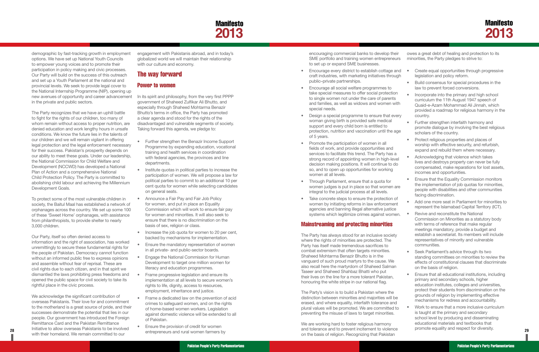## Manifesto **2013**

- • Further strengthen the Benazir Income Support Programme by expanding education, vocational training and health services in coordination with federal agencies, the provinces and line departments.
- Institute quotas in political parties to increase the participation of women. We will propose a law for political parties to commit to an additional 10 per cent quota for women while selecting candidates on general seats.
- Announce a Fair Pay and Fair Job Policy for women, and put in place an Equality Commission which will work to ensure fair pay for women and minorities. It will also seek to ensure that there is no discrimination on the basis of sex, religion or class.
- Increase the job quota for women to 20 per cent, backed by mechanisms for implementation.
- **Ensure the mandatory representation of women** in all private- and public-sector boards.
- • Engage the National Commission for Human Development to target one million women for literacy and education programmes.
- Frame progressive legislation and ensure its implementation at all levels to secure women's rights to life, dignity, access to resources, employment, inheritance and justice.
- Frame a dedicated law on the prevention of acid crimes to safeguard women, and on the rights of home-based women workers. Legislation against domestic violence will be extended to all of Pakistan.
- Ensure the provision of credit for women

- Encourage every district to establish cottage ar craft industries, with marketing initiatives through public–private partnerships.
- Encourage all social welfare programmes to take special measures to offer social protection to single women not under the care of parents and families, as well as widows and women with special needs.
- Design a special programme to ensure that every woman giving birth is provided safe medical support and every child born is entitled to protection, nutrition and vaccination until the ag of 5 years.
- Promote the participation of women in all fields of work, and provide opportunities and services to facilitate this trend. The Party has a strong record of appointing women in high-level decision making positions. It will continue to do so, and to open up opportunities for working women at all levels.
- Through Parliament, ensure that a quota for women judges is put in place so that women are integral to the judicial process at all levels.
- Take concrete steps to ensure the protection of women by initiating reforms in law enforcement agencies and banning illegal alternative justice systems which legitimize crimes against wome.

#### The way forward

#### Power to women

<span id="page-17-0"></span>

| demographic by fast-tracking growth in employment<br>options. We have set up National Youth Councils<br>to empower young voices and to promote their                                                                                                                                                                                                                                                                                                                                                                                                                                                                                                          | engagement with Pakistanis abroad, and in today's<br>globalized world we will maintain their relationship<br>with our culture and economy.                                                                                                                                                                                                                                                                                                  | encouraging commercial banks to develop their<br>SME portfolio and training women entrepreneurs<br>to set up or expand SME businesses.                                                                                                                                                                                                                                                                                                                                                                                                                                                    | owes a great debt of healing and protection to its<br>minorities, the Party pledges to strive to:                                                                                                                                                                                                                                                                                                                                                                                                           |
|---------------------------------------------------------------------------------------------------------------------------------------------------------------------------------------------------------------------------------------------------------------------------------------------------------------------------------------------------------------------------------------------------------------------------------------------------------------------------------------------------------------------------------------------------------------------------------------------------------------------------------------------------------------|---------------------------------------------------------------------------------------------------------------------------------------------------------------------------------------------------------------------------------------------------------------------------------------------------------------------------------------------------------------------------------------------------------------------------------------------|-------------------------------------------------------------------------------------------------------------------------------------------------------------------------------------------------------------------------------------------------------------------------------------------------------------------------------------------------------------------------------------------------------------------------------------------------------------------------------------------------------------------------------------------------------------------------------------------|-------------------------------------------------------------------------------------------------------------------------------------------------------------------------------------------------------------------------------------------------------------------------------------------------------------------------------------------------------------------------------------------------------------------------------------------------------------------------------------------------------------|
| participation in policy making and civic processes.<br>Our Party will build on the success of this outreach<br>and set up a Youth Parliament at the national and<br>provincial levels. We seek to provide legal cover to<br>the National Internship Programme (NIP), opening up<br>new avenues of opportunity and career advancement<br>in the private and public sectors.<br>The Party recognizes that we have an uphill battle<br>to fight for the rights of our children, too many of<br>whom remain without access to proper nutrition, are<br>denied education and work lengthy hours in unsafe<br>conditions. We know the future lies in the talents of | The way forward<br><b>Power to women</b><br>In its spirit and philosophy, from the very first PPPP<br>government of Shaheed Zulfikar Ali Bhutto, and<br>especially through Shaheed Mohtarma Benazir<br>Bhutto's terms in office, the Party has promoted<br>a clear agenda and stood for the rights of the<br>disadvantaged and vulnerable segments of society.<br>Taking forward this agenda, we pledge to:                                 | • Encourage every district to establish cottage and<br>craft industries, with marketing initiatives through<br>public-private partnerships.<br>Encourage all social welfare programmes to<br>take special measures to offer social protection<br>to single women not under the care of parents<br>and families, as well as widows and women with<br>special needs.<br>Design a special programme to ensure that every<br>woman giving birth is provided safe medical<br>support and every child born is entitled to<br>protection, nutrition and vaccination until the age<br>of 5 years. | Create equal opportunities through progressive<br>legislation and policy reform.<br>Build consensus for special procedures in the<br>law to prevent forced conversions.<br>Incorporate into the primary and high school<br>curriculum the 11th August 1947 speech of<br>Quaid-e-Azam Mohammad Ali Jinnah, which<br>provided a roadmap for religious harmony in the<br>country.<br>Further strengthen interfaith harmony and<br>promote dialogue by involving the best religious<br>scholars of the country. |
| our children and we will remain vigilant in offering<br>legal protection and the legal enforcement necessary<br>for their success. Pakistan's prosperity depends on<br>our ability to meet these goals. Under our leadership,<br>the National Commission for Child Welfare and<br>Development (NCCWD) has developed a National<br>Plan of Action and a comprehensive National                                                                                                                                                                                                                                                                                 | Further strengthen the Benazir Income Support<br>$\bullet$<br>Programme by expanding education, vocational<br>training and health services in coordination<br>with federal agencies, the provinces and line<br>departments.<br>Institute quotas in political parties to increase the                                                                                                                                                        | Promote the participation of women in all<br>fields of work, and provide opportunities and<br>services to facilitate this trend. The Party has a<br>strong record of appointing women in high-level<br>decision making positions. It will continue to do<br>so, and to open up opportunities for working<br>women at all levels.                                                                                                                                                                                                                                                          | Protect religious properties and places of<br>worship with effective security, and refurbish,<br>expand and rebuild them where necessary.<br>Acknowledging that violence which takes<br>lives and destroys property can never be fully<br>compensated, make reparations for lost assets,<br>incomes and opportunities.                                                                                                                                                                                      |
| Child Protection Policy. The Party is committed to<br>abolishing child labour and achieving the Millennium<br>Development Goals.                                                                                                                                                                                                                                                                                                                                                                                                                                                                                                                              | participation of women. We will propose a law for<br>political parties to commit to an additional 10 per<br>cent quota for women while selecting candidates<br>on general seats.                                                                                                                                                                                                                                                            | Through Parliament, ensure that a quota for<br>women judges is put in place so that women are<br>integral to the judicial process at all levels.                                                                                                                                                                                                                                                                                                                                                                                                                                          | Ensure that the Equality Commission monitors<br>the implementation of job quotas for minorities,<br>people with disabilities and other communities<br>facing discrimination.                                                                                                                                                                                                                                                                                                                                |
| To protect some of the most vulnerable children in<br>society, the Baitul Maal has established a network of<br>orphanages across the country. We set up some 100<br>of these 'Sweet Home' orphanages, with assistance<br>from philanthropists, to provide shelter to nearly<br>3,000 children.                                                                                                                                                                                                                                                                                                                                                                | Announce a Fair Pay and Fair Job Policy<br>$\bullet$<br>for women, and put in place an Equality<br>Commission which will work to ensure fair pay<br>for women and minorities. It will also seek to<br>ensure that there is no discrimination on the<br>basis of sex, religion or class.                                                                                                                                                     | Take concrete steps to ensure the protection of<br>women by initiating reforms in law enforcement<br>agencies and banning illegal alternative justice<br>systems which legitimize crimes against women.<br><b>Mainstreaming and protecting minorities</b>                                                                                                                                                                                                                                                                                                                                 | Add one more seat in Parliament for minorities to<br>represent the Islamabad Capital Territory (ICT).<br>Revive and reconstitute the National<br>Commission on Minorities as a statutory body<br>with terms of reference that make regular                                                                                                                                                                                                                                                                  |
| Our Party, itself so often denied access to<br>information and the right of association, has worked<br>unremittingly to secure these fundamental rights for<br>the people of Pakistan. Democracy cannot function<br>without an informed public free to express opinions<br>and assemble without fear of reprisal. These are<br>civil rights due to each citizen, and in that spirit we<br>dismantled the laws prohibiting press freedoms and<br>opened the public space for civil society to take its                                                                                                                                                         | Increase the job quota for women to 20 per cent,<br>backed by mechanisms for implementation.<br>Ensure the mandatory representation of women<br>$\bullet$ .<br>in all private- and public-sector boards.<br>Engage the National Commission for Human<br>Development to target one million women for<br>literacy and education programmes.<br>Frame progressive legislation and ensure its<br>implementation at all levels to secure women's | The Party has always stood for an inclusive society<br>where the rights of minorities are protected. The<br>Party has itself made tremendous sacrifices to<br>combat extremism that often targets minorities.<br>Shaheed Mohtarma Benazir Bhutto is in the<br>vanguard of such proud martyrs to the cause. We<br>also recall here the martyrdom of Shaheed Salman<br>Taseer and Shaheed Shahbaz Bhatti who put<br>their lives on the line for a more tolerant Pakistan,<br>honouring the white stripe in our national flag.                                                               | meetings mandatory, provide a budget and<br>establish a secretariat. Its members will include<br>representatives of minority and vulnerable<br>communities.<br>Seek Parliament's advice through its two<br>standing committees on minorities to review the<br>effects of constitutional clauses that discriminate<br>on the basis of religion.<br>Ensure that all educational institutions, including<br>primary and secondary schools, higher                                                              |
| rightful place in the civic process.<br>We acknowledge the significant contribution of<br>overseas Pakistanis. Their love for and commitment<br>to the motherland is a great source of pride, and their<br>successes demonstrate the potential that lies in our<br>people. Our government has introduced the Foreign<br>Remittance Card and the Pakistan Remittance<br>Initiative to allow overseas Pakistanis to be involved<br>with their homeland. We remain committed to our                                                                                                                                                                              | rights to life, dignity, access to resources,<br>employment, inheritance and justice.<br>• Frame a dedicated law on the prevention of acid<br>crimes to safeguard women, and on the rights<br>of home-based women workers. Legislation<br>against domestic violence will be extended to all<br>of Pakistan.<br>Ensure the provision of credit for women<br>$\bullet$<br>entrepreneurs and rural women farmers by                            | The Party's vision is to build a Pakistan where the<br>distinction between minorities and majorities will be<br>erased, and where equality, interfaith tolerance and<br>plural values will be promoted. We are committed to<br>preventing the misuse of laws to target minorities.<br>We are working hard to foster religious harmony<br>and tolerance and to prevent incitement to violence<br>on the basis of religion. Recognizing that Pakistan                                                                                                                                       | education institutes, colleges and universities,<br>protect their students from discrimination on the<br>grounds of religion by implementing effective<br>mechanisms for redress and accountability.<br>Work to ensure that a more inclusive curriculum<br>is taught at the primary and secondary<br>school level by producing and disseminating<br>educational materials and textbooks that<br>promote equality and respect for diversity.                                                                 |

#### Mainstreaming and protecting minorities

We are working hard to foster religious harmony and tolerance and to prevent incitement to violence on the basis of religion. Recognizing that Pakistan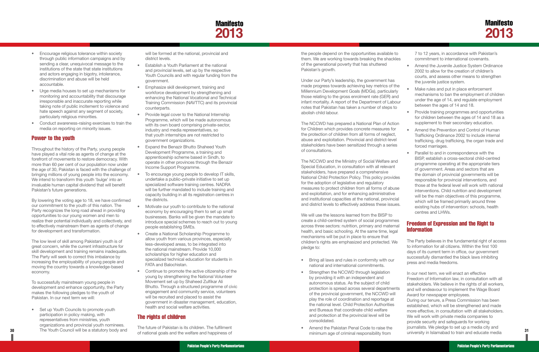## Manifesto **2013**

- <span id="page-18-0"></span>• Encourage religious tolerance within society through public information campaigns and by sending a clear, unequivocal message to the institutions of the state that state institutions and actors engaging in bigotry, intolerance, discrimination and abuse will be held accountable.
- • Urge media houses to set up mechanisms for monitoring and accountability that discourage irresponsible and inaccurate reporting while taking note of public incitement to violence and hate speech against any segment of society, particularly religious minorities.
- • Conduct awareness-raising exercises to train the media on reporting on minority issues.

#### Power to the youth

Throughout the history of the Party, young people have played a vital role as agents of change at the forefront of movements to restore democracy. With more than 60 per cent of our population now under the age of 30, Pakistan is faced with the challenge of bringing millions of young people into the economy. We intend to transform this youth 'bulge' into an invaluable human capital dividend that will benefit Pakistan's future generations.

Set up Youth Councils to promote youth participation in policy making, with representatives from ministries, youth organizations and provincial youth nominees.

By lowering the voting age to 18, we have confirmed our commitment to the youth of this nation. The Party recognizes the long road ahead in providing opportunities to our young women and men to realize their potential individually and collectively, and to effectively mainstream them as agents of change for development and transformation.

The low level of skill among Pakistani youth is of great concern, while the current infrastructure for skill development and training remains inadequate. The Party will seek to correct this imbalance by increasing the employability of young people and moving the country towards a knowledge-based economy.

To successfully mainstream young people in development and enhance opportunity, the Party makes the following pledges to the youth of Pakistan. In our next term we will:

- Establish a Youth Parliament at the national and provincial levels, set up by the respective Youth Councils and with regular funding from the government.
- Emphasize skill development, training and workforce development by strengthening and enhancing the National Vocational and Technical Training Commission (NAVTTC) and its provincial counterparts.
- Provide legal cover to the National Internship Programme, which will be made autonomous with its own board comprising private-sector, industry and media representatives, so that youth internships are not restricted to government organizations.
- Expand the Benazir Bhutto Shaheed Youth Development Programme, a training and apprenticeship scheme based in Sindh, to operate in other provinces through the Benazir Income Support Programme.
- To encourage young people to develop IT skills, undertake a public–private initiative to set up specialized software training centres. NADRA will be further mandated to include training and capacity building in all its registration centres in the districts.
- Motivate our youth to contribute to the national economy by encouraging them to set up small businesses. Banks will be given the mandate to introduce special schemes to reach out to young people establishing SMEs.
- Create a National Scholarship Programme to allow youth from various provinces, especially less-developed areas, to be integrated into the national mainstream. Provide 10,000 scholarships for higher education and specialized technical education for students in FATA and Balochistan.
- • Continue to promote the active citizenship of the young by strengthening the National Volunteer Movement set up by Shaheed Zulfikar Ali Bhutto. Through a structured programme of civic engagement and community service, volunteers will be recruited and placed to assist the government in disaster management, education, health and social welfare activities.

will be formed at the national, provincial and district levels.

> The NCCWD has prepared a National Plan of Action for Children which provides concrete measures for the protection of children from all forms of neglect, abuse and exploitation. Provincial and district-level stakeholders have been sensitized through a series of consultations.

> The NCCWD and the Ministry of Social Welfare and Special Education, in consultation with all relevant stakeholders, have prepared a comprehensive National Child Protection Policy. This policy provide for the adoption of legislative and regulatory measures to protect children from all forms of abuse and exploitation, and for enhancing administrative and institutional capacities at the national, provincial and district levels to effectively address these issue

- Bring all laws and rules in conformity with our national and international commitments.
- Strengthen the NCCWD through legislation by providing it with an independent and autonomous status. As the subject of child protection is spread across several departments of the provincial government, the NCCWD will play the role of coordination and reportage at the national level. Child Protection Authorities and Bureaus that coordinate child welfare and protection at the provincial level will be consolidated.
- Amend the Pakistan Penal Code to raise the minimum age of criminal responsibility from

#### The rights of children

**30 31** The Youth Council will be a statutory body and In our next term, we will enact an effective Freedom of Information law, in consultation with all stakeholders. We believe in the rights of all workers, and will endeavour to implement the Wage Board Award for newspaper employees. During our tenure, a Press Commission has been established, which will be strengthened and made more effective, in consultation with all stakeholders. We will work with private media companies to provide security and safeguards for working journalists. We pledge to set up a media city and university in Islamabad to train and educate media

The future of Pakistan is its children. The fulfilment of national goals and the welfare and happiness of

the people depend on the opportunities available to them. We are working towards breaking the shackle of the generational poverty that has shuttered Pakistan's growth.

Under our Party's leadership, the government has made progress towards achieving key metrics of the Millennium Development Goals (MDGs), particularly those relating to the gross enrolment rate (GER) and infant mortality. A report of the Department of Labor notes that Pakistan has taken a number of steps to abolish child labour.

We will use the lessons learned from the BISP to create a child-centred system of social programmes across three sectors: nutrition, primary and maternal health, and basic schooling. At the same time, legal mechanisms will be put in place to ensure that children's rights are emphasized and protected. We pledge to:

| J<br><b>es</b> | 7 to 12 years, in accordance with Pakistan's<br>commitment to international covenants.                                                                                                    |
|----------------|-------------------------------------------------------------------------------------------------------------------------------------------------------------------------------------------|
|                | Amend the Juvenile Justice System Ordinance<br>2002 to allow for the creation of children's<br>courts, and assess other means to strengthen<br>the juvenile justice system.               |
| Ιe<br>þ<br>ur  | Make rules and put in place enforcement<br>mechanisms to ban the employment of children<br>under the age of 14, and regulate employment<br>between the ages of 14 and 18.                 |
| n              | Provide training programmes and opportunities<br>for children between the ages of 14 and 18 as a<br>supplement to their secondary education.                                              |
|                | Amend the Prevention and Control of Human<br>Trafficking Ordinance 2002 to include internal<br>trafficking, drug trafficking, the organ trade and<br>forced marriages.                    |
| ł              | Parallel to and in correspondence with the<br>BISP, establish a cross-sectoral child-centred<br>programme operating at the appropriate tiers<br>of government. Areas and sectors that are |
| ЭŚ             | the domain of provincial governments will be<br>responsible for provincial interventions, and<br>those at the federal level will work with national                                       |
| e              | interventions. Child nutrition and development                                                                                                                                            |
| al<br>S.       | will be the main objectives of this programme,<br>which will be framed primarily around three<br>existing hubs of intervention: schools, health<br>centres and LHWs.                      |
| S<br>al<br>I   | <b>Freedom of Expression and the Right to</b><br><b>Information</b>                                                                                                                       |

The Party believes in the fundamental right of access to information for all citizens. Within the first 100 days of its current term in office, our government successfully dismantled the black laws inhibiting press and media freedoms.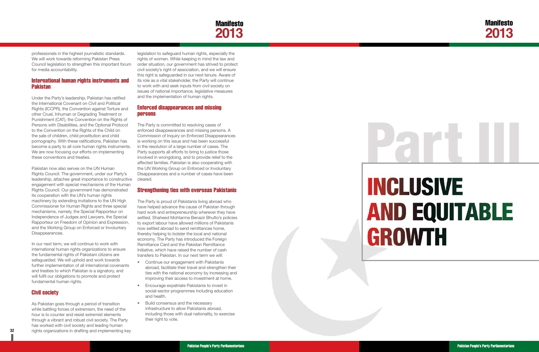

# **INCLUSIVE AND EQUITABLE GROWTH**

Pakistan People's Party Parliamentarians **Pakistan People's Party Parliamentarians** Pakistan People's Party Parliamentarians

<span id="page-19-0"></span>professionals in the highest journalistic standards. We will work towards reforming Pakistan Press Council legislation to strengthen this important forum for media accountability.

#### International human rights instruments and Pakistan

Under the Party's leadership, Pakistan has ratified the International Covenant on Civil and Political Rights (ICCPR), the Convention against Torture and other Cruel, Inhuman or Degrading Treatment or Punishment (CAT), the Convention on the Rights of Persons with Disabilities, and the Optional Protocol to the Convention on the Rights of the Child on the sale of children, child prostitution and child pornography. With these ratifications, Pakistan has become a party to all core human rights instruments. We are now focusing our efforts on implementing these conventions and treaties.

**32 33** rights organizations in drafting and implementing key As Pakistan goes through a period of transition while battling forces of extremism, the need of the hour is to counter and resist extremist elements through a vibrant and robust civil society. The Party has worked with civil society and leading human

Pakistan now also serves on the UN Human Rights Council. The government, under our Party's leadership, attaches great importance to constructive engagement with special mechanisms of the Human Rights Council. Our government has demonstrated its cooperation with the UN's human rights machinery by extending invitations to the UN High Commissioner for Human Rights and three special mechanisms, namely, the Special Rapporteur on Independence of Judges and Lawyers, the Special Rapporteur on Freedom of Opinion and Expression, and the Working Group on Enforced or Involuntary Disappearances.

In our next term, we will continue to work with international human rights organizations to ensure the fundamental rights of Pakistani citizens are safeguarded. We will uphold and work towards further implementation of all international covenants and treaties to which Pakistan is a signatory, and will fulfil our obligations to promote and protect fundamental human rights.

#### Civil society

- Continue our engagement with Pakistanis abroad, facilitate their travel and strengthen their ties with the national economy by increasing and improving their access to investment at home.
- • Encourage expatriate Pakistanis to invest in social-sector programmes including education and health.
- Build consensus and the necessary infrastructure to allow Pakistanis abroad, including those with dual nationality, to exercise their right to vote.

legislation to safeguard human rights, especially the rights of women. While keeping in mind the law and order situation, our government has strived to protect civil society's right of association, and we will ensure this right is safeguarded in our next tenure. Aware of its role as a vital stakeholder, the Party will continue to work with and seek inputs from civil society on issues of national importance, legislative measures and the implementation of human rights.

#### Enforced disappearances and missing persons

The Party is committed to resolving cases of enforced disappearances and missing persons. A Commission of Inquiry on Enforced Disappearances is working on this issue and has been successful in the resolution of a large number of cases. The Party supports all efforts to bring to justice those involved in wrongdoing, and to provide relief to the affected families. Pakistan is also cooperating with the UN Working Group on Enforced or Involuntary Disappearances and a number of cases have been cleared.

#### Strengthening ties with overseas Pakistanis

The Party is proud of Pakistanis living abroad who have helped advance the cause of Pakistan through hard work and entrepreneurship wherever they have settled. Shaheed Mohtarma Benazir Bhutto's policies to export labour have allowed millions of Pakistanis now settled abroad to send remittances home, thereby helping to bolster the local and national economy. The Party has introduced the Foreign Remittance Card and the Pakistan Remittance Initiative, which have raised the number of cash transfers to Pakistan. In our next term we will: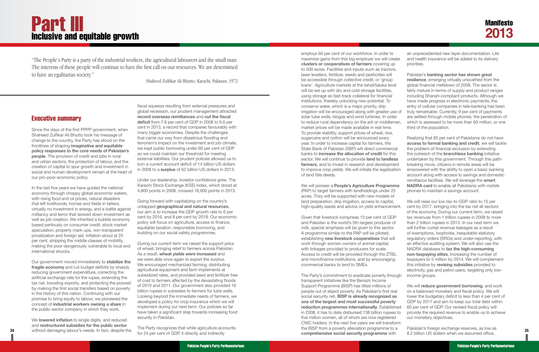#### Executive summary

Since the days of the first PPPP government, when Shaheed Zulfikar Ali Bhutto took his message of change to the country, the Party has stood on the frontlines of shaping **imaginative and equitable policy responses to the core needs of Pakistan's people**. The provision of credit and jobs in rural and urban sectors, the protection of labour, and the creation of capital to spur growth and investment in social and human development remain at the heart of our pro-poor economic policy.

We **lowered inflation** to single digits, and reduced and **restructured subsidies for the public sector**

In the last five years we have guided the national economy through choppy global economic waters, with rising food and oil prices, natural disasters that left livelihoods, homes and fields in tatters, virtually no investment in energy, and a battle against militancy and terror that slowed down investment as well as job creation. We inherited a bubble economy based perilously on consumer credit, stock market speculation, property mark-ups, non-transparent privatization and foreign aid. Inflation stood at 25 per cent, stripping the middle classes of mobility, making the poor dangerously vulnerable to local and international shocks.

Our government moved immediately to **stabilize the fragile economy** and cut budget deficits by sharply reducing government expenditure, correcting the artificial exchange rate for the rupee, extending the tax net, boosting exports, and protecting the poorest by making the first social transfers based on poverty in the history of this nation. Continuing with our promise to bring equity to labour, we pioneered the concept of **industrial workers owning a share** in the public-sector company in which they work.

fiscal squeeze resulting from external pressures and global recession, our prudent management attracted **record overseas remittances** and **cut the fiscal deficit** from 7.6 per cent of GDP in 2008 to 6.6 per cent in 2013, a record that compares favourably with many bigger economies. Despite the challenges that came our way from disastrous flooding and terrorism's impact on the investment and job climate, we kept public borrowing under 60 per cent of GDP so we could maintain our threshold for meeting external liabilities. Our prudent policies allowed us to turn a current account deficit of 14 billion US dollars in 2008 to a **surplus** of 62 billion US dollars in 2013.

Under our leadership, investor confidence grew. The Karachi Stock Exchange (KSE) index, which stood at 4,800 points in 2008, crossed 18,000 points in 2013.

Going forward with capitalizing on the country's untapped **geographical and natural resources**, our aim is to increase the GDP growth rate to 6 per cent by 2016, and 8 per cent by 2018. Our economic policy will focus on agriculture, access to finance, equitable taxation, responsible borrowing, and building on our social safety programmes.

During our current term we raised the support price of wheat, bringing relief to farmers across Pakistan. As a result, **wheat yields were increased** and we were able once again to export the surplus. We encouraged mechanized farming, distributing agricultural equipment and farm implements at subsidized rates, and provided seed and fertilizer free of cost to farmers affected by the devastating floods of 2010 and 2011. Our government also provided 16 billion rupees in subsidies to farmers for tube wells. Looking beyond the immediate needs of farmers, we developed a policy for crop insurance which we will implement during our next term. Our policies so far have taken a significant step towards increasing food security in Pakistan.

The Party recognizes that while agriculture accounts for 24 per cent of GDP, it directly and indirectly

**34** without damaging labour's needs. In fact, despite the the contract and individually contract the second second second the contract of the contract of the contract of the contract of the contract of the contract of the The Party's commitment to eradicate poverty through transparent initiatives like the Benazir Income Support Programme (BISP) has lifted millions of people out of abject poverty. As Pakistan's first real social security net, **BISP is already recognized as one of the largest and most successful poverty reduction programmes internationally**. Established in 2008, it has to date disbursed 138 billion rupees to five million women, all of whom are now registered CNIC holders. In the next five years we will transform the BISP from a poverty alleviation programme to a **comprehensive social security programme** with income groups. We will **reduce government borrowing**, and work on a balanced monetary and fiscal policy. We will lower the budgetary deficit to less than 4 per cent of GDP by 2017 and aim to keep our total debt within 60 per cent of GDP. Our revised fiscal policy will provide the required revenue to enable us to achieve our monetary objectives. Pakistan's foreign exchange reserves, as low as 8.2 billion US dollars when we assumed office,

# <span id="page-20-0"></span>**Part III** Inclusive and equitable growth

employs 60 per cent of our workforce. In order to maximize gains from this big employer we will create **clusters or cooperatives of farmers** covering up to 500 acres. Facilities and inputs such as tractors, laser levellers, fertilizer, seeds and pesticides will be accessible through collective credit, or 'group loans'. Agriculture markets at the tehsil/taluka level will be set up with dry and cold storage facilities, using storage as fast-track collateral for financial institutions, thereby unlocking new potential. To conserve water, which is a major priority, drip irrigation will be encouraged along with greater use of solar tube wells, biogas and wind turbines. In order to reduce rural dependency on the arti or middleman, market prices will be made available in real time. To provide stability, support prices of wheat, rice, sugarcane and cotton will be announced every year. In order to increase capital for farmers, the State Bank of Pakistan (SBP) will direct commercial banks to **increase the allocation of credit** for this sector. We will continue to provide **land to landless farmers**, and to invest in research and development to improve crop yields. We will initiate the legalization of land title deeds. an unprecedented new layer documentation. Life and health insurance will be added to its delivery priorities. Pakistan's **banking sector has shown great resilience**, emerging virtually unscathed from the global financial meltdown of 2008. The sector is fairly mature in terms of supply and product ranges including Shariah-compliant products. Although we have made progress in electronic payments, the entry of cellular companies in tele-banking has been truly remarkable. Currently, 9 per cent of payments are settled through mobile phones, the penetration of which is assessed to be more than 60 million, or one third of the population. Realizing that 85 per cent of Pakistanis do not have **access to formal banking and credit**, we will tackle the problem of financial exclusion by extending the outreach of the **branchless banking** initiative undertaken by this government. Through this pathbreaking move, citizens in remote areas will be empowered with the ability to open a basic banking account along with access to savings and domestic remittance facilities. We will leverage the **smart** 

We will pioneer a **People's Agriculture Programme** (PAP) to target farmers with landholdings under 25 acres. They will be supported with new models of land preparation, drip irrigation, access to capital, high-quality seeds and advice on yield enhancement. **NADRA card** to enable all Pakistanis with mobile phones to maintain a savings account. We will raise our low tax-to-GDP ratio to 15 per

Given that livestock comprises 13 per cent of GDP and Pakistan is the world's 5th-largest producer of milk, special emphasis will be given to this sector. A programme similar to the PAP will be piloted, establishing **new livestock cooperatives** that will work through women owners of animal capital, with linkages provided to producers for scale. Access to credit will be provided through the ZTBL and microfinance institutions, and by encouraging commercial banks to lend to SMEs. cent by 2017, bringing into the tax net all sectors of the economy. During our current term, we raised tax revenues from 1 trillion rupees in 2008 to more than 2 trillion rupees in 2013. In our next term we will further curtail revenue leakages as a result of exemptions, loopholes, inequitable statutory regulatory orders (SROs) and under-reporting, with an effective auditing system. We will also use the NADRA database to **tax the high-consuming non-taxpaying elites**, increasing the number of taxpayers to 5 million by 2014. We will complement this initiative by **revising subsidies** provided to electricity, gas and petrol users, targeting only low-

*"The People's Party is a party of the industrial workers, the agricultural labourers and the small man. The interests of these people will continue to have the first call on our resources. We are determined to have an egalitarian society."*

*Shaheed Zulfikar Ali Bhutto, Karachi, Pakistan, 1972*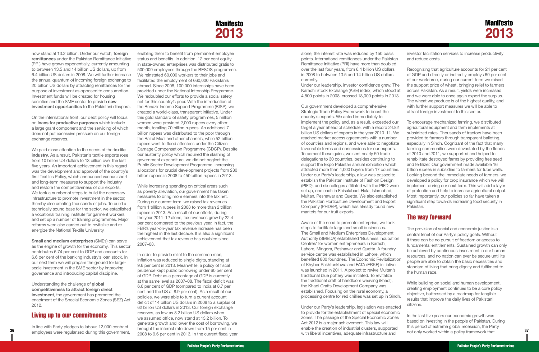

On the international front, our debt policy will focus on **loans for productive purposes** which include a large grant component and the servicing of which does not put excessive pressure on our foreign exchange reserves.

<span id="page-21-0"></span>now stand at 13.2 billion. Under our watch, **foreign remittances** under the Pakistan Remittance Initiative (PRI) have grown exponentially, currently amounting to between 13.5 and 14 billion US dollars, up from 6.4 billion US dollars in 2008. We will further increase the annual quantum of incoming foreign exchange to 20 billion US dollars by attracting remittances for the purpose of investment as opposed to consumption. Investment funds will be created for housing societies and the SME sector to provide **new investment opportunities** to the Pakistani diaspora.

We paid close attention to the needs of the **textile industry**. As a result, Pakistan's textile exports rose from 10 billion US dollars to 13 billion over the last five years. An important achievement in this regard was the development and approval of the country's first Textiles Policy, which announced various shortand long-term measures to support the industry and restore the competitiveness of our exports. We took a number of steps to build the necessary infrastructure to promote investment in the sector, thereby also creating thousands of jobs. To build a technically sound base for the sector, we established a vocational training institute for garment workers and set up a number of training programmes. Major reforms were also carried out to revitalize and reenergize the National Textile University.

**Small and medium enterprises** (SMEs) can serve as the engine of growth for the economy. This sector contributes 6.74 per cent to GDP and accounts for 6.6 per cent of the banking industry's loan stock. In our next term we will prepare the ground for largescale investment in the SME sector by improving governance and introducing capital discipline.

Understanding the challenge of **global competitiveness to attract foreign direct investment**, the government has promoted the enactment of the Special Economic Zones (SEZ) Act 2012.

#### Living up to our commitments

In line with Party pledges to labour, 12,000 contract employees were regularized during this government, enabling them to benefit from permanent employee status and benefits. In addition, 12 per cent equity in state-owned enterprises was distributed gratis to 500,000 employees through the BESOS programme. We reinstated 60,000 workers to their jobs and facilitated the employment of 660,000 Pakistanis abroad. Since 2008, 100,000 internships have been provided under the National Internship Programme. We redoubled our efforts to provide a social safety net for this country's poor. With the introduction of the Benazir Income Support Programme (BISP), we created a world-class, transparent initiative. Under this gold standard of safety programmes, 5 million women were provided 2,000 rupees every other month, totalling 70 billion rupees. An additional 7 billion rupees was distributed to the poor through the Baitul Maal and other channels, while 52 billion rupees went to flood affectees under the Citizen Damage Compensation Programme (CDCP). Despite our austerity policy which required the slashing of government expenditure, we did not neglect the Public Sector Development Programme, increasing allocations for crucial development projects from 280 billion rupees in 2008 to 450 billion rupees in 2013.

While increasing spending on critical areas such as poverty alleviation, our government has taken measures to bring more earners into the tax net. During our current term, we raised tax revenues from 1 trillion rupees in 2008 to more than 2 trillion rupees in 2013. As a result of our efforts, during the year 2011–12 alone, tax revenues grew by 22.4 per cent compared to the previous year. In fact, the FBR's year-on-year tax revenue increase has been the highest in the last decade. It is also a significant achievement that tax revenue has doubled since 2007–08.

In order to provide relief to the common man, inflation was reduced to single digits, standing at 9.6 per cent in 2013. Meanwhile, a policy of fiscal prudence kept public borrowing under 60 per cent of GDP. Debt as a percentage of GDP is currently at the same level as 2007–08. The fiscal deficit was 6.6 per cent of GDP (compared to India at 8.7 per cent and the US at 8.9 per cent). As a result of our policies, we were able to turn a current account deficit of 14 billion US dollars in 2008 to a surplus of 62 billion US dollars in 2013. Our foreign exchange reserves, as low as 8.2 billion US dollars when we assumed office, now stand at 13.2 billion. To generate growth and lower the cost of borrowing, we brought the interest rate down from 15 per cent in 2008 to 9.6 per cent in 2013. In the current fiscal year

**36 37** not only worked within a policy framework that Under our Party's leadership, legislation was enacted to provide for the establishment of special economic zones. The passage of the Special Economic Zones Act 2012 is a major achievement. This law will enable the creation of industrial clusters, supported with liberal incentives, adequate infrastructure and In the last five years our economic growth was based on investing in the people of Pakistan. During this period of extreme global recession, the Party

alone, the interest rate was reduced by 150 basis points. International remittances under the Pakistan Remittance Initiative (PRI) have more than doubled

over the last four years, from 6.4 billion US dollars in 2008 to between 13.5 and 14 billion US dollars currently. Under our leadership, investor confidence grew. The Karachi Stock Exchange (KSE) index, which stood at 4,800 points in 2008, crossed 18,000 points in 2013. Our government developed a comprehensive Recognizing that agriculture accounts for 24 per cent of GDP and directly or indirectly employs 60 per cent of our workforce, during our current term we raised the support price of wheat, bringing relief to farmers across Pakistan. As a result, yields were increased and we were able to once again export the surplus. The wheat we produce is of the highest quality, and with further support measures we will be able to

Strategic Trade Policy Framework to boost the country's exports. We acted immediately to implement the policy and, as a result, exceeded our target a year ahead of schedule, with a record 24.82 billion US dollars of exports in the year 2010–11. We reached market access agreements with a number of countries and regions, and were able to negotiate favourable terms and concessions for our exports. To cement these gains, we sent nearly 50 trade delegations to 30 countries, besides continuing to support the Expo Pakistan annual exhibition which attracted more than 4,000 buyers from 17 countries. Under our Party's leadership, a law was passed to establish the Pakistan Institute of Fashion Design (PIFD), and six colleges affiliated with the PIFD were set up, one each in Faisalabad, Hala, Islamabad, Multan, Peshawar and Quetta. We also established the Pakistan Horticulture Development and Export Company (PHDEP), which has already found new markets for our fruit exports. attract foreign investment to this sector. To encourage mechanized farming, we distributed agricultural equipment and farm implements at subsidized rates. Thousands of tractors have been provided to farmers through transparent balloting, especially in Sindh. Cognizant of the fact that many farming communities were devastated by the floods of 2010 and 2011, we supported and helped to rehabilitate destroyed farms by providing free seed and fertilizer. Our government made available 16 billion rupees in subsidies to farmers for tube wells. Looking beyond the immediate needs of farmers, we developed a policy for crop insurance which we will implement during our next term. This will add a layer of protection and help to increase agricultural output. Most importantly, our policies so far have taken a significant step towards increasing food security in Pakistan.

| investor facilitation services to increase productivity |
|---------------------------------------------------------|
| and reduce costs.                                       |

Aware of the need to promote enterprise, we took steps to facilitate large and small businesses. The Small and Medium Enterprises Development Authority (SMEDA) established 'Business Incubation Centres' for women entrepreneurs in Karachi, Lahore, Mingora, Peshawar and Quetta. A foundry service centre was established in Lahore, which benefited 800 foundries. The Economic Revitalization of Khyber Pakhtunkhwa and FATA (ERKF) initiative was launched in 2011. A project to revive Multan's traditional blue pottery was initiated. To revitalize the traditional craft of handloom weaving (khadi), the Khadi Crafts Development Company was established. Focusing on the rural economy, a processing centre for red chillies was set up in Sindh. The provision of social and economic justice is a central tenet of our Party's policy goals. Without it there can be no pursuit of freedom or access to fundamental entitlements. Sustained growth can only be achieved by continuous investment in our human resources, and no nation can ever be secure until its people are able to obtain the basic necessities and standard of living that bring dignity and fulfilment to the human race. While building on social and human development, creating employment continues to be a core policy objective, buttressed by a roadmap for tangible results that improve the daily lives of Pakistani citizens.

#### The way forward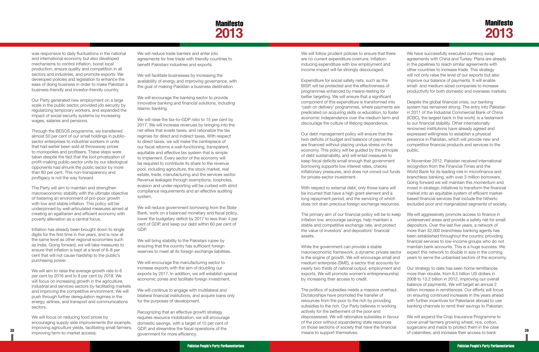## Manifesto **2013**

was responsive to daily fluctuations in the national and international economy but also developed mechanisms to control inflation, boost local production, ensure quality and competition in all sectors and industries, and promote exports. We developed policies and legislation to enhance the ease of doing business in order to make Pakistan a business-friendly and investor-friendly country.

Our Party generated new employment on a large scale in the public sector, provided job security by regularizing temporary workers, and expanded the impact of social security systems by increasing wages, salaries and pensions.

Through the BESOS programme, we transferred almost 50 per cent of our small holdings in publicsector enterprises to industrial workers in units that had earlier been sold at throwaway prices to monopolies and profiteers. These steps were taken despite the fact that the loot privatization of profit-making public-sector units by our ideological opponents had shrunk the public sector by more than 80 per cent. This non-transparency and profligacy is not the way forward.

We will reduce trade barriers and enter into agreements for free trade with friendly countries to benefit Pakistani industries and exports.

The Party will aim to maintain and strengthen macroeconomic stability with the ultimate objective of fostering an environment of pro-poor growth with low and stable inflation. This policy will be underpinned by well-articulated measures aimed at creating an egalitarian and efficient economy with poverty alleviation as a central focus.

Inflation has already been brought down to single digits for the first time in five years, and is now at the same level as other regional economies such as India. Going forward, we will take measures to ensure that inflation is kept at a level of 6–8 per cent that will not cause hardship to the public's purchasing power.

We will aim to raise the average growth rate to 6 per cent by 2016 and to 8 per cent by 2018. We will focus on increasing growth in the agriculture, industrial and services sectors by facilitating markets and improving the competitive environment. We will push through further deregulation regimes in the energy, airlines, and transport and communications sectors.

We will focus on reducing food prices by encouraging supply side improvements (for example, improving agriculture yields, facilitating small farmers, improving farm-to-market access).

We will follow prudent policies to ensure that there are no current expenditure overruns. Inflationinducing expenditure with low employment and income impact will be strongly discouraged.

We will facilitate businesses by increasing the availability of energy and improving governance, with the goal of making Pakistan a business destination.

We will encourage the banking sector to provide innovative banking and financial solutions, including Islamic banking.

We will raise the tax-to-GDP ratio to 15 per cent by 2017. We will increase revenues by bringing into the net elites that evade taxes, and rationalize the tax regimes for direct and indirect taxes. With respect to direct taxes, we will make the centrepiece of our fiscal reforms a well-functioning, transparent, equitable and effective tax system that is simple to implement. Every sector of the economy will be required to contribute its share to the revenue pool, including agriculture, the stock market, real estate, trade, manufacturing and the services sector. Revenue leakages through exemptions, loopholes, evasion and under-reporting will be curbed with strict compliance requirements and an effective auditing system.

We will reduce government borrowing from the State Bank, work on a balanced monetary and fiscal policy, lower the budgetary deficit by 2017 to less than 4 per cent of GDP, and keep our debt within 60 per cent of GDP.

We will bring stability to the Pakistani rupee by ensuring that the country has sufficient foreign reserves to meet all its foreign exchange liabilities.

We will encourage the manufacturing sector to increase exports with the aim of doubling our exports by 2017. In addition, we will establish special economic zones and facilitate foreign investment.

We will continue to engage with multilateral and bilateral financial institutions, and acquire loans only for the purposes of development.

Recognizing that an effective growth strategy requires resource mobilization, we will encourage domestic savings, with a target of 15 per cent of GDP, and streamline the fiscal operations of the government for more efficiency.

Expenditure for social safety nets, such as the BISP, will be protected and the effectiveness of programmes enhanced by means-testing for better targeting. We will ensure that a significant component of this expenditure is transformed into 'cash on delivery' programmes, where payments are predicated on acquiring skills or education, to foster economic independence over the medium term and discourage the culture of lifelong dependence.

Our debt management policy will ensure that the twin deficits of budget and balance of payments are financed without placing undue stress on the economy. This policy will be guided by the principle of debt sustainability, and will entail measures to

The primary aim of our financial policy will be to keep inflation low, encourage savings, help maintain a stable and competitive exchange rate, and protect the value of investors' and depositors' financial assets.

While the government can provide a stable macroeconomic framework, a dynamic private sector is the engine of growth. We will encourage small and medium enterprise (SME), a sector that accounts for nearly two thirds of national output, employment and exports. We will promote women's entrepreneurship by increasing their access to credit.

The politics of subsidies needs a massive overhaul. Dictatorships have promoted the transfer of resources from the poor to the rich by providing subsidies to the rich. Our Party believes in working actively for the betterment of the poor and dispossessed. We will rationalize subsidies in favour of the poor without squandering state resources on those sections of society that have the financial means to support themselves.

keep fiscal deficits small enough that government borrowing supports low interest rates, checks inflationary pressures, and does not crowd out funds for private-sector investment. With respect to external debt, only those loans will be incurred that have a high grant element and a long repayment period, and the servicing of which does not drain precious foreign exchange resources. In November 2012, Pakistan received international recognition from the Financial Times and the World Bank for its leading role in microfinance and branchless banking, with over 3 million borrowers. Going forward we will maintain this momentum and invest in strategic initiatives to transform the financial market into an equitable system of efficient marketbased financial services that include the hitherto

| We have successfully executed currency swap           |
|-------------------------------------------------------|
| agreements with China and Turkey. Plans are already   |
| in the pipelines to reach similar agreements with     |
| other countries to increase trade. This strategy      |
| will not only raise the level of our exports but also |
| improve our balance of payments. It will enable       |
| small- and medium-sized companies to increase         |
| productivity for both domestic and overseas markets.  |
|                                                       |

Despite the global financial crisis, our banking system has remained strong. The entry into Pakistan in 2011 of the Industrial Commercial Bank of China (ICBC), the largest bank in the world, is a testament to our financial stability. Other internationally renowned institutions have already agreed and expressed willingness to establish a physical presence in Pakistan, which will provide new and competitive financial products and services to the public.

- excluded poor and marginalized segments of society.
- We will aggressively promote access to finance in underserved areas and provide a safety net for small depositors. Over the last five years, a network of more than 32,000 branchless banking agents has been established throughout the country, providing financial services to low-income groups who do not maintain bank accounts. This is a huge success. We expect this network to double in size in the coming years to serve the unbanked sectors of the economy.
- 
- Our strategy to date has seen home remittances more than double, from 6.5 billion US dollars in 2008 to 13.2 billion in 2012, improving our overall balance of payments. We will target an annual 2 billion increase in remittances. Our efforts will focus on ensuring continued increases in the years ahead with further incentives for Pakistanis abroad to use banking channels to remit their savings to Pakistan.
- **38 39** *IMPIONISTY CONSIDERED AND CONFIDENT OF CONTRACT CONTRACT OPERATORS* **OF THE CONSIDERED <b>39** *CONFIDENT OF CONFIDERED AND CONFIDERED AND CONFIDERED AND CONFIDERED CONFIDERED CONFIDERED <b>39 <i>CONFIDERED AND CONF* We will expand the Crop Insurance Programme to cover small farmers growing wheat, rice, cotton, sugarcane and maize to protect them in the case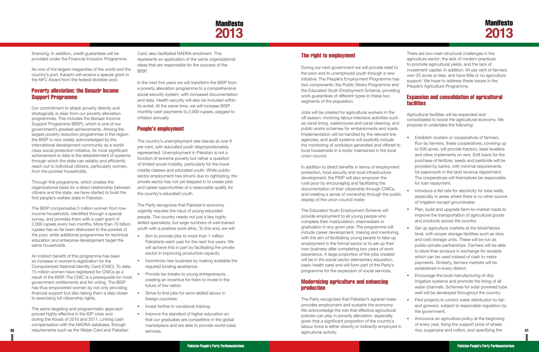

<span id="page-23-0"></span>financing. In addition, credit guarantees will be provided under the Financial Inclusion Programme.

As one of the largest megacities of the world and the country's port, Karachi will receive a special grant in the NFC Award from the federal divisible pool.

#### Poverty alleviation: the Benazir Income Support Programme

Our commitment to attack poverty directly and strategically is clear from our poverty alleviation programmes. This includes the Benazir Income Support Programme (BISP), which is one of our government's greatest achievements. Among the largest poverty reduction programmes in the region, the BISP is now widely acknowledged by the international development community as a worldclass social protection initiative. Its most significant achievement to date is the establishment of systems through which the state can reliably and efficiently reach out to individual citizens, particularly women, from the poorest households.

Through this programme, which creates the organizational basis for a direct relationship between citizens and the state, we have started to build the first people's welfare state in Pakistan.

The BISP compensates 5 million women from lowincome households, identified through a special survey, and provides them with a cash grant of 2,000 rupees every two months. More than 70 billion rupees has so far been disbursed to the poorest of the poor, while additional programmes for technical education and enterprise development target the same households.

An indirect benefit of this programme has been an increase in women's registration for the Computerized National Identity Card (CNIC). To date, 15 million women have registered for CNICs as a result of the BISP. The CNIC is a prerequisite for most government entitlements and for voting. The BISP has thus empowered women by not only providing financial support but also taking them a step closer to exercising full citizenship rights.

- Aim to provide jobs to more than 1 million Pakistanis each year for the next five years. We will achieve this in part by facilitating the private sector in improving productive capacity.
- Incentivize new business by making available the required funding assistance.
- Provide tax breaks to young entrepreneurs, creating an incentive for them to invest in the future of the nation.
- Strive to find jobs for semi-skilled labour in foreign countries.
- Invest further in vocational training.
- **40 41** rice, sugarcane and cotton, and specifying the • Improve the standard of higher education so that our graduates are competitive in the global marketplace and are able to provide world-class services.

The same targeting and programmatic approach proved highly effective in the IDP crisis and during the floods of 2010 and 2011. Linking cash compensation with the NADRA database, through requirements such as the Watan Card and Pakistan

Card, also facilitated NADRA enrolment. This represents an application of the same organizational ideas that are responsible for the success of the BISP.

In the next five years we will transform the BISP from a poverty alleviation programme to a comprehensive social security system, with increased documentation and data. Health security will also be included within its ambit. At the same time, we will increase BISP monthly cash payments to 2,000 rupees, pegged to inflation annually.

> In addition to direct benefits in terms of employmer protection, food security and local infrastructure development, the PWP will also empower the rural poor by encouraging and facilitating the documentation of their citizenship through CNICs, and creating a sense of ownership through the public display of the union council roster.

#### People's employment

The country's unemployment rate stands at over 6 per cent, with educated youth disproportionately represented. Unemployment in Pakistan is not a function of extreme poverty but rather a question of limited social mobility, particularly for the lower middle classes and educated youth. While publicsector employment has shrunk due to rightsizing, the private sector has not yet stepped in to create jobs and career opportunities of a reasonable quality for the country's educated youth.

The Party recognizes that Pakistan's economy urgently requires the input of young educated people. The country needs not just a few highly skilled specialists, but large numbers of well-trained youth with a positive work ethic. To this end, we will:

- Introduce a flat rate for electricity for tube wells, especially in areas where there is no other source of irrigation except groundwater.
	- Plan, build and upgrade farm-to-market roads to improve the transportation of agricultural goods and products across the country.
- Set up agriculture markets at the tehsil/taluka level, with proper storage facilities such as silos and cold storage units. These will be run as public–private partnerships. Farmers will be able to store their produce in exchange for receipts which can be used instead of cash to make payments. Similarly, farmers markets will be established in every district.
	- Encourage the local manufacturing of drip irrigation systems and promote the lining of all water channels. Schemes for solar powered tube well will be developed throughout the country.
	- Pilot projects to control water distribution to tailend growers, subject to reasonable regulation by the government.
	- Announce an agriculture policy at the beginning of every year, fixing the support price of wheat,

#### The right to employment

During our next government we will provide relief to the poor and to unemployed youth through a new initiative. The People's Employment Programme has two components: the Public Works Programme and the Educated Youth Employment Scheme, providing work guarantees of different types to these two segments of the population.

Jobs will be created for agricultural workers in the off season, involving labour-intensive activities such as canal lining, watercourse and canal cleaning, and public works schemes for embankments and roads. Implementation will be handled by the relevant line agencies, and audit systems will explicitly include the monitoring of workdays generated and offered local households in a roster maintained in the local union council.

The Educated Youth Employment Scheme will provide employment to all young people who complete their matriculation, intermediate or graduation in any given year. The programme will include career development, training and mentoring, with the aim of facilitating young people to take up employment in the formal sector or to set up their own business after completing two years of work experience. A large proportion of the jobs created will be in the social sector (elementary education, basic health care) and will form part of the Party's programme for the expansion of social services.

#### Modernizing agriculture and enhancing production

The Party recognizes that Pakistan's agrarian base provides employment and sustains the economy. We acknowledge the role that effective agricultural policies can play in poverty alleviation, especially given that a significant proportion of the country's labour force is either directly or indirectly employed in agricultural activity.

There are two main structural challenges in the agriculture sector: the lack of modern practices to promote agricultural yields, and the lack of investment capital. In addition, 94 per cent of farmers own 25 acres or less, and have little or no agriculture support. We hope to address these issues in the People's Agriculture Programme.

#### Expansion and consolidation of agricultural facilities

| h<br>ıd<br>S. | Agricultural facilities will be expanded and<br>consolidated to boost the agricultural economy. We<br>propose to undertake the following:                 |  |
|---------------|-----------------------------------------------------------------------------------------------------------------------------------------------------------|--|
| to            | Establish clusters or cooperatives of farmers.<br>Run by farmers, these cooperatives, covering up<br>to 500 acres, will provide tractors, laser levellers |  |
|               | and other implements on rent. Soft loans for the<br>purchase of fertilizer, seeds and pesticide will be                                                   |  |
| nt            | provided by banks, with minimal requirements<br>for paperwork in the land revenue department.<br>The cooperatives will themselves be responsible          |  |
|               | for loan repayment.                                                                                                                                       |  |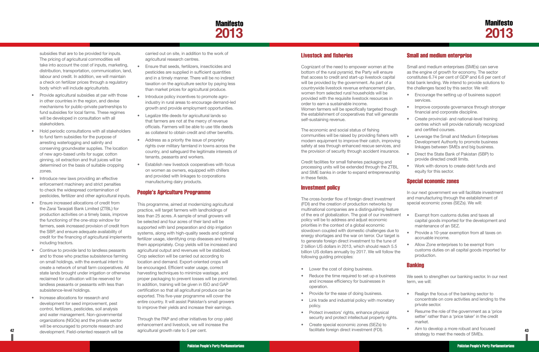## **Manifesto 2013**

<span id="page-24-0"></span>subsidies that are to be provided for inputs. The pricing of agricultural commodities will take into account the cost of inputs, marketing, distribution, transportation, communication, land, labour and credit. In addition, we will maintain a check on fertilizer prices through a regulatory body which will include agriculturists.

- Provide agricultural subsidies at par with those in other countries in the region, and devise mechanisms for public–private partnerships to fund subsidies for local farms. These regimes will be developed in consultation with all stakeholders.
- • Hold periodic consultations with all stakeholders to fund farm subsidies for the purpose of arresting waterlogging and salinity and conserving groundwater supplies. The location of new agro-based units for sugar, cotton ginning, oil extraction and fruit juices will be determined on the basis of suitable cropping zones.
- Introduce new laws providing an effective enforcement machinery and strict penalties to check the widespread contamination of pesticides, fertilizer and other agricultural inputs.
- **Ensure increased allocations of credit from** the Zarai Taraqiati Bank Limited (ZTBL) for production activities on a timely basis, improve the functioning of the one-stop window for farmers, seek increased provision of credit from the SBP, and ensure adequate availability of credit for the financing of agricultural implements including tractors.
- Continue to provide land to landless peasants and to those who practise subsistence farming on small holdings, with the eventual intent to create a network of small farm cooperatives. All state lands brought under irrigation or otherwise reclaimed for cultivation will be reserved for landless peasants or peasants with less than subsistence-level holdings.
- **42 43** development. Field-oriented research will be Increase allocations for research and development for seed improvement, pest control, fertilizers, pesticides, soil analysis and water management. Non-governmental organizations (NGOs) and the private sector will be encouraged to promote research and
- Ensure that seeds, fertilizers, insecticides and pesticides are supplied in sufficient quantities and in a timely manner. There will be no indirect taxation on the agriculture sector by paying less than market prices for agricultural produce.
- Introduce policy incentives to promote agroindustry in rural areas to encourage demand-led growth and provide employment opportunities.
- Legalize title deeds for agricultural lands so that farmers are not at the mercy of revenue officials. Farmers will be able to use title deeds as collateral to obtain credit and other benefits.
- Address as a priority the issue of propriety rights over military farmland in towns across the country, and safeguard the legitimate interests of tenants, peasants and workers.
- **Establish new livestock cooperatives with focus** on women as owners, equipped with chillers and provided with linkages to corporations manufacturing dairy products.

carried out on site, in addition to the work of agricultural research centres.

> The cross-border flow of foreign direct investment (FDI) and the creation of production networks by multinational companies are a distinguishing feature of the era of globalization. The goal of our investment policy will be to address and adjust economic priorities in the context of a global economic slowdown coupled with domestic challenges due to energy shortages and the war on terror. Our target is to generate foreign direct investment to the tune of 2 billion US dollars in 2013, which should reach 5.5 billion US dollars annually by 2017. We will follow the following guiding principles:

- Lower the cost of doing business.
- Reduce the time required to set up a business and increase efficiency for businesses in operation.
- Provide for the ease of doing business.
- Link trade and industrial policy with monetary policy.
- • Protect investors' rights, enhance physical security and protect intellectual property rights.
- • Create special economic zones (SEZs) to facilitate foreign direct investment (FDI).

#### People's Agriculture Programme

- Encourage the setting up of business support services.
- Improve corporate governance through stronger financial and corporate discipline.
- Create provincial- and national-level training centres which will provide nationally recognized and certified courses.
- Leverage the Small and Medium Enterprises Development Authority to promote business linkages between SMEs and big business.
	- **Direct the State Bank of Pakistan (SBP) to** provide directed credit limits.
- Work with donors to create debt funds and equity for this sector.

Exempt from customs duties and taxes all capital goods imported for the development and

• Provide a 10-year exemption from all taxes on

This programme, aimed at modernizing agricultural practice, will target farmers with landholdings of less than 25 acres. A sample of small growers will be selected and four acres of their land will be supported with land preparation and drip irrigation systems, along with high-quality seeds and optimal fertilizer usage, identifying crop diseases and treating them appropriately. Crop yields will be increased and agricultural output and revenues will be stabilized. Crop selection will be carried out according to location and demand. Export-oriented crops will be encouraged. Efficient water usage, correct harvesting techniques to minimize wastage, and proper packaging to prevent losses will be promoted. In addition, training will be given in ISO and GAP certification so that all agricultural produce can be exported. This five-year programme will cover the entire country. It will assist Pakistan's small growers to improve their yields and increase their earnings.

- 
- 
- 
- Allow Zone enterprises to be exempt from customs duties on all capital goods imported for production.

#### **Banking**

- Realign the focus of the banking sector to concentrate on core activities and lending to the private sector.
- Resume the role of the government as a 'price setter' rather than a 'price taker' in the credit market.
- Aim to develop a more robust and focused strategy to meet the needs of SMEs.

Through the PAP and other initiatives for crop yield enhancement and livestock, we will increase the agricultural growth rate to 5 per cent.

#### Livestock and fisheries

Cognizant of the need to empower women at the bottom of the rural pyramid, the Party will ensure that access to credit and start-up livestock capital will be provided by the government. As part of a countrywide livestock revenue enhancement plan, women from selected rural households will be provided with the requisite livestock resources in order to earn a sustainable income. Women farmers will be specifically targeted though the establishment of cooperatives that will generate self-sustaining revenue.

The economic and social status of fishing communities will be raised by providing fishers with modern equipment to improve their catch, improving safety at sea through enhanced rescue services, and the provision of security through accident insurance.

Credit facilities for small fisheries packaging and processing units will be extended through the ZTBL and SME banks in order to expand entrepreneurship in these fields.

#### Investment policy

#### Small and medium enterprise

Small and medium enterprises (SMEs) can serve as the engine of growth for economy. The sector constitutes 6.74 per cent of GDP and 6.6 per cent of total bank lending. We intend to provide solutions to the challenges faced by this sector. We will:

#### Special economic zones

In our next government we will facilitate investment and manufacturing through the establishment of special economic zones (SEZs). We will:

maintenance of an SEZ.

accruable income.

We seek to strengthen our banking sector. In our next term, we will: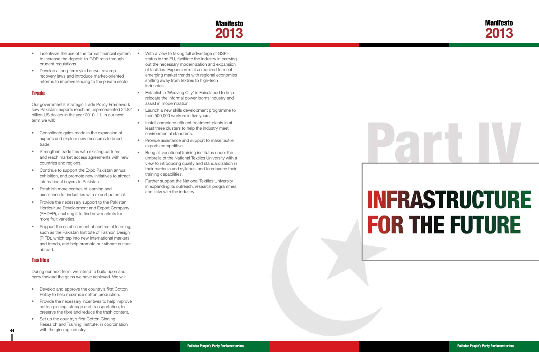

# **INFRASTRUCTURE FOR THE FUTURE**

Pakistan People's Party Parliamentarians Pakistan People's Party Parliamentarians

- <span id="page-25-0"></span>• Incentivize the use of the formal financial system • to increase the deposit-to-GDP ratio through prudent regulations.
- Develop a long-term yield curve, revamp recovery laws and introduce market-oriented reforms to improve lending to the private sector.

#### **Trade**

Our government's Strategic Trade Policy Framework saw Pakistani exports reach an unprecedented 24.82 • billion US dollars in the year 2010–11. In our next term we will:

- Develop and approve the country's first Cotton Policy to help maximize cotton production.
- Provide the necessary incentives to help improve cotton picking, storage and transportation, to preserve the fibre and reduce the trash content.
- **44** With the ginning industry. • Set up the country's first Cotton Ginning Research and Training Institute, in coordination with the ginning industry.
- • Consolidate gains made in the expansion of exports and explore new measures to boost trade.
- • Strengthen trade ties with existing partners and reach market access agreements with new countries and regions.
- Continue to support the Expo Pakistan annual exhibition, and promote new initiatives to attract international buyers to Pakistan.
- • Establish more centres of learning and excellence for industries with export potential.
- Provide the necessary support to the Pakistan Horticulture Development and Export Company (PHDEP), enabling it to find new markets for more fruit varieties.
- Support the establishment of centres of learning, such as the Pakistan Institute of Fashion Design (PIFD), which tap into new international markets and trends, and help promote our vibrant culture abroad.

#### **Textiles**

During our next term, we intend to build upon and carry forward the gains we have achieved. We will:

- With a view to taking full advantage of GSP+ status in the EU, facilitate the industry in carrying out the necessary modernization and expansion of facilities. Expansion is also required to meet emerging market trends with regional economies shifting away from textiles to high-tech industries.
- **•** Establish a 'Weaving City' in Faisalabad to help relocate the informal power looms industry and assist in modernization.
- Launch a new skills development programme to train 500,000 workers in five years.
- Install combined effluent treatment plants in at least three clusters to help the industry meet environmental standards.
- Provide assistance and support to make textile exports competitive.
- Bring all vocational training institutes under the umbrella of the National Textiles University with a view to introducing quality and standardization in their curricula and syllabus, and to enhance their training capabilities.
- • Further support the National Textiles University in expanding its outreach, research programmes and links with the industry.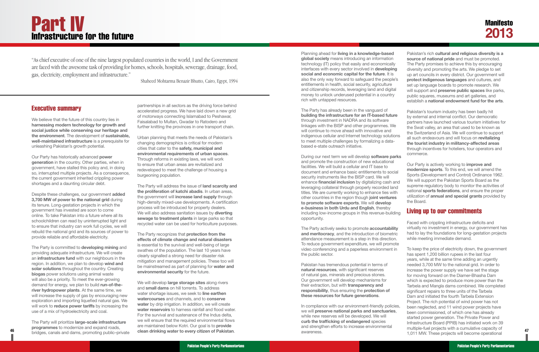#### Executive summary

We believe that the future of this country lies in **harnessing modern technology for growth and social justice while conserving our heritage and the environment**. The development of **sustainable, well-maintained infrastructure** is a prerequisite for unleashing Pakistan's growth potential.

Our Party has historically advanced **power generation** in the country. Other parties, when in government, have stalled this policy and, in doing so, interrupted multiple projects. As a consequence, the current government inherited crippling power shortages and a daunting circular debt.

Despite these challenges, our government **added 3,700 MW of power to the national grid** during its tenure. Long-gestation projects in which the government has invested are soon to come online. To take Pakistan into a future where all its schoolchildren can read by uninterrupted light and to ensure that industry can work full cycles, we will rebuild the national grid and its sources of power to provide reliable and affordable electricity.

The Party is committed to **developing mining** and providing adequate infrastructure. We will create an **infrastructure fund** with our neighbours in the region. In addition, we plan to develop **wind and solar solutions** throughout the country. Creating **biogas** power solutions using animal waste will also be a priority. To meet the ever-growing demand for energy, we plan to build **run-of-theriver hydropower plants**. At the same time, we will increase the supply of gas by encouraging new exploration and importing liquefied natural gas. We will work to **reduce power tariffs** by increasing the use of a mix of hydroelectricity and coal.

The Party will prioritize **large-scale infrastructure programmes** to modernize and expand roads, bridges, canals and dams, promoting public–private partnerships in all sectors as the driving force behind accelerated progress. We have laid down a new grid of motorways connecting Islamabad to Peshawar, Faisalabad to Multan, Gwadar to Ratodero and further knitting the provinces in one transport chain.

Urban planning that meets the needs of Pakistan's changing demographics is critical for modern cities that cater to the **safety, municipal and environmental requirements of urban spaces**. Through reforms in existing laws, we will work to ensure that urban areas are revitalized and redeveloped to meet the challenge of housing a burgeoning population.

The Party will address the issue of **land scarcity and the proliferation of katchi abadis**. In urban areas, the government will **increase land supply** through high-density mixed-use developments. A certification process will be introduced for property dealers. We will also address sanitation issues by **diverting sewage to treatment plants** in large parks so that recycled water can be used for horticulture purposes.

The Party recognizes that **protection from the effects of climate change and natural disasters** is essential to the survival and well-being of large swathes of the population. The last 10 years have clearly signalled a strong need for disaster risk mitigation and management policies. These too will be mainstreamed as part of planning for **water and environmental security** for the future.

We will develop **large storage sites** along rivers and **small dams** on hill torrents. To address water shortage issues, we seek to **line earthen watercourses** and channels, and to **conserve**  water by drip irrigation. In addition, we will create **water reservoirs** to harness rainfall and flood water. For the survival and sustenance of the Indus delta, we will ensure that the required environmental flows are maintained below Kotri. Our goal is to **provide** 

46 *bridges canals and dams promoting public-private* **<b>clean drinking water to every citizen of Pakistan.** And a material and the second and the second constituent of the second constituent of the second constituent of th To keep the price of electricity down, the government has spent 1,200 billion rupees in the last four years, while at the same time adding an urgently needed 3,700 MW to the national grid. In order to increase the power supply we have set the stage for moving forward on the Diamer-Bhasha Dam which is expected to produce more power than the Tarbela and Mangla dams combined. We completed significant repairs to three units of the Tarbela Dam and initiated the fourth Tarbela Extension Project. The rich potential of wind power has not been neglected, and 11 wind power projects have been commissioned, of which one has already started power generation. The Private Power and Infrastructure Board (PPIB) has initiated work on 39 multiple-fuel projects with a cumulative capacity of 1,011 MW. These projects will become operational

Planning ahead for **living in a knowledge-based global society** means introducing an information technology (IT) policy that easily and economically interfaces with every sector involved in **developing social and economic capital for the future**. It is also the only way forward to safeguard the people's entitlements in health, social security, agriculture and citizenship records, leveraging land and digital money to unlock underused potential in a country rich with untapped resources. The Party has already been in the vanguard of **building the infrastructure for an IT-based future** through investment in NADRA and its software linkages with the BISP and other programmes. We Pakistan's rich **cultural and religious diversity is a source of national pride** and must be promoted. The Party promises to achieve this by encouraging diversity and promoting the arts. We pledge to set up art councils in every district. Our government will **protect indigenous languages** and cultures, and set up language boards to promote research. We will support and **preserve public spaces** like parks, public squares, museums and art galleries, and establish a **national endowment fund for the arts**. Pakistan's tourism industry has been badly hit by external and internal conflict. Our democratic partners have launched various tourism initiatives for the Swat valley, an area that used to be known as

The Party actively seeks to promote **accountability and meritocracy**, and the introduction of biometric attendance measurement is a step in this direction. To reduce government expenditure, we will promote video conferencing and a paperless environment in the public sector.

Pakistan has tremendous potential in terms of **natural resources**, with significant reserves of natural gas, minerals and precious stones. Our government will develop mechanisms for their extraction, but with **transparency and responsibility**, thus ensuring the **protection of these resources for future generations**.

will continue to move ahead with innovative and indigenous cellular and Internet technology solutions to meet multiple challenges by formalizing a databased e-state outreach initiative. the Switzerland of Asia. We will continue to support all such endeavours and will focus on **revitalizing the tourist industry in militancy-affected areas** through incentives for hoteliers, tour operators and commerce.

In compliance with our environment-friendly policies, we will **preserve national parks and sanctuaries**, while new reserves will be developed. We will **curb the trafficking of endangered** species and strengthen efforts to increase environmental awareness.

During our next term we will develop **software parks** and promote the construction of new educational facilities. We will build a cellular and IT base to document and enhance basic entitlements to social security instruments like the BISP card. We will enhance **financial inclusion** by digitalizing cash and leveraging collateral through properly recorded land titles. We are currently working to enhance ties with other countries in the region though **joint ventures to promote software exports**. We will **develop e-business in both Urdu and English**, thereby including low-income groups in this revenue-building opportunity. Our Party is actively working to **improve and modernize sports**. To this end, we will amend the Sports (Development and Control) Ordinance 1962. We will support the Pakistan Sports Board as the supreme regulatory body to monitor the activities of national **sports federations**, and ensure the proper utilization of **annual and special grants** provided by the Board. Living up to our commitments

Faced with crippling infrastructure deficits and virtually no investment in energy, our government has had to lay the foundations for long-gestation projects while meeting immediate demand.

## <span id="page-26-0"></span>Part IV Infrastructure for the future

*"As chief executive of one of the nine largest populated countries in the world, I and the Government are faced with the awesome task of providing for homes, schools, hospitals, sewerage, drainage, food, gas, electricity, employment and infrastructure."*

*Shaheed Mohtarma Benazir Bhutto, Cairo, Egypt, 1994*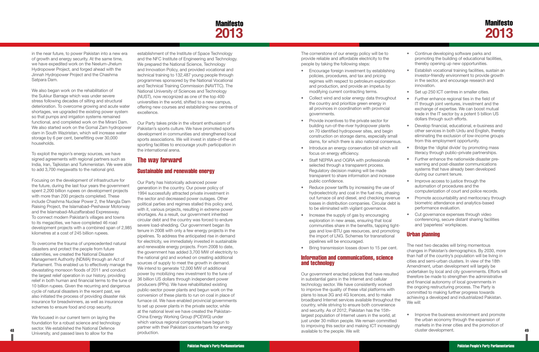## **Manifesto 2013**

<span id="page-27-0"></span>in the near future, to power Pakistan into a new era of growth and energy security. At the same time, we have expedited work on the Neelum-Jhelum Hydropower Project, and forged ahead with the Jinnah Hydropower Project and the Chashma Satpara Dam.

We also began work on the rehabilitation of the Sukkur Barrage which was under severe stress following decades of silting and structural deterioration. To overcome growing and acute water shortages, we upgraded the existing power system so that pumps and irrigation systems remained functional, and completed work on the Mirani Dam. We also started work on the Gomal Zam hydropower dam in South Waziristan, which will increase water storage by 6 per cent, benefitting over 30,000 households.

To exploit the region's energy sources, we have signed agreements with regional partners such as India, Iran, Tajikistan and Turkmenistan. We were able to add 3,700 megawatts to the national grid.

Focusing on the development of infrastructure for the future, during the last four years the government spent 2,200 billion rupees on development projects with more than 200 projects completed. These include Chashma Nuclear Power 2, the Mangla Dam Raising Project, the Islamabad–Peshawar Motorway and the Islamabad–Muzaffarabad Expressway. To connect modern Pakistan's villages and towns to its megacities, we have completed 46 road development projects with a combined span of 2,985 kilometres at a cost of 245 billion rupees.

To overcome the trauma of unprecedented natural disasters and protect the people from future calamities, we created the National Disaster Management Authority (NDMA) through an Act of Parliament. This enabled us to effectively manage the devastating monsoon floods of 2011 and conduct the largest relief operation in our history, providing relief in both human and financial terms to the tune of 10 billion rupees. Given the recurring and dangerous cycle of natural disasters in the recent past, we also initiated the process of providing disaster risk insurance for breadwinners, as well as insurance schemes to ensure food and crop security.

We focused in our current term on laying the foundation for a robust science and technology sector. We established the National Defence University, and passed laws to allow for the

**48 49** available to the people. We will: Our Party has historically advanced power generation in the country. Our power policy of 1994 successfully attracted private investment in the sector and decreased power outages. Other political parties and regimes stalled this policy and, with it, various projects, resulting in extreme power shortages. As a result, our government inherited circular debt and the country was forced to endure severe load-shedding. Our government began its tenure in 2008 with only a few energy projects in the pipelines. To address the anticipated rise in demand for electricity, we immediately invested in sustainable and renewable energy projects. From 2008 to date, the government has added 3,700 MW of electricity to the national grid and worked on creating additional sources of supply to meet the growth in demand. We intend to generate 12,000 MW of additional power by mobilizing new investment to the tune of 36 billion US dollars through independent power producers (IPPs). We have rehabilitated existing public-sector power plants and begun work on the conversion of these plants to run on coal in place of furnace oil. We have enabled provincial governments to set up power plants in the private sector, while at the national level we have created the Pakistan-China Energy Working Group (PCEWG) under which various regional companies have begun to partner with their Pakistani counterparts for energy production.

establishment of the Institute of Space Technology and the NFC Institute of Engineering and Technology. We prepared the National Science, Technology and Innovation Policy, and provided vocational and technical training to 132,487 young people through programmes sponsored by the National Vocational and Technical Training Commission (NAVTTC). The National University of Sciences and Technology (NUST), now recognized as one of the top 400 universities in the world, shifted to a new campus, offering new courses and establishing new centres of excellence.

Our Party takes pride in the vibrant enthusiasm of Pakistan's sports culture. We have promoted sports development in communities and strengthened local sports associations. We will invest in state-of-the-art sporting facilities to encourage youth participation in the international arena.

### The way forward

#### Sustainable and renewable energy

- Encourage foreign investment by establishing policies, procedures, and tax and pricing regimes with respect to petroleum exploration and production, and provide an impetus by modifying current contracting terms.
- Collect wind and solar energy data throughout the country and prioritize green energy in all provinces in coordination with provincial governments.
- Provide incentives to the private sector for building run-of-the-river hydropower plants on 70 identified hydropower sites, and begin construction on storage dams, especially small dams, for which there is also national consensus.
- Introduce an energy conservation bill which will focus on energy efficiency.
- Staff NEPRA and OGRA with professionals selected through a transparent process. Regulatory decision making will be made transparent to share information and increase public confidence.
- Reduce power tariffs by increasing the use of hydroelectricity and coal in the fuel mix, phasing out furnace oil and diesel, and checking revenue losses in distribution companies. Circular debt is to be eliminated with vigilant governance.
- Increase the supply of gas by encouraging exploration in new areas, ensuring that local communities share in the benefits, tapping tightgas and low-BTU gas resources, and promoting the import of LNG. Schemes for transnational pipelines will be encouraged.
- Bring transmission losses down to 15 per cent. Information and communications, science and technology The next two decades will bring momentous changes in Pakistan's demographics. By 2030, more than half of the country's population will be living in cities and semi-urban clusters. In view of the 18th Amendment, urban development will largely be undertaken by local and city governments. Efforts will

The cornerstone of our energy policy will be to provide reliable and affordable electricity to the people by taking the following steps:

Our government enacted policies that have resulted in substantial gains in the Internet and cellular technology sector. We have consistently worked to improve the quality of these vital platforms with plans to issue 3G and 4G licences, and to make broadband Internet services available throughout the country, while striving to ensure both convenience and security. As of 2012, Pakistan has the 15thlargest population of Internet users in the world, at just under 30 million people. We remain committed to improving this sector and making ICT increasingly

- • Continue developing software parks and promoting the building of educational facilities, thereby opening up new opportunities.
- **Establish vocational training facilities, sustain an** investor-friendly environment to provide growth in the sector, and encourage research and innovation.
- Set up 250 ICT centres in smaller cities.
- • Further enhance regional ties in the field of IT through joint ventures, investment and the exchange of expertise. We can boost mutual trade in the IT sector by a potent 5 billion US dollars through such efforts.
- • Develop financial, educational, e-business and other services in both Urdu and English, thereby eliminating the exclusion of low-income groups from this employment opportunity.
- Bridge the 'digital divide' by promoting mass literacy through public–private partnerships.
- Further enhance the nationwide disaster prewarning and post-disaster communications systems that have already been developed during our current tenure.
- Improve access to justice through the automation of procedures and the computerization of court and police records.
- Promote accountability and meritocracy through biometric attendance and analytics-based performance evaluation.
- Cut governance expenses through video conferencing, secure distant sharing facilities and 'paperless' workplaces.

#### Urban planning

- therefore be made to strengthen the administrative and financial autonomy of local governments in the ongoing restructuring process. The Party is committed to making further progress towards achieving a developed and industrialized Pakistan. We will:
- 
- Improve the business environment and promote the urban economy through the expansion of markets in the inner cities and the promotion of cluster development.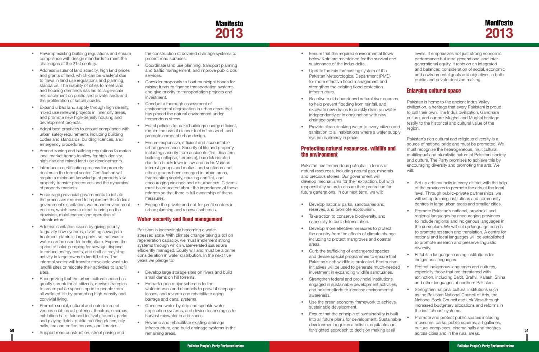## Manifesto **2013**

- <span id="page-28-0"></span>• Revamp existing building regulations and ensure compliance with design standards to meet the challenges of the 21st century.
- Address issues of land scarcity, high land prices and grants of land, which can be wasteful due to flaws in land use regulations and planning standards. The inability of cities to meet land and housing demands has led to large-scale encroachment on public and private lands and the proliferation of katchi abadis.
- **Expand urban land supply through high density,** mixed use renewal projects in inner city areas, and promote new high-density housing and development projects.
- Adopt best practices to ensure compliance with urban safety requirements including building codes and standards, building licences, and emergency procedures.
- Amend zoning and building regulations to match local market trends to allow for high-density, high-rise and mixed land use developments.
- Introduce a certification process for property dealers in the formal sector. Certification will require a minimum knowledge of property law, property transfer procedures and the dynamics of property markets.
- Encourage provincial governments to initiate the processes required to implement the federal government's sanitation, water and environment policies, which have a direct bearing on the provision, maintenance and operation of infrastructure.
- Address sanitation issues by giving priority to gravity flow systems, diverting sewage to treatment plants in large parks so that waste water can be used for horticulture. Explore the option of solar pumping for sewage disposal to reduce energy costs, and shift all recycling activity in large towns to landfill sites. The informal sector will transfer recyclable waste to landfill sites or relocate their activities to landfill sites.
- Recognizing that the urban cultural space has greatly shrunk for all citizens, devise strategies to create public spaces open to people from all walks of life by promoting high-density and convivial living.
- Promote social, cultural and entertainment venues such as art galleries, theatres, cinemas, exhibition halls, fair and festival grounds, parks and playing fields, public meeting places, city halls, tea and coffee houses, and libraries.

• Support road construction, street paving and

- Coordinate land use planning, transport planning and traffic management, and improve public bus services.
- • Consider proposals to float municipal bonds for raising funds to finance transportation systems, and give priority to transportation projects and investment.
- Conduct a thorough assessment of environmental degradation in urban areas that has placed the natural environment under tremendous stress.
- • Enact policies to make buildings energy efficient, require the use of cleaner fuel in transport, and promote compact urban design.
- Ensure responsive, efficient and accountable urban governance. Security of life and property, including security from accidents (fire, disasters, building collapse, terrorism), has deteriorated due to a breakdown in law and order. Various interest groups and mafias, and sectarian and ethnic groups have emerged in urban areas, fragmenting society, causing conflict, and encouraging violence and disturbances. Citizens must be educated about the importance of these reforms so that there is full ownership of these measures.
- Engage the private and not-for-profit sectors in urban planning and renewal schemes.

- Develop large storage sites on rivers and build small dams on hill torrents.
- Embark upon major schemes to line watercourses and channels to prevent seepage losses, and revamp and rehabilitate aging barrage and canal systems.
- Conserve water by drip and sprinkle water application systems, and devise technologies to harvest rainwater in arid zones.
- Revamp and rehabilitate existing drainage infrastructure, and build drainage systems in the remaining areas.

the construction of covered drainage systems to protect road surfaces.

- Ensure that the required environmental flows below Kotri are maintained for the survival and sustenance of the Indus delta.
- Update the rain forecasting system of the Pakistan Meteorological Department (PMD) for more effective flood management and strengthen the existing flood protection infrastructure.
- Reactivate old abandoned natural river courses to help prevent flooding from rainfall, and excavate new drains to quickly drain rainwater independently or in conjunction with new drainage systems.
- Provide clean drinking water to every citizen and sanitation to all habitations where a water supply system is already in place.

#### Water security and flood management

Pakistan is increasingly becoming a waterstressed state. With climate change taking a toll on regeneration capacity, we must implement strong systems through which water-related issues are efficiently managed. Equity will and must be a prime consideration in water distribution. In the next five years we pledge to:

- Set up arts councils in every district with the help of the provinces to promote the arts at the local level. Through public–private partnerships, we will set up training institutions and community centres in large urban areas and smaller cities.
- • Promote Pakistan's national, provincial and regional languages by encouraging provinces to include regional and indigenous languages in the curriculum. We will set up language boards to promote research and translation. A centre for national and local languages will be established to promote research and preserve linguistic diversity.
- **Establish language learning institutions for** indigenous languages.
- Protect indigenous languages and cultures, especially those that are threatened with extinction, including Baltit, Brahvi, Kalash, Shina and other languages of northern Pakistan.
- Strengthen national cultural institutions such as the Pakistan National Council of Arts, the National Book Council and Lok Virsa through increased budgetary allocations and reforms in the institutions' systems.

#### Protecting natural resources, wildlife and the environment

Pakistan has tremendous potential in terms of natural resources, including natural gas, minerals and precious stones. Our government will develop mechanisms for their extraction, but with responsibility so as to ensure their protection for future generations. In our next term, we will:

levels. It emphasizes not just strong economic performance but intra-generational and intergenerational equity. It rests on an integrated and balanced consideration of social, economic and environmental goals and objectives in both public and private decision making.

#### Enlarging cultural space

Pakistan is home to the ancient Indus Valley civilization, a heritage that every Pakistani is proud to call their own. The Indus civilization, Gandhara culture, and our pre-Mughal and Mughal heritage testify to the historical and cultural value of the region.

- • Develop national parks, sanctuaries and reserves, and promote ecotourism.
- Take action to conserve biodiversity, and especially to curb deforestation.
- • Develop more effective measures to protect the country from the effects of climate change, including to protect mangroves and coastal areas.
- Curb the trafficking of endangered species, and devise special programmes to ensure that Pakistan's rich wildlife is protected. Ecotourism initiatives will be used to generate much-needed investment in expanding wildlife sanctuaries.
- Strengthen federal and provincial institutions engaged in sustainable development activities, and bolster efforts to increase environmental awareness.
- • Use the green economy framework to achieve sustainable development.
- **50 51** far-sighted approach to decision making at all Ensure that the principle of sustainability is built into all future plans for development. Sustainable development requires a holistic, equitable and Promote and protect public spaces including museums, parks, public squares, art galleries, cultural complexes, cinema halls and theatres across cities and in the rural areas.

Pakistan's rich cultural and religious diversity is a source of national pride and must be promoted. We must recognize the heterogeneous, multicultural, multilingual and pluralistic nature of Pakistani society and culture. The Party promises to achieve this by encouraging diversity and promoting the arts. We will: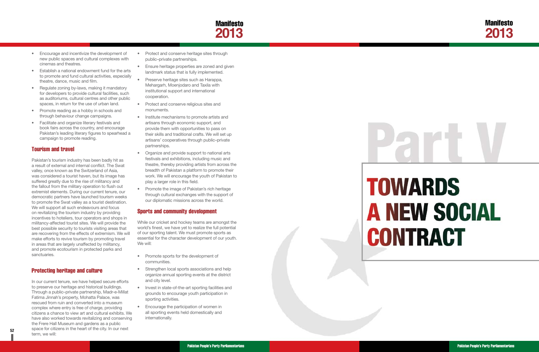

# **TOWARDS A NEW SOCIAL CONTRACT**

Pakistan People's Party Parliamentarians **Pakistan People's Party Parliamentarians** Pakistan People's Party Parliamentarians

- <span id="page-29-0"></span>• Encourage and incentivize the development of new public spaces and cultural complexes with cinemas and theatres.
- Establish a national endowment fund for the arts to promote and fund cultural activities, especially theatre, dance, music and film.
- Regulate zoning by-laws, making it mandatory for developers to provide cultural facilities, such as auditoriums, cultural centres and other public spaces, in return for the use of urban land.
- Promote reading as a hobby in schools and through behaviour change campaigns.
- Facilitate and organize literary festivals and book fairs across the country, and encourage Pakistan's leading literary figures to spearhead a campaign to promote reading.

#### Tourism and travel

**52** Space for challents in the rieart of the city. In our rieart In our current tenure, we have helped secure efforts to preserve our heritage and historical buildings. Through a public–private partnership, Madr-e-Millat Fatima Jinnah's property, Mohatta Palace, was rescued from ruin and converted into a museum complex where entry is free of charge, providing citizens a chance to view art and cultural exhibits. We have also worked towards revitalizing and conserving the Frere Hall Museum and gardens as a public space for citizens in the heart of the city. In our next term, we will:

Pakistan's tourism industry has been badly hit as a result of external and internal conflict. The Swat valley, once known as the Switzerland of Asia, was considered a tourist haven, but its image has suffered greatly due to the rise of militancy and the fallout from the military operation to flush out extremist elements. During our current tenure, our democratic partners have launched tourism weeks to promote the Swat valley as a tourist destination. We will support all such endeavours and focus on revitalizing the tourism industry by providing incentives to hoteliers, tour operators and shops in militancy-affected tourist sites. We will provide the best possible security to tourists visiting areas that are recovering from the effects of extremism. We will make efforts to revive tourism by promoting travel in areas that are largely unaffected by militancy, and promote ecotourism in protected parks and sanctuaries.

- Protect and conserve heritage sites through public–private partnerships.
- Ensure heritage properties are zoned and given landmark status that is fully implemented.
- Preserve heritage sites such as Harappa, Mehargarh, Moenjodaro and Taxila with institutional support and international cooperation.
- Protect and conserve religious sites and monuments.
- Institute mechanisms to promote artists and artisans through economic support, and provide them with opportunities to pass on their skills and traditional crafts. We will set up artisans' cooperatives through public–private partnerships.
- Organize and provide support to national arts festivals and exhibitions, including music and theatre, thereby providing artists from across the breadth of Pakistan a platform to promote their work. We will encourage the youth of Pakistan to play a larger role in this field.
- Promote the image of Pakistan's rich heritage through cultural exchanges with the support of our diplomatic missions across the world.

#### Protecting heritage and culture

#### Sports and community development

While our cricket and hockey teams are amongst the world's finest, we have yet to realize the full potential of our sporting talent. We must promote sports as essential for the character development of our youth. We will:

- • Promote sports for the development of communities.
- Strengthen local sports associations and help organize annual sporting events at the district and city level.
- Invest in state-of-the-art sporting facilities and grounds to encourage youth participation in sporting activities.
- Encourage the participation of women in all sporting events held domestically and internationally.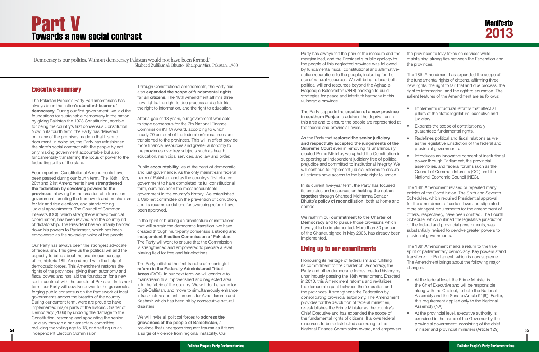### Executive summary

The Pakistan People's Party Parliamentarians has always been the nation's **standard-bearer of democracy**. During our first government, we laid the foundations for sustainable democracy in the nation by giving Pakistan the 1973 Constitution, notable for being the country's first consensus Constitution. Now in its fourth term, the Party has delivered on many of the promises made in that historic document. In doing so, the Party has refashioned the state's social contract with the people by not only making government accountable but also fundamentally transferring the locus of power to the federating units of the state.

Four important Constitutional Amendments have been passed during our fourth term. The 18th, 19th, 20th and 21st Amendments have **strengthened the federation by devolving powers to the provinces**, allowing for the creation of a transition government, creating the framework and mechanism for fair and free elections, and standardizing judicial appointments. The Council of Common Interests (CCI), which strengthens inter-provincial coordination, has been revived and the country rid of dictatorship. The President has voluntarily handed down his powers to Parliament, which has been empowered as the sovereign voice of the people.

**54 55** minister and provincial ministers (Article 129). Our Party has always been the strongest advocate of federalism. This gave us the political will and the capacity to bring about the unanimous passage of the historic 18th Amendment with the help of democratic forces. This Amendment restores the rights of the provinces, giving them autonomy and fiscal power, and has laid the foundation for a new social contract with the people of Pakistan. In its next term, our Party will devolve power to the grassroots, forging public consensus on the framework of local governments across the breadth of the country. During our current term, were are proud to have implemented major parts of the historic Charter of Democracy (2006) by undoing the damage to the Constitution, restoring and appointing the senior judiciary through a parliamentary committee, reducing the voting age to 18, and setting up an independent Election Commission.

Party has always felt the pain of the insecure and marginalized, and the President's public apology the people of this neglected province was followe by fundamental fiscal, constitutional and affirmati action reparations to the people, including for the use of natural resources. We will bring to bear both political will and resources beyond the Aghaz-e-Haqooq-e-Balochistan (AHB) package to build strategies for peace and interfaith harmony in this vulnerable province.

Through Constitutional amendments, the Party has also **expanded the scope of fundamental rights for all citizens**. The 18th Amendment affirms three new rights: the right to due process and a fair trial, the right to information, and the right to education.

The Party supports the **creation of a new provin in southern Punjab** to address the deprivation in this area and to ensure the people are represente the federal and provincial levels.

As the Party that **restored the senior judiciary**  and respectfully accepted the **judgements** of **the Supreme Court** even in removing its unanimously elected Prime Minister, we uphold the Constitution supporting an independent judiciary free of politic prejudice and committed to institutional integrity. will continue to implement judicial reforms to ensure all citizens have access to the basic right to justic

After a gap of 13 years, our government was able to forge consensus for the 7th National Finance Commission (NFC) Award, according to which nearly 70 per cent of the federation's resources are transferred to the provinces. This will in effect provide more financial resources and greater autonomy to the provinces over key subjects such as health, education, municipal services, and law and order.

> In its current five-year term, the Party has focused its energies and resources on **holding the nation together** through Shaheed Mohtarma Benazir Bhutto's **policy of reconciliation**, both at home and abroad.

Public **accountability** lies at the heart of democratic and just governance. As the only mainstream federal party of Pakistan, and as the country's first elected government to have completed its full constitutional term, ours has been the most accountable government in the country's history. We established a Cabinet committee on the prevention of corruption, and its recommendations for sweeping reform have been approved.

In the spirit of building an architecture of institutions that will sustain the democratic transition, we have created through multi-party consensus a **strong and independent Election Commission of Pakistan**. The Party will work to ensure that the Commission is strengthened and empowered to prepare a level playing field for free and fair elections.

The Party initiated the first tranche of meaningful **reform in the Federally Administered Tribal Areas** (FATA). In our next term we will continue to mainstream this impoverished and neglected area into the fabric of the country. We will do the same for Gilgit-Baltistan, and move to simultaneously enhance infrastructure and entitlements for Azad Jammu and Kashmir, which has been hit by consecutive natural disasters.

We will invite all political forces to **address the grievances of the people of Balochistan**, a province that undergoes frequent trauma as it faces a surge of violence from regional instability. Our

We reaffirm our **commitment to the Charter of Democracy** and to pursue those provisions which have yet to be implemented. More than 80 per cent of the Charter, signed in May 2006, has already be implemented.

#### Living up to our commitments

Honouring its heritage of federalism and fulfilling its commitment to the Charter of Democracy, the Party and other democratic forces created history unanimously passing the 18th Amendment. Enacter in 2010, this Amendment reforms and revitalizes the democratic pact between the federation and the provinces. It strengthens the Federation by consolidating provincial autonomy. The Amendment provides for the devolution of federal ministries, re-establishes the Prime Minister as the country's Chief Executive and has expanded the scope of the fundamental rights of citizens. It allows federal resources to be redistributed according to the National Finance Commission Award, and empowers

| l the<br>to<br>эd<br>ive-                                        | the provinces to levy taxes on services while<br>maintaining strong ties between the Federation and<br>the provinces.                                                                                                                                                                                                                                                                                                                                                                                                                                           |  |  |
|------------------------------------------------------------------|-----------------------------------------------------------------------------------------------------------------------------------------------------------------------------------------------------------------------------------------------------------------------------------------------------------------------------------------------------------------------------------------------------------------------------------------------------------------------------------------------------------------------------------------------------------------|--|--|
| th<br>3                                                          | The 18th Amendment has expanded the scope of<br>the fundamental rights of citizens, affirming three<br>new rights: the right to fair trial and due process, the<br>right to information, and the right to education. The<br>salient features of the Amendment are as follows:                                                                                                                                                                                                                                                                                   |  |  |
| ice<br>Ì.<br>d at<br>the<br>ly<br>n in<br>cal<br>We<br>ure<br>æ. | Implements structural reforms that affect all<br>pillars of the state: legislature, executive and<br>judiciary.<br>Expands the scope of constitutionally<br>guaranteed fundamental rights.<br>Redefines political and fiscal relations as well<br>as the legislative jurisdiction of the federal and<br>provincial governments.<br>Introduces an innovative concept of institutional<br>power through Parliament, the provincial<br>assemblies, and federal forums such as the<br>Council of Common Interests (CCI) and the<br>National Economic Council (NEC). |  |  |
| d<br>Ì.<br>and<br>۰h<br>ent<br>een                               | The 18th Amendment revised or repealed many<br>articles of the Constitution. The Sixth and Seventh<br>Schedules, which required Presidential approval<br>for the amendment of certain laws and stipulated<br>more stringent requirements for the amendment of<br>others, respectively, have been omitted. The Fourth<br>Schedule, which outlined the legislative jurisdiction<br>of the federal and provincial governments, was<br>substantially revised to devolve greater powers to<br>provincial governments.                                                |  |  |
| y by                                                             | The 18th Amendment marks a return to the true<br>spirit of parliamentary democracy. Key powers stand<br>transferred to Parliament, which is now supreme.<br>The Amendment brings about the following major<br>changes:                                                                                                                                                                                                                                                                                                                                          |  |  |
| ted:<br>ent<br>š                                                 | At the federal level, the Prime Minister is<br>the Chief Executive and will be responsible,<br>along with the Cabinet, to both the National<br>Assembly and the Senate (Article 91(6)). Earlier,<br>this requirement applied only to the National<br>Assembly (NA).                                                                                                                                                                                                                                                                                             |  |  |
| al<br>wers                                                       | At the provincial level, executive authority is<br>exercised in the name of the Governor by the<br>provincial government, consisting of the chief<br>minister and provincial ministers (Article 129).                                                                                                                                                                                                                                                                                                                                                           |  |  |

## <span id="page-30-0"></span>Part V Towards a new social contract

*"Democracy is our politics. Without democracy Pakistan would not have been formed." Shaheed Zulfikar Ali Bhutto, Khairpur Mirs, Pakistan, 1968*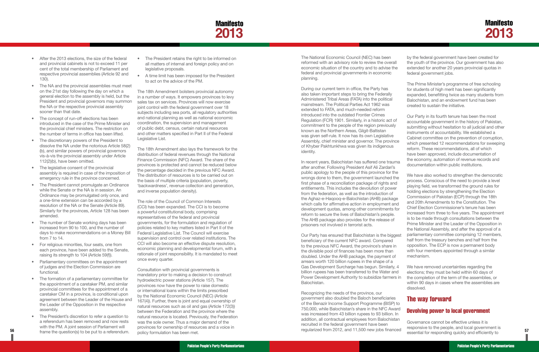## **Manifesto 2013**

- <span id="page-31-0"></span>• After the 2013 elections, the size of the federal and provincial cabinets is not to exceed 11 per cent of the total membership of Parliament and respective provincial assemblies (Article 92 and 130).
- The NA and the provincial assemblies must meet on the 21st day following the day on which a general election to the assembly is held, but the President and provincial governors may summon the NA or the respective provincial assembly sooner than that date.
- The concept of run-off elections has been introduced in the case of the Prime Minister and the provincial chief ministers. The restriction on the number of terms in office has been lifted.
- The discretionary powers of the President to dissolve the NA under the notorious Article 58(2) (b), and similar powers of provincial governors vis-à-vis the provincial assembly under Article 112(2)(b), have been omitted.
- The legislative consent of the provincial assembly is required in case of the imposition of emergency rule in the province concerned.
- The President cannot promulgate an Ordinance while the Senate or the NA is in session. An Ordinance may be promulgated only once, and a one-time extension can be accorded by a resolution of the NA or the Senate (Article 89). Similarly for the provinces, Article 128 has been amended.
- The number of Senate working days has been increased from 90 to 100, and the number of days to make recommendations on a Money Bill from 7 to 14.
- For religious minorities, four seats, one from each province, have been added to the Senate, raising its strength to 104 (Article 59(f)).
- • Parliamentary committees on the appointment of judges and the Election Commission are functional.
- The formation of a parliamentary committee for the appointment of a caretaker PM, and similar provincial committees for the appointment of a caretaker CM in a province, is conditional upon agreement between the Leader of the House and the Leader of the Opposition in the respective assembly.
- The President's discretion to refer a question to a referendum has been removed and now rests with the PM. A joint session of Parliament will
- The President retains the right to be informed on all matters of internal and foreign policy and on legislative proposals.
- • A time limit has been imposed for the President to act on the advice of the PM.

The 18th Amendment bolsters provincial autonomy in a number of ways. It empowers provinces to levy sales tax on services. Provinces will now exercise joint control with the federal government over 18 subjects including sea ports, all regulatory authorities and national planning as well as national economic coordination, the supervision and management of public debt, census, certain natural resources and other matters specified in Part II of the Federal Legislative List.

The 18th Amendment also lays the framework for the distribution of federal revenues through the National Finance Commission (NFC) Award. The share of the provinces is protected and cannot be reduced below the percentage decided in the previous NFC Award. The distribution of resources is to be carried out on the basis of multiple criteria (population, poverty, 'backwardness', revenue collection and generation, and inverse population density).

The role of the Council of Common Interests (CCI) has been expanded. The CCI is to become a powerful constitutional body, comprising representatives of the federal and provincial governments, for the formulation and regulation of policies related to key matters listed in Part II of the Federal Legislative List. The Council will exercise supervision and control over related institutions. The CCI will also become an effective dispute resolution, economic planning and developmental forum, with a rationale of joint responsibility. It is mandated to meet once every quarter.

Consultation with provincial governments is mandatory prior to making a decision to construct hydroelectric power stations (Article 157). The provinces now have the power to raise domestic or international loans within the limits prescribed by the National Economic Council (NEC) (Article 167(4)). Further, there is joint and equal ownership of natural resources such as oil and gas (Article 172(3)) between the Federation and the province where the natural resource is located. Previously, the Federation was the sole owner. Thus a major demand of the provinces for ownership of resources and a voice in policy formulation has been met.

**56 57** frame the question(s) to be put to a referendum. Recognizing the needs of the province, our government also doubled the Baloch beneficiaries of the Benazir Income Support Programme (BISP) to 750,000, while Balochistan's share in the NFC Award was increased from 43 billion rupees to 93 billion. In addition, all contractual employees from Balochistan recruited in the federal government have been regularized from 2012, and 11,500 new jobs financed The way forward Devolving power to local government Governance cannot be effective unless it is responsive to the people, and local government is essential for responding quickly and efficiently to

The National Economic Council (NEC) has been reformed with an advisory role to review the overall economic situation of the country and to advise the federal and provincial governments in economic planning.

During our current term in office, the Party has also taken important steps to bring the Federally Administered Tribal Areas (FATA) into the political mainstream. The Political Parties Act 1962 was extended to FATA, and much-needed reform introduced into the outdated Frontier Crimes Regulation (FCR) 1901. Similarly, in a historic act of commitment to the people of the region previously known as the Northern Areas, Gilgit-Baltistan was given self-rule. It now has its own Legislative Assembly, chief minister and governor. The province of Khyber Pakhtunkhwa was given its indigenous identity. for students of high merit has been significantly expanded, benefitting twice as many students from Balochistan, and an endowment fund has been created to sustain the initiative. Our Party in its fourth tenure has been the most accountable government in the history of Pakistan, submitting without hesitation to all judicial and other instruments of accountability. We established a Cabinet committee on the prevention of corruption, which presented 12 recommendations for sweeping reform. These recommendations, all of which have been approved, include documentation of the economy, automation of revenue records and documentation within public institutions.

In recent years, Balochistan has suffered one trauma after another. Following President Asif Ali Zardari's public apology to the people of this province for the wrongs done to them, the government launched the first phase of a reconciliation package of rights and entitlements. This includes the devolution of power from the federation, as well as the introduction of the Aghaz-e-Haqooq-e-Balochistan (AHB) package which calls for affirmative action in employment and development quotas, among other commitments for reform to secure the lives of Balochistan's people. The AHB package also provides for the release of prisoners not involved in terrorist acts. Our Party has ensured that Balochistan is the biggest beneficiary of the current NFC award. Compared to the previous NFC Award, the province's share in the divisible pool of finances has been more than doubled. Under the AHB package, the payment of We have also worked to strengthen the democratic process. Conscious of the need to provide a level playing field, we transformed the ground rules for holding elections by strengthening the Election Commission of Pakistan (ECP) through the 18th and 20th Amendments to the Constitution. The Chief Election Commissioner's tenure has been increased from three to five years. The appointment is to be made through consultations between the Prime Minister and the Leader of the Opposition in the National Assembly, and after the approval of a parliamentary committee comprising 12 members, half from the treasury benches and half from the opposition. The ECP is now a permanent body with four members appointed through a similar mechanism.

by the federal government have been created for the youth of the province. Our government has also extended for another 20 years provincial quotas in federal government jobs.

The Prime Minister's programme of free schooling

arrears worth 120 billion rupees in the shape of a Gas Development Surcharge has begun. Similarly, 4 billion rupees has been transferred to the Water and Power Development Authority to subsidize farmers in Balochistan. We have removed uncertainties regarding the elections; they must be held within 60 days of the completion of the term of the assemblies, or within 90 days in cases where the assemblies are dissolved.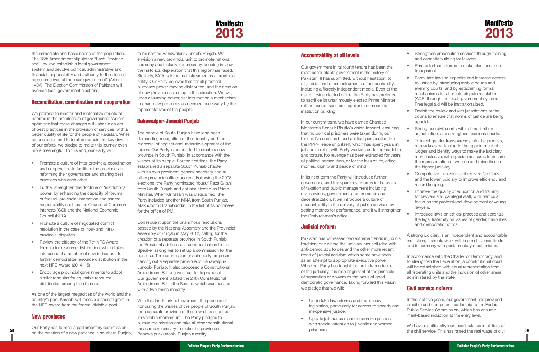

<span id="page-32-0"></span>the immediate and basic needs of the population. The 18th Amendment stipulates: "Each Province shall, by law, establish a local government system and devolve political, administrative and financial responsibility and authority to the elected representatives of the local government" (Article 140A). The Election Commission of Pakistan will oversee local government elections.

#### Reconciliation, coordination and cooperation

We promise to mentor and materialize structural reforms in the architecture of governance. We are optimistic that these changes will usher in an era of best practices in the provision of services, with a better quality of life for the people of Pakistan. While reconciliation and federalism remain the key drivers of our efforts, we pledge to make this journey even more meaningful. To this end, our Party will:

- Promote a culture of inter-provincial coordination and cooperation to facilitate the provinces in reforming their governance and sharing best practices with each other.
- Further strengthen the doctrine of 'institutional power' by enhancing the capacity of forums of federal–provincial interaction and shared responsibility such as the Council of Common Interests (CCI) and the National Economic Council (NEC).
- Promote a culture of negotiated conflict resolution in the case of inter- and intraprovincial disputes.
- Review the efficacy of the 7th NFC Award formula for resource distribution, which takes into account a number of new indicators, to further democratize resource distribution in the next NFC Award (2014–15).
- • Encourage provincial governments to adopt similar formulas for equitable resource distribution among the districts.

**58 59** the civil service. This has raised the real wage of civil Our Party has formed a parliamentary commission on the creation of a new province in southern Punjab,

As one of the largest megacities of the world and the country's port, Karachi will receive a special grant in the NFC Award from the federal divisible pool.

#### New provinces

to be named Bahawalpur-Junoobi Punjab. We envision a new provincial unit to promote national harmony and inclusive democracy, keeping in view the historical deprivation that this region has faced. Similarly, FATA is to be mainstreamed as a provincial entity. Our Party believes that for all practical purposes power may be distributed, and the creation of new provinces is a step in this direction. We will, upon assuming power, set into motion a mechanism to chart new provinces as deemed necessary by the representatives of the people.

#### Bahawalpur-Junoobi Punjab

The people of South Punjab have long been demanding recognition of their identity and the redressal of neglect and underdevelopment of the region. Our Party is committed to create a new province in South Punjab, in accordance with the wishes of its people. For the first time, the Party established a separate South Punjab chapter with its own president, general secretary and all other provincial office-bearers. Following the 2008 elections, the Party nominated Yousuf Raza Gillani from South Punjab and got him elected as Prime Minister. When Mr Gillani was disqualified, the Party included another MNA from South Punjab, Makhdoom Shahabuddin, in the list of its nominees for the office of PM.

- Undertake law reforms and frame new legislation, particularly for access to speedy and inexpensive justice.
- • Update jail manuals and modernize prisons, with special attention to juvenile and women prisoners.

Consequent upon the unanimous resolutions passed by the National Assembly and the Provincial Assembly of Punjab in May 2012, calling for the creation of a separate province in South Punjab, the President addressed a communication to the Speaker asking her to set up a commission for the purpose. The commission unanimously proposed carving out a separate province of Bahawalpur-Junoobi Punjab. It also proposed a Constitutional Amendment Bill to give effect to its proposal. Our government piloted the 24th Constitutional Amendment Bill in the Senate, which was passed with a two-thirds majority.

With this landmark achievement, the process of honouring the wishes of the people of South Punjab for a separate province of their own has acquired irreversible momentum. The Party pledges to pursue the mission and take all other constitutional measures necessary to make the province of Bahawalpur-Junoobi Punjab a reality.

#### Accountability at all levels

Our government in its fourth tenure has been the most accountable government in the history of Pakistan. It has submitted, without hesitation, to all judicial and other instruments of accountability, including a fiercely independent media. Even at the risk of losing elected office, the Party has preferred to sacrifice its unanimously elected Prime Minister rather than be seen as a spoiler in democratic institution building.

In our current term, we have carried Shaheed Mohtarma Benazir Bhutto's vision forward, ensuring that no political prisoners were taken during our tenure. No one has faced political persecution like the PPPP leadership itself, which has spent years in jail and in exile, with Party workers enduring hardship and torture. No revenge has been extracted for years of political persecution, or for the loss of life, office, monies, dignity and peace of mind.

In its next term the Party will introduce further governance and transparency reforms in the areas of taxation and public management including civil services, government procurements and decentralization. It will introduce a culture of accountability in the delivery of public services by setting metrics for performance, and it will strengthen the Ombudsman's office.

#### Judicial reform

and capacity building for lawyers.

Pakistan has witnessed two extreme trends in judicial tradition: one where the judiciary has colluded with anti-democratic forces and the other more recent trend of judicial activism which some have seen as an attempt to appropriate executive power. While our Party has fought for the independence of the judiciary, it is also cognizant of the principle of separation of powers as the basis of good democratic governance. Taking forward this vision, we pledge that we will: institution; it should work within constitutional limits and in harmony with parliamentary mechanisms. In accordance with the Charter of Democracy, and to strengthen the Federation, a constitutional court will be established with equal representation from all federating units and the inclusion of other areas administered by the state. Civil service reform

|           | Pursue further reforms to make elections more<br>transparent.                                                                                                                                                                                                                         |
|-----------|---------------------------------------------------------------------------------------------------------------------------------------------------------------------------------------------------------------------------------------------------------------------------------------|
|           | Formulate laws to expedite and increase access<br>to justice by introducing mobile courts and<br>evening courts, and by establishing formal<br>mechanisms for alternate dispute resolution<br>(ADR) through the local government system.<br>Free legal aid will be institutionalized. |
|           | Revisit the review and writ jurisdictions of the<br>courts to ensure that norms of justice are being<br>upheld.                                                                                                                                                                       |
|           | Strengthen civil courts with a time limit on<br>adjudication, and strengthen sessions courts.                                                                                                                                                                                         |
|           | To inject greater transparency into the process,<br>review laws pertaining to the appointment of<br>judges and identify ways to make the judiciary<br>more inclusive, with special measures to ensure<br>the representation of women and minorities in<br>the higher judiciary.       |
| $\bullet$ | Computerize the records of registrar's offices<br>and the lower judiciary to improve efficiency and<br>record keeping.                                                                                                                                                                |
|           | Improve the quality of education and training<br>for lawyers and paralegal staff, with particular<br>focus on the professional development of young<br>lawyers.                                                                                                                       |
|           | Introduce laws on ethical practice and sensitize<br>the legal fraternity on issues of gender, minorities<br>and democratic norms.                                                                                                                                                     |
|           | A strong judiciary is an independent and accountable<br>institution: it should work within constitutional limits                                                                                                                                                                      |

• Strengthen prosecution services through training

In the last five years, our government has provided credible and competent leadership to the Federal Public Service Commission, which has ensured merit-based induction at the entry level.

We have significantly increased salaries in all tiers of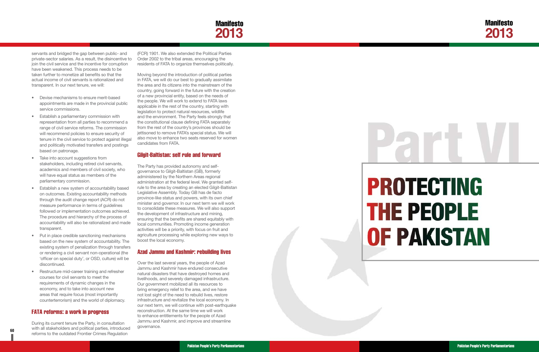

# **PROTECTING THE PEOPLE OF PAKISTAN**

<span id="page-33-0"></span>servants and bridged the gap between public- and private-sector salaries. As a result, the disincentive to join the civil service and the incentive for corruption have been weakened. This process needs to be taken further to monetize all benefits so that the actual income of civil servants is rationalized and transparent. In our next tenure, we will:

- Devise mechanisms to ensure merit-based appointments are made in the provincial public service commissions.
- • Establish a parliamentary commission with representation from all parties to recommend a range of civil service reforms. The commission will recommend policies to ensure security of tenure in the civil service to protect against illegal and politically motivated transfers and postings based on patronage.
- Take into account suggestions from stakeholders, including retired civil servants, academics and members of civil society, who will have equal status as members of the parliamentary commission.
- **•** Establish a new system of accountability based on outcomes. Existing accountability methods through the audit change report (ACR) do not measure performance in terms of guidelines followed or implementation outcomes achieved. The procedure and hierarchy of the process of accountability will also be rationalized and made transparent.
- Put in place credible sanctioning mechanisms based on the new system of accountability. The existing system of penalization through transfers or rendering a civil servant non-operational (the 'officer on special duty', or OSD, culture) will be discontinued.
- Restructure mid-career training and refresher courses for civil servants to meet the requirements of dynamic changes in the economy, and to take into account new areas that require focus (most importantly counterterrorism) and the world of diplomacy.

**60 a b b a b different interval particle**  $\mu$  **different interval particle**  $\mu$ During its current tenure the Party, in consultation with all stakeholders and political parties, introduced reforms to the outdated Frontier Crimes Regulation

#### FATA reforms: a work in progress

(FCR) 1901. We also extended the Political Parties Order 2002 to the tribal areas, encouraging the residents of FATA to organize themselves politically.

Moving beyond the introduction of political parties in FATA, we will do our best to gradually assimilate the area and its citizens into the mainstream of the country, going forward in the future with the creation of a new provincial entity, based on the needs of the people. We will work to extend to FATA laws applicable in the rest of the country, starting with legislation to protect natural resources, wildlife and the environment. The Party feels strongly that the constitutional clause defining FATA separately from the rest of the country's provinces should be jettisoned to remove FATA's special status. We will also move to enhance two seats reserved for women candidates from FATA.

#### Gilgit-Baltistan: self rule and forward

The Party has provided autonomy and selfgovernance to Gilgit-Baltistan (GB), formerly administered by the Northern Areas regional administration at the federal level. We granted selfrule to the area by creating an elected Gilgit-Baltistan Legislative Assembly. Today GB has de facto province-like status and powers, with its own chief minister and governor. In our next term we will work to consolidate these measures. We will also support the development of infrastructure and mining, ensuring that the benefits are shared equitably with local communities. Promoting income generation activities will be a priority, with focus on fruit and agriculture processing while exploring new ways to boost the local economy.

#### Azad Jammu and Kashmir: rebuilding lives

Over the last several years, the people of Azad Jammu and Kashmir have endured consecutive natural disasters that have destroyed homes and livelihoods, and severely damaged infrastructure. Our government mobilized all its resources to bring emergency relief to the area, and we have not lost sight of the need to rebuild lives, restore infrastructure and revitalize the local economy. In our next term, we will continue with post-earthquake reconstruction. At the same time we will work to enhance entitlements for the people of Azad Jammu and Kashmir, and improve and streamline governance.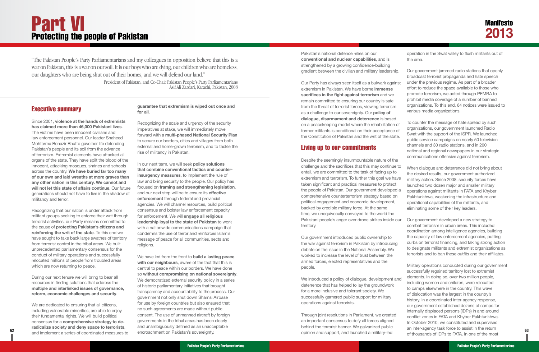#### Executive summary

Since 2001, **violence at the hands of extremists has claimed more than 46,000 Pakistani lives**. The victims have been innocent civilians and law enforcement personnel. Our leader Shaheed Mohtarma Benazir Bhutto gave her life defending Pakistan's people and its soil from the advance of terrorism. Extremist elements have attacked all organs of the state. They have spilt the blood of the innocent, attacking mosques, shrines and schools across the country. **We have buried far too many of our own and laid wreaths at more graves than any other nation in this century. We cannot and will not let this state of affairs continue**. Our future generations should not have to live in the shadow of militancy and terror.

We are dedicated to ensuring that all citizens. including vulnerable minorities, are able to enjoy their fundamental rights. We will build political consensus for a **comprehensive strategy to deradicalize society and deny space to terrorists**, and implement a series of coordinated measures to

Recognizing that our nation is under attack from militant groups seeking to enforce their writ through terrorist activities, our Party remains committed to the cause of **protecting Pakistan's citizens and reinforcing the writ of the state**. To this end we have sought to take back large swathes of territory from terrorist control in the tribal areas. We built unprecedented parliamentary consensus for the conduct of military operations and successfully relocated millions of people from troubled areas which are now returning to peace.

During our next tenure we will bring to bear all resources in finding solutions that address the **multiple and interlinked issues of governance, reform, economic challenges and security** .

**guarantee that extremism is wiped out once and for all** .

Recognizing the scale and urgency of the security imperatives at stake, we will immediately move forward with a **multi-phased National Security Plan**  to secure our borders, cities and villages from both external and home-grown terrorism, and to tackle the rise of militancy in Pakistan.

In our next term, we will seek **policy solutions that combine conventional tactics and counterinsurgency measures**, to implement the rule of law and bring security to the people. Our policy has focused on **framing and strengthening legislation**, and our next step will be to ensure its **effective enforcement** through federal and provincial agencies. We will channel resources, build political consensus and bolster law enforcement capacity for enforcement. We will **engage all religious leadership loyal to the state of Pakistan** to work with a nationwide communications campaign that condemns the use of terror and reinforces Islam's message of peace for all communities, sects and religions.

**62 63** opinion and support, and launched a military-led We introduced a policy of dialogue, development and deterrence that has helped to lay the groundwork for a more inclusive and tolerant society. We successfully garnered public support for military operations against terrorists. Through joint resolutions in Parliament, we created an important consensus to defy all forces aligned behind the terrorist banner. We galvanized public

We have led from the front to **build a lasting peace with our neighbours**, aware of the fact that this is central to peace within our borders. We have done so **without compromising on national sovereignty**. We democratized external security policy in a series of historic parliamentary initiatives that brought transparency and accountability to the process. Our government not only shut down Shamsi Airbase for use by foreign countries but also ensured that no such agreements are made without public consent. The use of unmanned aircraft by foreign governments in the tribal areas has been clearly and unambiguously defined as an unacceptable encroachment on Pakistan's sovereignty.

Pakistan's national defence relies on our **conventional and nuclear capabilities**, and is strengthened by a growing confidence-building gradient between the civilian and military leadership.

Our Party has always seen itself as a bulwark against extremism in Pakistan. We have borne **immense sacrifices in the fight against terrorism** and we remain committed to ensuring our country is safe from the threat of terrorist forces, viewing terrorism as a challenge to our sovereignty. Our **policy of dialogue, disarmament and deterrence** is based on a peacekeeping model where the rehabilitation of former militants is conditional on their acceptance of the Constitution of Pakistan and the writ of the state.

#### Living up to our commitments

Our government introduced public ownership to the war against terrorism in Pakistan by introducing debate on the issue in the National Assembly. We worked to increase the level of trust between the armed forces, elected representatives and the people.

Despite the seemingly insurmountable nature of the challenge and the sacrifices that this may continue to entail, we are committed to the task of facing up to extremism and terrorism. To further this goal we have taken significant and practical measures to protect the people of Pakistan. Our government developed a comprehensive counterterrorism strategy based on political engagement and economic development, backed by credible military force. At the same time, we unequivocally conveyed to the world the Pakistani people's anger over drone strikes inside our territory. When dialogue and deterrence did not bring about the desired results, our government authorized military action. Since 2008, security forces have launched two dozen major and smaller military operations against militants in FATA and Khyber Pakhtunkhwa, weakening the infrastructure and operational capabilities of the militants, and eliminating some of their key leaders. Our government developed a new strategy to combat terrorism in urban areas. This included

operation in the Swat valley to flush militants out of the area.

Our government jammed radio stations that openly broadcast terrorist propaganda and hate speech under the previous regime. As part of a broader effort to reduce the space available to those who promote terrorism, we acted through PEMRA to prohibit media coverage of a number of banned organizations. To this end, 64 notices were issued to various media organizations.

To counter the message of hate spread by such organizations, our government launched Radio Swat with the support of the ISPR. We launched public service campaigns on nearly 50 television channels and 30 radio stations, and in 200 national and regional newspapers in our strategic communications offensive against terrorism.

- coordination among intelligence agencies, building the capacity of law enforcement agencies, putting curbs on terrorist financing, and taking strong action to designate militants and extremist organizations as
- terrorists and to ban these outfits and their affiliates.

Military operations conducted during our government successfully regained territory lost to extremist elements. In doing so, over two million people, including women and children, were relocated to camps elsewhere in the country. This wave of dislocation was the largest in the country's history. In a coordinated inter-agency response, our government established dozens of camps for internally displaced persons (IDPs) in and around conflict zones in FATA and Khyber Pakhtunkhwa. In October 2010, we constituted and supervised an inter-agency task force to assist in the return of thousands of IDPs to FATA. In one of the most

## <span id="page-34-0"></span>Part VI Protecting the people of Pakistan

*"The Pakistan People's Party Parliamentarians and my colleagues in opposition believe that this is a war on Pakistan, this is a war on our soil. It is our boys who are dying, our children who are homeless, our daughters who are being shut out of their homes, and we will defend our land."*

> *President of Pakistan, and Co-Chair Pakistan People's Party Parliamentarians Asif Ali Zardari, Karachi, Pakistan, 2008*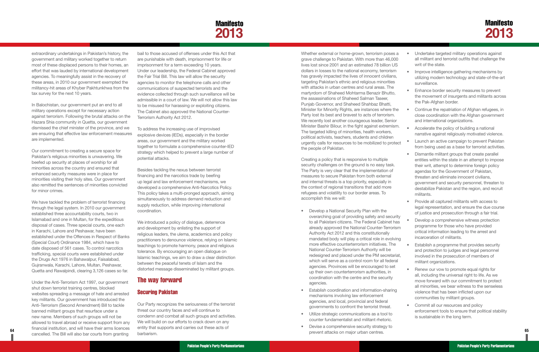## Manifesto **2013**

Whether external or home-grown, terrorism poses a grave challenge to Pakistan. With more than 46,00 lives lost since 2001 and an estimated 78 billion U dollars in losses to the national economy, terrorism has gravely impacted the lives of innocent civilians targeting Pakistan's ethnic and religious minorities with attacks in urban centres and rural areas. The martyrdom of Shaheed Mohtarma Benazir Bhutto, the assassinations of Shaheed Salman Taseer, Punjab Governor, and Shaheed Shahbaz Bhatti, Minister for Minority Rights, are instances where the Party lost its best and bravest to acts of terrorism. We recently lost another courageous leader, Senior Minister Bashir Bilour, in the fight against extremis The targeted killing of minorities, health workers, political activists, teachers, students and children urgently calls for resources to be mobilized to prot the people of Pakistan.

Creating a policy that is responsive to multiple security challenges on the ground is no easy task. The Party is very clear that the implementation of measures to secure Pakistan from both external and internal threats is a top priority, especially in the context of regional transitions that add more refugees and volatility to our border areas. To accomplish this we will:

- **•** Develop a National Security Plan with the overarching goal of providing safety and security to all Pakistani citizens. The Federal Cabinet h already approved the National Counter-Terror Authority Act 2012 and this constitutionally mandated body will play a critical role in evolv more effective counterterrorism initiatives. The National Counter-Terrorism Authority will be redesigned and placed under the PM secretar which will serve as a control room for all feder agencies. Provinces will be encouraged to set up their own counterterrorism authorities, in coordination with the centre and the security agencies.
- **Establish coordination and information-sharing** mechanisms involving law enforcement agencies, and local, provincial and federal governments to confront the terrorist threat.
- • Utilize strategic communications as a tool to counter fundamentalist and militant rhetoric.
- Devise a comprehensive security strategy to

• Commit all our resources and policy enforcement tools to ensure that political stability is sustainable in the long term.

**64 65** prevent attacks on major urban centres. Under the Anti-Terrorism Act 1997, our government shut down terrorist training centres, blocked websites spreading a message of hate and arrested key militants. Our government has introduced the Anti-Terrorism (Second Amendment) Bill to tackle banned militant groups that resurface under a new name. Members of such groups will not be allowed to travel abroad or receive support from any financial institution, and will have their arms licences cancelled. The Bill will also bar courts from granting

| $s$ a<br>ОC<br>ΙS          | Undertake targeted military operations against<br>all militant and terrorist outfits that challenge the<br>writ of the state.                                                                                                                                                                                                                                       |
|----------------------------|---------------------------------------------------------------------------------------------------------------------------------------------------------------------------------------------------------------------------------------------------------------------------------------------------------------------------------------------------------------------|
| n<br>S,<br>š               | Improve intelligence gathering mechanisms by<br>utilizing modern technology and state-of-the-art<br>surveillance                                                                                                                                                                                                                                                    |
| ,                          | Enhance border security measures to prevent<br>the movement of insurgents and militants across<br>the Pak-Afghan border.                                                                                                                                                                                                                                            |
| he<br>Эr                   | Continue the repatriation of Afghan refugees, in<br>close coordination with the Afghan government<br>and international organizations.                                                                                                                                                                                                                               |
| m.                         | Accelerate the policy of building a national<br>narrative against religiously motivated violence.                                                                                                                                                                                                                                                                   |
| tect                       | Launch an active campaign to prevent Pakistan<br>from being used as a base for terrorist activities.                                                                                                                                                                                                                                                                |
|                            | Dismantle militant groups that create parallel<br>entities within the state in an attempt to impose<br>their writ, attempt to determine foreign policy<br>agendas for the Government of Pakistan,<br>threaten and eliminate innocent civilians,<br>government and security personnel, threaten to<br>destabilize Pakistan and the region, and recruit<br>militants. |
|                            | Provide all captured militants with access to<br>legal representation, and ensure the due course<br>of justice and prosecution through a fair trial.                                                                                                                                                                                                                |
| ırity<br>as<br>ism<br>ing/ | Develop a comprehensive witness protection<br>programme for those who have provided<br>critical information leading to the arrest and<br>incarceration of militants.                                                                                                                                                                                                |
| Э<br>riat.<br>ʻal          | Establish a programme that provides security<br>and protection to judges and legal personnel<br>involved in the prosecution of members of<br>militant organizations.                                                                                                                                                                                                |
| t<br>g                     | Renew our vow to promote equal rights for<br>all, including the universal right to life. As we<br>move forward with our commitment to protect<br>all minorities, we bear witness to the senseless<br>violence that has been inflicted upon our<br>communities by militant groups.                                                                                   |

<span id="page-35-0"></span>extraordinary undertakings in Pakistan's history, the government and military worked together to return most of these displaced persons to their homes, an effort that was lauded by international development agencies. To meaningfully assist in the recovery of these areas, in 2010 our government exempted the militancy-hit areas of Khyber Pakhtunkhwa from the tax survey for the next 10 years.

In Balochistan, our government put an end to all military operations except for necessary action against terrorism. Following the brutal attacks on the Hazara Shia community in Quetta, our government dismissed the chief minister of the province, and we are ensuring that effective law enforcement measures are implemented.

Our commitment to creating a secure space for Pakistan's religious minorities is unwavering. We beefed up security at places of worship for all minorities across the country and ensured that enhanced security measures were in place for minorities visiting their holy sites. Our government also remitted the sentences of minorities convicted for minor crimes.

We have tackled the problem of terrorist financing through the legal system. In 2010 our government established three accountability courts, two in Islamabad and one in Multan, for the expeditious disposal of cases. Three special courts, one each in Karachi, Lahore and Peshawar, have been established under the Offences in Respect of Banks (Special Court) Ordinance 1984, which have to date disposed of 561 cases. To control narcotics trafficking, special courts were established under the Drugs Act 1976 in Bahawalpur, Faisalabad, Gujranwala, Karachi, Lahore, Multan, Peshawar, Quetta and Rawalpindi, clearing 3,126 cases so far.

bail to those accused of offenses under this Act that are punishable with death, imprisonment for life or imprisonment for a term exceeding 10 years. Under our leadership, the Federal Cabinet approved the Fair Trial Bill. This law will allow the security agencies to monitor the telephone calls and other communications of suspected terrorists and the evidence collected through such surveillance will be admissible in a court of law. We will not allow this law to be misused for harassing or exploiting citizens. The Cabinet also approved the National Counter-Terrorism Authority Act 2012.

To address the increasing use of improvised explosive devices (IEDs), especially in the border areas, our government and the military worked together to formulate a comprehensive counter-IED strategy which helped to prevent a large number of potential attacks.

Besides tackling the nexus between terrorist financing and the narcotics trade by beefing up legal and law enforcement mechanisms, we developed a comprehensive Anti-Narcotics Policy. This policy takes a multi-pronged approach, aiming simultaneously to address demand reduction and supply reduction, while improving international coordination.

We introduced a policy of dialogue, deterrence and development by enlisting the support of religious leaders, the ulema, academics and policy practitioners to denounce violence, relying on Islamic teachings to promote harmony, peace and religious tolerance. By encouraging an open dialogue on Islamic teachings, we aim to draw a clear distinction between the peaceful tenets of Islam and the distorted message disseminated by militant groups.

#### The way forward

#### Securing Pakistan

Our Party recognizes the seriousness of the terrorist threat our country faces and will continue to condemn and combat all such groups and activities. We will build on our efforts to crack down on any entity that supports and carries out these acts of barbarism.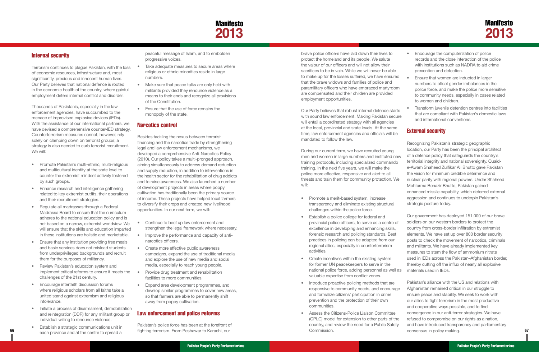## **Manifesto 2013**

brave police officers have laid down their lives to protect the homeland and its people. We salute the valour of our officers and will not allow their sacrifices to be in vain. While we will never be able to make up for the losses suffered, we have ensured that the brave widows and families of police and paramilitary officers who have embraced martyrdom are compensated and their children are provided employment opportunities.

Our Party believes that robust internal defence starts with sound law enforcement. Making Pakistan secure will entail a coordinated strategy with all agencies at the local, provincial and state levels. At the same time, law enforcement agencies and officials will be mandated to follow the law.

- Encourage the computerization of police records and the close interaction of the police with institutions such as NADRA to aid crime prevention and detection.
- Ensure that women are inducted in larger numbers to offset gender imbalances in the police force, and make the police more sensitive to community needs, especially in cases related to women and children.
- Transform juvenile detention centres into facilities that are compliant with Pakistan's domestic laws and international conventions.

- transparency and eliminate existing structural challenges within the police force.
- **•** Establish a police college for federal and provincial police officers, to serve as a centre of excellence in developing and enhancing skills, forensic research and policing standards. Best practices in policing can be adapted from our regional allies, especially in counterterrorism activities.
- Create incentives within the existing system for former UN peacekeepers to serve in the national police force, adding personnel as well as valuable expertise from conflict zones.
- Introduce proactive policing methods that are responsive to community needs, and encourage and formalize citizens' participation in crime prevention and the protection of their own communities.
- Assess the Citizens-Police Liaison Committee (CPLC) model for extension to other parts of the country, and review the need for a Public Safety Commission.

During our current term, we have recruited young men and women in large numbers and instituted new training protocols, including specialized commando training. In the next five years, we will make the police more effective, responsive and alert to all threats and train them for community protection. We will: • Promote a merit-based system, increase Recognizing Pakistan's strategic geographic location, our Party has been the principal architect of a defence policy that safeguards the country's territorial integrity and national sovereignty. Quaide-Awam Shaheed Zulfikar Ali Bhutto gave Pakistan the vision for minimum credible deterrence and nuclear parity with regional powers. Under Shaheed Mohtarma Benazir Bhutto, Pakistan gained enhanced missile capability, which deterred external aggression and continues to underpin Pakistan's strategic posture today.

**66 67** fighting terrorism. From Peshawar to Karachi, our Pakistan's alliance with the US and relations with Afghanistan remained critical in our struggle to ensure peace and stability. We seek to work with our allies to fight terrorism in the most productive and cooperative ways possible, and to find convergence in our anti-terror strategies. We have refused to compromise on our rights as a nation, and have introduced transparency and parliamentary consensus in policy making.

#### External security

- Take adequate measures to secure areas where religious or ethnic minorities reside in large numbers.
- Make sure that peace talks are only held with militants provided they renounce violence as a means to their ends and recognize all provisions of the Constitution.
- Ensure that the use of force remains the monopoly of the state.

Our government has deployed 151,000 of our brave soldiers on our western borders to protect the country from cross-border infiltration by extremist elements. We have set up over 800 border security posts to check the movement of narcotics, criminals and militants. We have already implemented key measures to stem the flow of ammonium nitrate used in IEDs across the Pakistan–Afghanistan border, thereby cutting off the influx of nearly all explosive materials used in IEDs.

- Continue to beef up law enforcement and strengthen the legal framework where necessary.
- Improve the performance and capacity of antinarcotics officers.
- Create more effective public awareness campaigns, expand the use of traditional media and explore the use of new media and social media, especially to reach young people.
- Provide drug treatment and rehabilitation facilities to more communities.
- • Expand area development programmes, and develop similar programmes to cover new areas, so that farmers are able to permanently shift away from poppy cultivation.

#### <span id="page-36-0"></span>Internal security

Terrorism continues to plague Pakistan, with the loss of economic resources, infrastructure and, most significantly, precious and innocent human lives. Our Party believes that national defence is rooted in the economic health of the country, where gainful employment deters internal conflict and disorder.

Thousands of Pakistanis, especially in the law enforcement agencies, have succumbed to the menace of improvised explosive devices (IEDs). With the assistance of our international partners, we have devised a comprehensive counter-IED strategy. Counterterrorism measures cannot, however, rely solely on clamping down on terrorist groups; a strategy is also needed to curb terrorist recruitment. We will:

- • Promote Pakistan's multi-ethnic, multi-religious and multicultural identity at the state level to counter the extremist mindset actively fostered by such groups.
- Enhance research and intelligence gathering related to key extremist outfits, their operations and their recruitment strategies.
- Regulate all madrassas through a Federal Madrassa Board to ensure that the curriculum adheres to the national education policy and is not based on a narrow, extremist worldview. We will ensure that the skills and education imparted in these institutions are holistic and marketable.
- Ensure that any institution providing free meals and basic services does not mislead students from underprivileged backgrounds and recruit them for the purposes of militancy.
- **Review Pakistan's education system and** implement critical reforms to ensure it meets the challenges of the 21st century.
- • Encourage interfaith discussion forums where religious scholars from all faiths take a united stand against extremism and religious intolerance.
- Initiate a process of disarmament, demobilization and reintegration (DDR) for any militant group or individual willing to renounce violence.
- • Establish a strategic communications unit in each province and at the centre to spread a

peaceful message of Islam, and to embolden progressive voices.

#### Narcotics control

Besides tackling the nexus between terrorist financing and the narcotics trade by strengthening legal and law enforcement mechanisms, we developed a comprehensive Anti-Narcotics Policy (2010). Our policy takes a multi-pronged approach, aiming simultaneously to address demand reduction and supply reduction, in addition to interventions in the health sector for the rehabilitation of drug addicts and to raise awareness. We also launched a number of development projects in areas where poppy cultivation has traditionally been the primary source of income. These projects have helped local farmers to diversify their crops and created new livelihood opportunities. In our next term, we will:

#### Law enforcement and police reforms

Pakistan's police force has been at the forefront of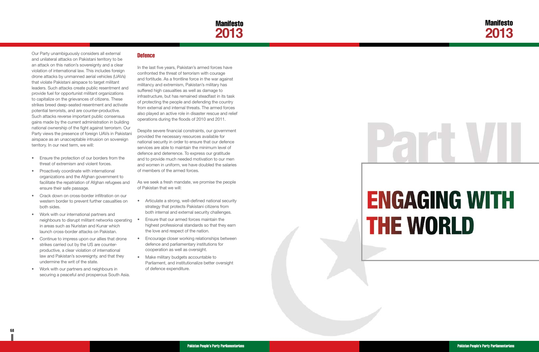**68 69**

## Manifesto **2013**



# **ENGAGING WITH THE WORLD**

<span id="page-37-0"></span>Our Party unambiguously considers all external and unilateral attacks on Pakistani territory to be an attack on this nation's sovereignty and a clear violation of international law. This includes foreign drone attacks by unmanned aerial vehicles (UAVs) that violate Pakistani airspace to target militant leaders. Such attacks create public resentment and provide fuel for opportunist militant organizations to capitalize on the grievances of citizens. These strikes breed deep-seated resentment and activate potential terrorists, and are counter-productive. Such attacks reverse important public consensus gains made by the current administration in building national ownership of the fight against terrorism. Our Party views the presence of foreign UAVs in Pakistani airspace as an unacceptable intrusion on sovereign territory. In our next term, we will:

- Ensure the protection of our borders from the threat of extremism and violent forces.
- Proactively coordinate with international organizations and the Afghan government to facilitate the repatriation of Afghan refugees and ensure their safe passage.
- Crack down on cross-border infiltration on our western border to prevent further casualties on both sides.
- Work with our international partners and neighbours to disrupt militant networks operating in areas such as Nuristan and Kunar which launch cross-border attacks on Pakistan.
- Continue to impress upon our allies that drone strikes carried out by the US are counterproductive, a clear violation of international law and Pakistan's sovereignty, and that they undermine the writ of the state.
- Work with our partners and neighbours in securing a peaceful and prosperous South Asia.

#### **Defence**

- Articulate a strong, well-defined national security strategy that protects Pakistani citizens from both internal and external security challenges.
- Ensure that our armed forces maintain the highest professional standards so that they earn the love and respect of the nation.
- • Encourage closer working relationships between defence and parliamentary institutions for cooperation as well as oversight.
- Make military budgets accountable to Parliament, and institutionalize better oversight of defence expenditure.

In the last five years, Pakistan's armed forces have confronted the threat of terrorism with courage and fortitude. As a frontline force in the war against militancy and extremism, Pakistan's military has suffered high casualties as well as damage to infrastructure, but has remained steadfast in its task of protecting the people and defending the country from external and internal threats. The armed forces also played an active role in disaster rescue and relief operations during the floods of 2010 and 2011.

Despite severe financial constraints, our government provided the necessary resources available for national security in order to ensure that our defence services are able to maintain the minimum level of defence and deterrence. To express our gratitude and to provide much needed motivation to our men and women in uniform, we have doubled the salaries of members of the armed forces.

As we seek a fresh mandate, we promise the people of Pakistan that we will: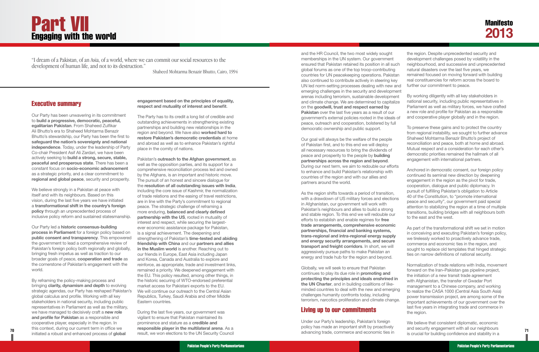and the HR Council, the two most widely sought memberships in the UN system. Our government ensured that Pakistan retained its position in all such global forums as one of the top troop-contributing countries for UN peacekeeping operations. Pakista also continued to contribute actively in steering key UN led norm-setting processes dealing with new ar emerging challenges in the security and developmer arenas including terrorism, sustainable development and climate change. We are determined to capitalize on the **goodwill, trust and respect earned by Pakistan** over the last five years as a result of our government's external policies rooted in the ideals of peace, outreach and cooperation, bolstered by full democratic ownership and public support.

Our goal will always be the welfare of the people of Pakistan first, and to this end we will deploy all necessary resources to bring the dividends of peace and prosperity to the people by **building partnerships across the region and beyond**. During our next term, we aim to redouble our efforts to enhance and build Pakistan's relationship with countries of the region and with our allies and partners around the world.

As the region shifts towards a period of transition, with a drawdown of US military forces and elections in Afghanistan, our government will work with Pakistan's neighbours and allies to build a strong and stable region. To this end we will redouble our efforts to establish and enable regimes for **free trade arrangements, comprehensive economic partnerships, financial and banking systems, trans-regional and intra-regional energy supply and energy security arrangements, and secure transport and freight corridors**. In short, we will aggressively pursue paths to make Pakistan an energy and trade hub for the region and beyond.

Globally, we will seek to ensure that Pakistan continues to play its due role in **promoting and protecting the principles and ideals enshrined in the UN Charter**, and in building coalitions of likeminded countries to deal with the new and emerging challenges humanity confronts today, including terrorism, narcotics proliferation and climate change.

#### Living up to our commitments

Under our Party's leadership, Pakistan's foreign policy has made an important shift by proactively

We believe strongly in a Pakistan at peace with itself and with its neighbours. Based on this vision, during the last five years we have initiated a **transformational shift in the country's foreign policy** through an unprecedented process of inclusive policy reform and sustained statesmanship.

70 *TO PODERCIST CONCLUS* **71** *PODERCISTS CONSUMERTED INCORPORATION CONSUMERTED TO <b><i>PODERCISTS* **71** *PODERCISTS* **71** *PODERCISTS PODERCISTS PODERCISTS PODERCISTS PODERCISTS PODE* By reframing the policy-making process and bringing **clarity, dynamism and depth** to evolving strategic agendas, our Party has reshaped Pakistan's global calculus and profile. Working with all key stakeholders in national security, including public representatives in Parliament as well as the military, we have managed to decisively craft a **new role and profile for Pakistan** as a responsible and cooperative player, especially in the region. In this context, during our current term in office we initiated a robust and enhanced process of **global** 

| h<br>n<br>٦d         | the region. Despite unprecedented security and<br>development challenges posed by volatility in the<br>neighbourhood, and successive and unprecedented<br>natural disasters over the last five years, we<br>remained focused on moving forward with building<br>real constituencies for reform across the board to<br>further our commitment to peace.                                                                                                                                                                              |
|----------------------|-------------------------------------------------------------------------------------------------------------------------------------------------------------------------------------------------------------------------------------------------------------------------------------------------------------------------------------------------------------------------------------------------------------------------------------------------------------------------------------------------------------------------------------|
| nt:<br>ıt<br>е<br>Эf | By working diligently with all key stakeholders in<br>national security, including public representatives in<br>Parliament as well as military forces, we have crafted<br>a new role and profile for Pakistan as a responsible<br>and cooperative player globally and in the region.                                                                                                                                                                                                                                                |
|                      | To preserve these gains and to protect the country<br>from regional instability, we sought to further advance<br>Shaheed Mohtarma Benazir Bhutto's project of<br>reconciliation and peace, both at home and abroad.<br>Mutual respect and a consideration for each other's<br>democratic priorities remained the hallmark of all<br>engagement with international partners.                                                                                                                                                         |
| 3<br>S               | Anchored in democratic consent, our foreign policy<br>continued its seminal new direction by deepening<br>engagement in the region as the pivot for trade,<br>cooperation, dialogue and public diplomacy. In<br>pursuit of fulfilling Pakistan's obligation to Article<br>40 of the Constitution, to "promote international<br>peace and security", our government paid special<br>attention to stabilizing the region at a time of multiple<br>transitions, building bridges with all neighbours both<br>to the east and the west. |
|                      | As part of the transformational shift we set in motion<br>in conceiving and executing Pakistan's foreign policy,<br>we tirelessly worked to proactively advance trade,<br>commerce and economic ties in the region, and<br>sought to replace old templates that hinged strategic<br>ties on narrow definitions of national security.                                                                                                                                                                                                |
| g<br>Э.              | Normalization of trade relations with India, movement<br>forward on the Iran-Pakistan gas pipeline project,<br>the initiation of a new transit trade agreement<br>with Afghanistan, the transfer of Gwadar Port<br>management to a Chinese company, and working<br>to realize the CASA 1000 (Central Asia South Asia)<br>power transmission project, are among some of the<br>important achievements of our government over the<br>last five years in integrating trade and commerce in<br>the region.                              |

We believe that consistent diplomatic, economic and security engagement with all our neighbours is crucial for building confidence and stability in a

#### Executive summary

Our Party has been unwavering in its commitment to **build a progressive, democratic, peaceful, egalitarian Pakistan**. From Shaheed Zulfikar Ali Bhutto's era to Shaheed Mohtarma Benazir Bhutto's stewardship, our Party has been the first to **safeguard the nation's sovereignty and national independence**. Today, under the leadership of Party Co-chair President Asif Ali Zardari, we have been actively seeking to **build a strong, secure, stable, peaceful and prosperous state**. There has been a constant focus on **socio-economic advancement** as a strategic priority, and a clear commitment to **regional and global peace**, security and prosperity.

Our Party led a **historic consensus-building process in Parliament** for a foreign policy based on **public consent and transparency**. This empowered the government to lead a comprehensive review of Pakistan's foreign policy both regionally and globally, bringing fresh impetus as well as traction to our broader goals of peace, **cooperation and trade** as the cornerstone of Pakistan's engagement with the world.

#### **engagement based on the principles of equality, respect and mutuality of interest and benefit**.

The Party has to its credit a long list of credible and outstanding achievements in strengthening existing partnerships and building new relationships in the region and beyond. We have also **worked hard to restore Pakistan's democratic credentials** at home and abroad as well as to enhance Pakistan's rightful place in the comity of nations.

Pakistan's **outreach to the Afghan government**, as well as the opposition parties, and its support for a comprehensive reconciliation process led and owned by the Afghans, is an important and historic move. The pursuit of an honest and sincere dialogue for the **resolution of all outstanding issues with India**, including the core issue of Kashmir, the normalization of trade relations and the easing of travel restrictions, are in line with the Party's commitment to regional peace. The strategic challenge of reframing a more enduring, **balanced and clearly defined partnership with the US**, rooted in mutuality of interest and respect, while securing the largestever economic assistance package for Pakistan, is a signal achievement. The deepening and strengthening of Pakistan's **time-tested and abiding friendship with China** and our **partners and allies in the Muslim world** is another. Reaching out to our friends in Europe, East Asia including Japan and Korea, Canada and Australia to explore and reinforce, as appropriate, trade and investment links, remained a priority. We deepened engagement with the EU. This policy resulted, among other things, in the historic securing of WTO-endorsed preferential market access for Pakistani exports to the EU. We will continue our outreach to the Central Asian Republics, Turkey, Saudi Arabia and other Middle Eastern countries.

During the last five years, our government was vigilant to ensure that Pakistan maintained its prominence and stature as a **credible and responsible player in the multilateral arena**. As a result, we won elections to the UN Security Council

# <span id="page-38-0"></span>Part VII Engaging with the world

*"I dream of a Pakistan, of an Asia, of a world, where we can commit our social resources to the development of human life, and not to its destruction."*

*Shaheed Mohtarma Benazir Bhutto, Cairo, 1994*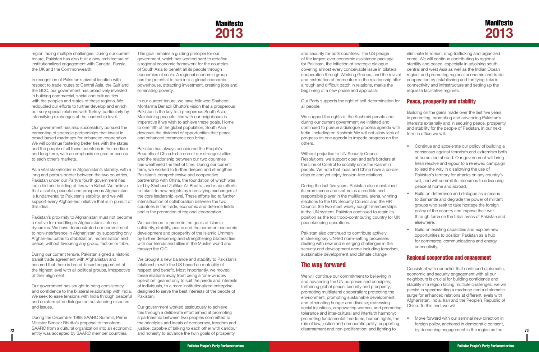## **Manifesto 2013**

and security for both countries. The US pledge of the largest-ever economic assistance package for Pakistan, the initiation of strategic dialogue covering almost every conceivable issue in bilateral cooperation through Working Groups, and the revival and restoration of momentum in the relationship after a rough and difficult patch in relations, marks the beginning of a new phase and approach.

Our Party supports the right of self-determination for all people.

We support the rights of the Kashmiri people and during our current government we initiated and continued to pursue a dialogue process agenda with India, including on Kashmir. We will not allow lack of progress on one agenda to impede progress on the others.

Without prejudice to UN Security Council Resolutions, we support open and safe borders at the Line of Control to socially unite the Kashmiri people. We note that India and China have a border dispute and yet enjoy tension-free relations.

During the last five years, Pakistan also maintained its prominence and stature as a credible and responsible player in the multilateral arena, winning elections to the UN Security Council and the HR Council, the two most widely sought memberships in the UN system. Pakistan continued to retain its position as the top troop-contributing country for UN peacekeeping operations.

Pakistan also continued to contribute actively in steering key UN-led norm-setting processes dealing with new and emerging challenges in the security and development arena including terrorism, sustainable development and climate change.

#### The way forward

- Continue and accelerate our policy of building a consensus against terrorism and extremism both at home and abroad. Our government will bring fresh resolve and vigour to a renewed campaign to lead the way in disallowing the use of Pakistan's territory for attacks on any country's soil, and will commit its resources to advancing peace at home and abroad.
- Build on deterrence and dialogue as a means to dismantle and degrade the power of militant groups who seek to take hostage the foreign policy of the country and impose their writ through force on the tribal areas of Pakistan and elsewhere.
	- Build on existing capacities and explore new opportunities to position Pakistan as a hub for commerce, communications and energy connectivity.

We will continue our commitment to believing in and advancing the UN purposes and principles; furthering global peace, security and prosperity; promoting multilateral cooperation; protecting the environment, promoting sustainable development, and eliminating hunger and disease; redressing social injustices, empowering women, and promoting tolerance and inter-cultural and interfaith harmony; promoting fundamental freedoms, human rights, the rule of law, justice and democratic polity; supporting disarmament and non-proliferation; and fighting to

Move forward with our seminal new direction in foreign policy, anchored in democratic consent,

In recognition of Pakistan's pivotal location with respect to trade routes to Central Asia, the Gulf and the GCC, our government has proactively invested in building commercial, social and cultural ties with the peoples and states of these regions. We redoubled our efforts to further develop and enrich our very special relations with Turkey, particularly by intensifying exchanges at the leadership level.

eliminate terrorism, drug trafficking and organized crime. We will continue contributing to regional stability and peace, especially in adjoining south, central and west Asia as well as the Indian Ocean region, and promoting regional economic and trade cooperation by establishing and fortifying links in connectivity and infrastructure and setting up the requisite facilitative regimes.

#### Peace, prosperity and stability

Building on the gains made over the last five years in protecting, promoting and advancing Pakistan's interests externally and in securing peace, prosperity and stability for the people of Pakistan, in our next term in office we will:

#### Regional cooperation and engagement

Consistent with our belief that continued diplomatic, economic and security engagement with all our neighbours is crucial for building confidence and stability in a region facing multiple challenges, we will persist in spearheading a roadmap and a diplomatic surge for enhanced relations at different levels with Afghanistan, India, Iran and the People's Republic of China. To this end, we will:

<span id="page-39-0"></span>region facing multiple challenges. During our current tenure, Pakistan has also built a new architecture of institutionalized engagement with Canada, Russia, the UK and the Commonwealth.

**72** *MARC from a cultural organization into an economic* gustice, capable of talking to each other with candour<br>
and by deepening engagement in the region as the region as the region as the region as the region as the Our government worked assiduously to achieve this through a deliberate effort aimed at promoting a partnership between two peoples committed to the principles and ideals of democracy, freedom and justice, capable of talking to each other with candour and honesty to advance the twin goals of prosperity

Our government has also successfully pursued the cementing of strategic partnerships that invest in broad-based roadmaps for enhanced cooperation. We will continue fostering better ties with the states and the people of all these countries in the medium and long term, with an emphasis on greater access to each other's markets.

As a vital stakeholder in Afghanistan's stability, with a long and porous border between the two countries, Pakistan under our Party's fourth government has led a historic building of ties with Kabul. We believe that a stable, peaceful and prosperous Afghanistan is fundamental to Pakistan's stability, and we will support every Afghan-led initiative that is in pursuit of this ideal.

Pakistan's proximity to Afghanistan must not become a motive for meddling in Afghanistan's internal dynamics. We have demonstrated our commitment to non-interference in Afghanistan by supporting only Afghan-led paths to stabilization, reconciliation and peace, without favouring any group, faction or tribe.

During our current tenure, Pakistan signed a historic transit trade agreement with Afghanistan and ensured that there is broad-based engagement at the highest level with all political groups, irrespective of their alignment.

Our government has sought to bring consistency and confidence to the bilateral relationship with India. We seek to ease tensions with India through peaceful and uninterrupted dialogue on outstanding disputes and issues.

During the December 1988 SAARC Summit, Prime Minister Benazir Bhutto's proposal to transform SAARC from a cultural organization into an economic entity was accepted by SAARC member countries.

This goal remains a guiding principle for our government, which has worked hard to redefine a regional economic framework for the countries of South Asia to benefit all its people through economies of scale. A regional economic group has the potential to turn into a global economic powerhouse, attracting investment, creating jobs and eliminating poverty.

In our current tenure, we have followed Shaheed Mohtarma Benazir Bhutto's vision that a prosperous Pakistan is the key to a prosperous South Asia. Maintaining peaceful ties with our neighbours is imperative if we wish to achieve these goals. Home to one fifth of the global population, South Asia deserves the dividend of opportunities that peace and enhanced commerce can bring.

Pakistan has always considered the People's Republic of China to be one of our strongest allies and the relationship between our two countries has weathered the test of time. During our current term, we worked to further deepen and strengthen Pakistan's comprehensive and cooperative partnership with China, the foundation of which was laid by Shaheed Zulfikar Ali Bhutto, and made efforts to take it to new heights by intensifying exchanges at the core leadership level. These efforts led to further intensification of collaboration between the two countries in the trade, economic and defence fields and in the promotion of regional cooperation.

We continued to promote the goals of Islamic solidarity, stability, peace and the common economic development and prosperity of the Islamic Ummah by further deepening and strengthening bilateral ties with our friends and allies in the Muslim world and through the OIC.

We brought a new balance and stability to Pakistan's relationship with the US based on mutuality of respect and benefit. Most importantly, we moved these relations away from being a 'one-window operation' geared only to suit the needs and interests of individuals, to a more institutionalized enterprise designed to serve the best interests of the people of Pakistan.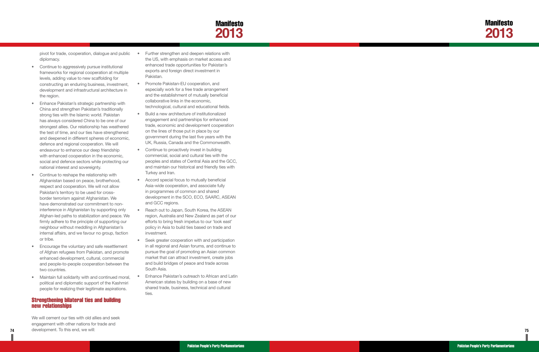

<span id="page-40-0"></span>pivot for trade, cooperation, dialogue and public diplomacy.

- Continue to aggressively pursue institutional frameworks for regional cooperation at multiple levels, adding value to new scaffolding for constructing an enduring business, investment, development and infrastructural architecture in the region.
- • Enhance Pakistan's strategic partnership with China and strengthen Pakistan's traditionally strong ties with the Islamic world. Pakistan has always considered China to be one of our strongest allies. Our relationship has weathered the test of time, and our ties have strengthened and deepened in different spheres of economic, defence and regional cooperation. We will endeavour to enhance our deep friendship with enhanced cooperation in the economic, social and defence sectors while protecting our national interest and sovereignty.
- • Continue to reshape the relationship with Afghanistan based on peace, brotherhood, respect and cooperation. We will not allow Pakistan's territory to be used for crossborder terrorism against Afghanistan. We have demonstrated our commitment to noninterference in Afghanistan by supporting only Afghan-led paths to stabilization and peace. We firmly adhere to the principle of supporting our neighbour without meddling in Afghanistan's internal affairs, and we favour no group, faction or tribe.
- • Encourage the voluntary and safe resettlement of Afghan refugees from Pakistan, and promote enhanced development, cultural, commercial and people-to-people cooperation between the two countries.
- Maintain full solidarity with and continued moral, political and diplomatic support of the Kashmiri people for realizing their legitimate aspirations.

**74** and a development. To this end, we WIII: **75** and the state of the state of the state of the state of the state of the state of the state of the state of the state of the state of the state of the state of the state o We will cement our ties with old allies and seek engagement with other nations for trade and development. To this end, we will:

- Further strengthen and deepen relations with the US, with emphasis on market access and enhanced trade opportunities for Pakistan's exports and foreign direct investment in Pakistan.
- Promote Pakistan-EU cooperation, and especially work for a free trade arrangement and the establishment of mutually beneficial collaborative links in the economic, technological, cultural and educational fields.
- Build a new architecture of institutionalized engagement and partnerships for enhanced trade, economic and development cooperation on the lines of those put in place by our government during the last five years with the UK, Russia, Canada and the Commonwealth.
- Continue to proactively invest in building commercial, social and cultural ties with the peoples and states of Central Asia and the GCC, and maintain our historical and friendly ties with Turkey and Iran.
- • Accord special focus to mutually beneficial Asia-wide cooperation, and associate fully in programmes of common and shared development in the SCO, ECO, SAARC, ASEAN and GCC regions.
- Reach out to Japan, South Korea, the ASEAN region, Australia and New Zealand as part of our efforts to bring fresh impetus to our 'look east' policy in Asia to build ties based on trade and investment.
- Seek greater cooperation with and participation in all regional and Asian forums, and continue to pursue the goal of promoting an Asian common market that can attract investment, create jobs and build bridges of peace and trade across South Asia.
- **Enhance Pakistan's outreach to African and Latin** American states by building on a base of new shared trade, business, technical and cultural ties.

#### Strengthening bilateral ties and building new relationships